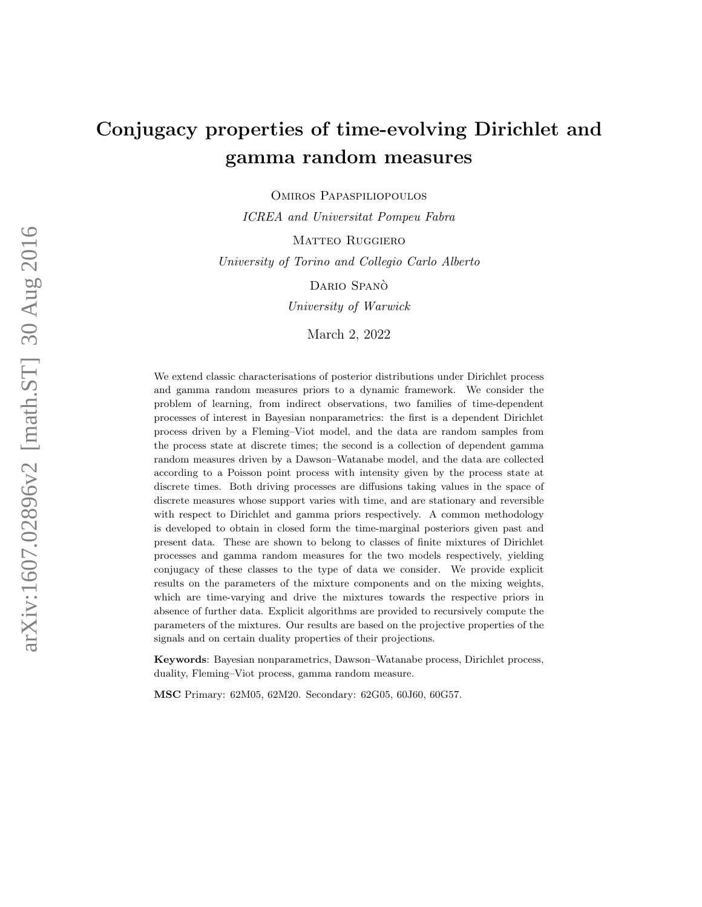# Conjugacy properties of time-evolving Dirichlet and gamma random measures

Omiros Papaspiliopoulos

ICREA and Universitat Pompeu Fabra

MATTEO RUGGIERO

University of Torino and Collegio Carlo Alberto

DARIO SPANÒ

University of Warwick

March 2, 2022

We extend classic characterisations of posterior distributions under Dirichlet process and gamma random measures priors to a dynamic framework. We consider the problem of learning, from indirect observations, two families of time-dependent processes of interest in Bayesian nonparametrics: the first is a dependent Dirichlet process driven by a Fleming–Viot model, and the data are random samples from the process state at discrete times; the second is a collection of dependent gamma random measures driven by a Dawson–Watanabe model, and the data are collected according to a Poisson point process with intensity given by the process state at discrete times. Both driving processes are diffusions taking values in the space of discrete measures whose support varies with time, and are stationary and reversible with respect to Dirichlet and gamma priors respectively. A common methodology is developed to obtain in closed form the time-marginal posteriors given past and present data. These are shown to belong to classes of finite mixtures of Dirichlet processes and gamma random measures for the two models respectively, yielding conjugacy of these classes to the type of data we consider. We provide explicit results on the parameters of the mixture components and on the mixing weights, which are time-varying and drive the mixtures towards the respective priors in absence of further data. Explicit algorithms are provided to recursively compute the parameters of the mixtures. Our results are based on the projective properties of the signals and on certain duality properties of their projections.

Keywords: Bayesian nonparametrics, Dawson–Watanabe process, Dirichlet process, duality, Fleming–Viot process, gamma random measure.

MSC Primary: 62M05, 62M20. Secondary: 62G05, 60J60, 60G57.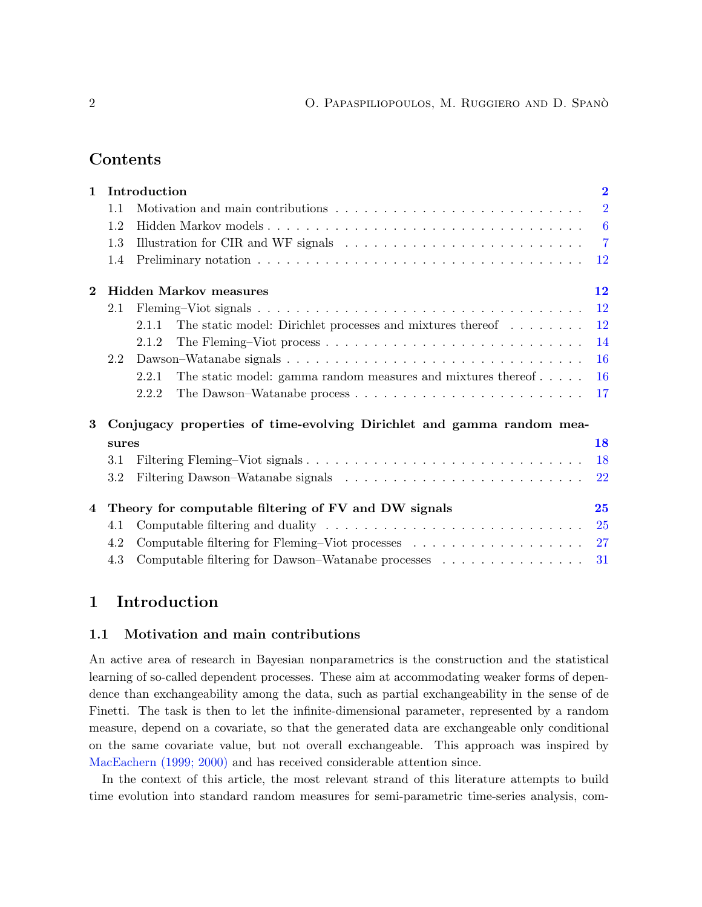## Contents

| $\mathbf{1}$ |                                                                       | Introduction                                                                                   | $\overline{2}$ |
|--------------|-----------------------------------------------------------------------|------------------------------------------------------------------------------------------------|----------------|
|              | 1.1                                                                   |                                                                                                | $\overline{2}$ |
|              | 1.2                                                                   |                                                                                                |                |
|              | 1.3                                                                   | Illustration for CIR and WF signals $\ldots \ldots \ldots \ldots \ldots \ldots \ldots \ldots$  | $\overline{7}$ |
|              | 1.4                                                                   |                                                                                                | 12             |
| $\bf{2}$     |                                                                       | <b>Hidden Markov measures</b>                                                                  | 12             |
|              | 2.1                                                                   |                                                                                                | <b>12</b>      |
|              |                                                                       | The static model: Dirichlet processes and mixtures thereof<br>2.1.1                            | 12             |
|              |                                                                       | 2.1.2                                                                                          | 14             |
|              | 2.2                                                                   |                                                                                                | <b>16</b>      |
|              |                                                                       | The static model: gamma random measures and mixtures thereof $\dots$ .<br>2.2.1                | <b>16</b>      |
|              |                                                                       | 2.2.2                                                                                          | 17             |
| 3            | Conjugacy properties of time-evolving Dirichlet and gamma random mea- |                                                                                                |                |
|              | sures                                                                 |                                                                                                | 18             |
|              | 3.1                                                                   |                                                                                                | 18             |
|              | 3.2                                                                   |                                                                                                | 22             |
| 4            | Theory for computable filtering of FV and DW signals                  |                                                                                                | 25             |
|              | 4.1                                                                   | Computable filtering and duality $\dots \dots \dots \dots \dots \dots \dots \dots \dots \dots$ | <b>25</b>      |
|              | 4.2                                                                   |                                                                                                | 27             |
|              | 4.3                                                                   | Computable filtering for Dawson–Watanabe processes $\ldots \ldots \ldots \ldots \ldots$        | 31             |

## <span id="page-1-0"></span>1 Introduction

#### <span id="page-1-1"></span>1.1 Motivation and main contributions

An active area of research in Bayesian nonparametrics is the construction and the statistical learning of so-called dependent processes. These aim at accommodating weaker forms of dependence than exchangeability among the data, such as partial exchangeability in the sense of de Finetti. The task is then to let the infinite-dimensional parameter, represented by a random measure, depend on a covariate, so that the generated data are exchangeable only conditional on the same covariate value, but not overall exchangeable. This approach was inspired by [MacEachern](#page-39-0) [\(1999;](#page-39-0) [2000\)](#page-39-1) and has received considerable attention since.

In the context of this article, the most relevant strand of this literature attempts to build time evolution into standard random measures for semi-parametric time-series analysis, com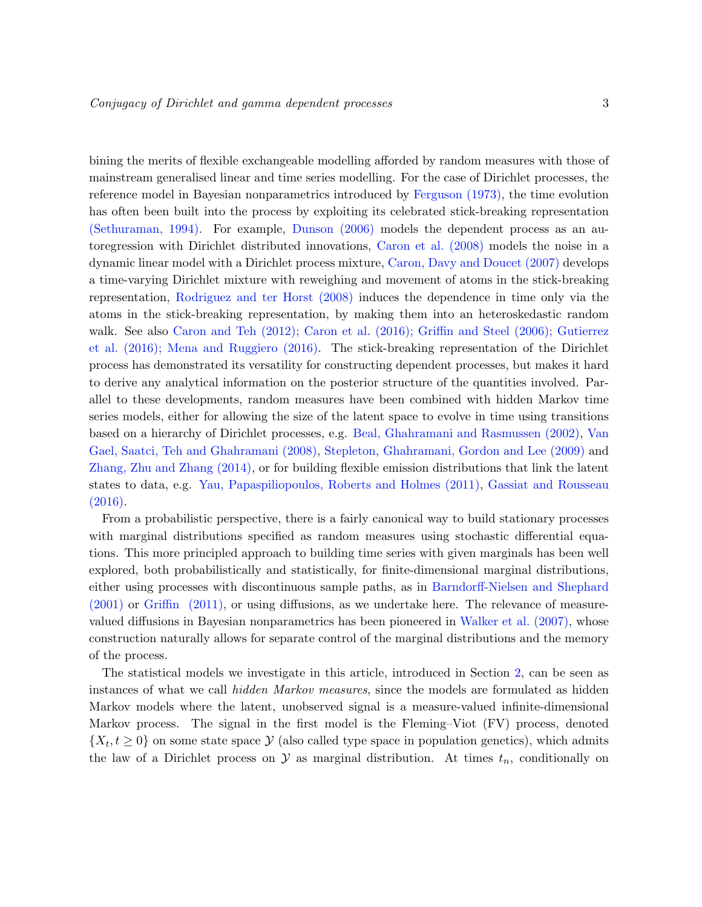bining the merits of flexible exchangeable modelling afforded by random measures with those of mainstream generalised linear and time series modelling. For the case of Dirichlet processes, the reference model in Bayesian nonparametrics introduced by [Ferguson](#page-38-0) [\(1973\)](#page-38-0), the time evolution has often been built into the process by exploiting its celebrated stick-breaking representation [\(Sethuraman,](#page-40-0) [1994\)](#page-40-0). For example, [Dunson](#page-38-1) [\(2006\)](#page-38-1) models the dependent process as an autoregression with Dirichlet distributed innovations, [Caron et al.](#page-37-0) [\(2008\)](#page-37-0) models the noise in a dynamic linear model with a Dirichlet process mixture, [Caron, Davy and Doucet](#page-37-1) [\(2007\)](#page-37-1) develops a time-varying Dirichlet mixture with reweighing and movement of atoms in the stick-breaking representation, [Rodriguez and ter Horst](#page-39-2) [\(2008\)](#page-39-2) induces the dependence in time only via the atoms in the stick-breaking representation, by making them into an heteroskedastic random walk. See also [Caron and Teh](#page-37-2) [\(2012\)](#page-37-2); [Caron et al.](#page-37-3) [\(2016\)](#page-37-3); [Griffin and Steel](#page-38-2) [\(2006\)](#page-38-2); [Gutierrez](#page-39-3) [et al.](#page-39-3) [\(2016\)](#page-39-3); [Mena and Ruggiero](#page-39-4) [\(2016\)](#page-39-4). The stick-breaking representation of the Dirichlet process has demonstrated its versatility for constructing dependent processes, but makes it hard to derive any analytical information on the posterior structure of the quantities involved. Parallel to these developments, random measures have been combined with hidden Markov time series models, either for allowing the size of the latent space to evolve in time using transitions based on a hierarchy of Dirichlet processes, e.g. [Beal, Ghahramani and Rasmussen](#page-37-4) [\(2002\)](#page-37-4), [Van](#page-40-1) [Gael, Saatci, Teh and Ghahramani](#page-40-1) [\(2008\)](#page-40-1), [Stepleton, Ghahramani, Gordon and Lee](#page-39-5) [\(2009\)](#page-39-5) and [Zhang, Zhu and Zhang](#page-40-2) [\(2014\)](#page-40-2), or for building flexible emission distributions that link the latent states to data, e.g. [Yau, Papaspiliopoulos, Roberts and Holmes](#page-40-3) [\(2011\)](#page-40-3), [Gassiat and Rousseau](#page-38-3) [\(2016\)](#page-38-3).

From a probabilistic perspective, there is a fairly canonical way to build stationary processes with marginal distributions specified as random measures using stochastic differential equations. This more principled approach to building time series with given marginals has been well explored, both probabilistically and statistically, for finite-dimensional marginal distributions, either using processes with discontinuous sample paths, as in [Barndorff-Nielsen and Shephard](#page-37-5) [\(2001\)](#page-37-5) or [Griffin](#page-38-4) [\(2011\)](#page-38-4), or using diffusions, as we undertake here. The relevance of measurevalued diffusions in Bayesian nonparametrics has been pioneered in [Walker et al.](#page-40-4) [\(2007\)](#page-40-4), whose construction naturally allows for separate control of the marginal distributions and the memory of the process.

The statistical models we investigate in this article, introduced in Section [2,](#page-11-1) can be seen as instances of what we call hidden Markov measures, since the models are formulated as hidden Markov models where the latent, unobserved signal is a measure-valued infinite-dimensional Markov process. The signal in the first model is the Fleming–Viot (FV) process, denoted  $\{X_t, t \geq 0\}$  on some state space  $\mathcal Y$  (also called type space in population genetics), which admits the law of a Dirichlet process on  $\mathcal Y$  as marginal distribution. At times  $t_n$ , conditionally on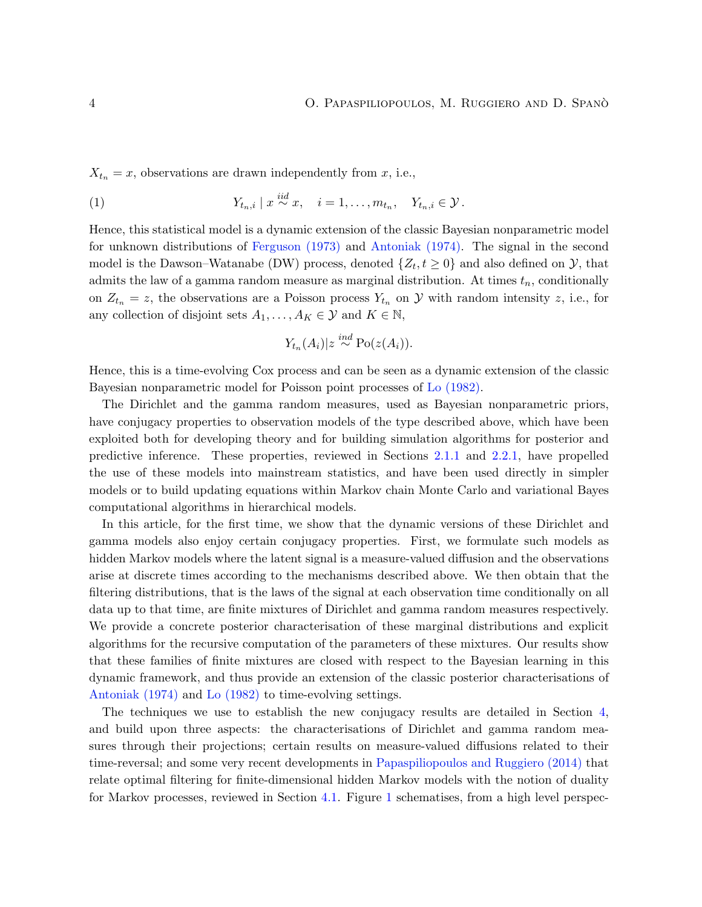$X_{t_n} = x$ , observations are drawn independently from x, i.e.,

<span id="page-3-0"></span>(1) 
$$
Y_{t_n,i} \mid x \stackrel{iid}{\sim} x, \quad i = 1,\ldots,m_{t_n}, \quad Y_{t_n,i} \in \mathcal{Y}.
$$

Hence, this statistical model is a dynamic extension of the classic Bayesian nonparametric model for unknown distributions of [Ferguson](#page-38-0) [\(1973\)](#page-38-0) and [Antoniak](#page-37-6) [\(1974\)](#page-37-6). The signal in the second model is the Dawson–Watanabe (DW) process, denoted  $\{Z_t, t \geq 0\}$  and also defined on  $\mathcal{Y}$ , that admits the law of a gamma random measure as marginal distribution. At times  $t_n$ , conditionally on  $Z_{t_n} = z$ , the observations are a Poisson process  $Y_{t_n}$  on  $\mathcal Y$  with random intensity z, i.e., for any collection of disjoint sets  $A_1, \ldots, A_K \in \mathcal{Y}$  and  $K \in \mathbb{N}$ ,

$$
Y_{t_n}(A_i)|z \stackrel{ind}{\sim} \text{Po}(z(A_i)).
$$

Hence, this is a time-evolving Cox process and can be seen as a dynamic extension of the classic Bayesian nonparametric model for Poisson point processes of [Lo](#page-39-6) [\(1982\)](#page-39-6).

The Dirichlet and the gamma random measures, used as Bayesian nonparametric priors, have conjugacy properties to observation models of the type described above, which have been exploited both for developing theory and for building simulation algorithms for posterior and predictive inference. These properties, reviewed in Sections [2.1.1](#page-11-3) and [2.2.1,](#page-15-1) have propelled the use of these models into mainstream statistics, and have been used directly in simpler models or to build updating equations within Markov chain Monte Carlo and variational Bayes computational algorithms in hierarchical models.

In this article, for the first time, we show that the dynamic versions of these Dirichlet and gamma models also enjoy certain conjugacy properties. First, we formulate such models as hidden Markov models where the latent signal is a measure-valued diffusion and the observations arise at discrete times according to the mechanisms described above. We then obtain that the filtering distributions, that is the laws of the signal at each observation time conditionally on all data up to that time, are finite mixtures of Dirichlet and gamma random measures respectively. We provide a concrete posterior characterisation of these marginal distributions and explicit algorithms for the recursive computation of the parameters of these mixtures. Our results show that these families of finite mixtures are closed with respect to the Bayesian learning in this dynamic framework, and thus provide an extension of the classic posterior characterisations of [Antoniak](#page-37-6) [\(1974\)](#page-37-6) and [Lo](#page-39-6) [\(1982\)](#page-39-6) to time-evolving settings.

The techniques we use to establish the new conjugacy results are detailed in Section [4,](#page-24-0) and build upon three aspects: the characterisations of Dirichlet and gamma random measures through their projections; certain results on measure-valued diffusions related to their time-reversal; and some very recent developments in [Papaspiliopoulos and Ruggiero](#page-39-7) [\(2014\)](#page-39-7) that relate optimal filtering for finite-dimensional hidden Markov models with the notion of duality for Markov processes, reviewed in Section [4.1.](#page-24-1) Figure [1](#page-4-0) schematises, from a high level perspec-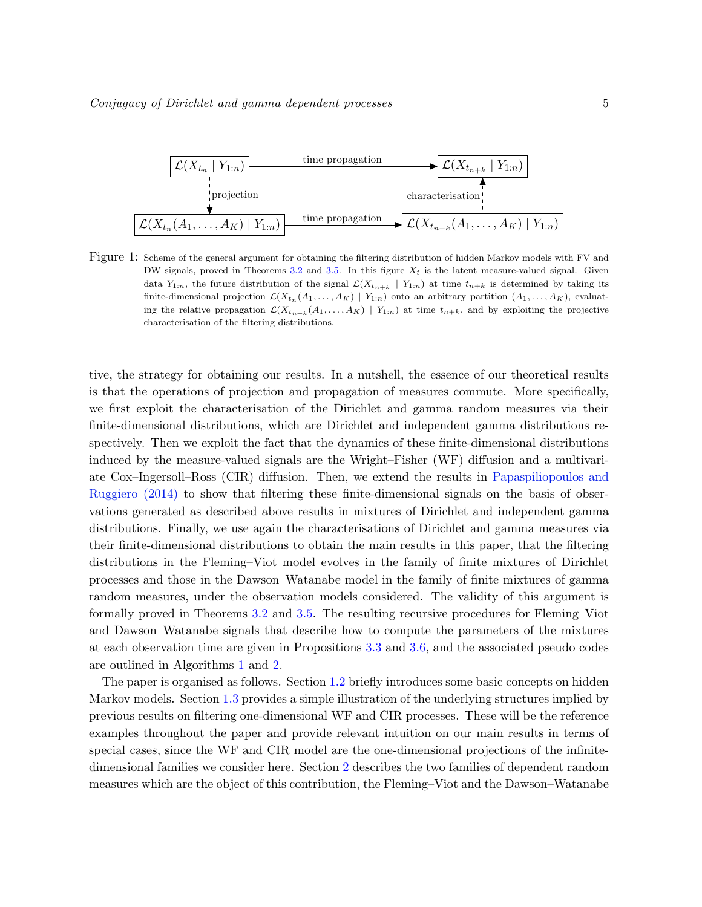<span id="page-4-0"></span>

Figure 1: Scheme of the general argument for obtaining the filtering distribution of hidden Markov models with FV and DW signals, proved in Theorems [3.2](#page-19-0) and [3.5.](#page-22-0) In this figure  $X_t$  is the latent measure-valued signal. Given data  $Y_{1:n}$ , the future distribution of the signal  $\mathcal{L}(X_{t_{n+k}} | Y_{1:n})$  at time  $t_{n+k}$  is determined by taking its finite-dimensional projection  $\mathcal{L}(X_{t_n}(A_1,\ldots,A_K) | Y_{1:n})$  onto an arbitrary partition  $(A_1,\ldots,A_K)$ , evaluating the relative propagation  $\mathcal{L}(X_{t_{n+k}}(A_1,\ldots,A_K) | Y_{1:n})$  at time  $t_{n+k}$ , and by exploiting the projective characterisation of the filtering distributions.

tive, the strategy for obtaining our results. In a nutshell, the essence of our theoretical results is that the operations of projection and propagation of measures commute. More specifically, we first exploit the characterisation of the Dirichlet and gamma random measures via their finite-dimensional distributions, which are Dirichlet and independent gamma distributions respectively. Then we exploit the fact that the dynamics of these finite-dimensional distributions induced by the measure-valued signals are the Wright–Fisher (WF) diffusion and a multivariate Cox–Ingersoll–Ross (CIR) diffusion. Then, we extend the results in [Papaspiliopoulos and](#page-39-7) [Ruggiero](#page-39-7) [\(2014\)](#page-39-7) to show that filtering these finite-dimensional signals on the basis of observations generated as described above results in mixtures of Dirichlet and independent gamma distributions. Finally, we use again the characterisations of Dirichlet and gamma measures via their finite-dimensional distributions to obtain the main results in this paper, that the filtering distributions in the Fleming–Viot model evolves in the family of finite mixtures of Dirichlet processes and those in the Dawson–Watanabe model in the family of finite mixtures of gamma random measures, under the observation models considered. The validity of this argument is formally proved in Theorems [3.2](#page-19-0) and [3.5.](#page-22-0) The resulting recursive procedures for Fleming–Viot and Dawson–Watanabe signals that describe how to compute the parameters of the mixtures at each observation time are given in Propositions [3.3](#page-20-0) and [3.6,](#page-23-0) and the associated pseudo codes are outlined in Algorithms [1](#page-21-1) and [2.](#page-24-2)

The paper is organised as follows. Section [1.2](#page-5-0) briefly introduces some basic concepts on hidden Markov models. Section [1.3](#page-6-0) provides a simple illustration of the underlying structures implied by previous results on filtering one-dimensional WF and CIR processes. These will be the reference examples throughout the paper and provide relevant intuition on our main results in terms of special cases, since the WF and CIR model are the one-dimensional projections of the infinitedimensional families we consider here. Section [2](#page-11-1) describes the two families of dependent random measures which are the object of this contribution, the Fleming–Viot and the Dawson–Watanabe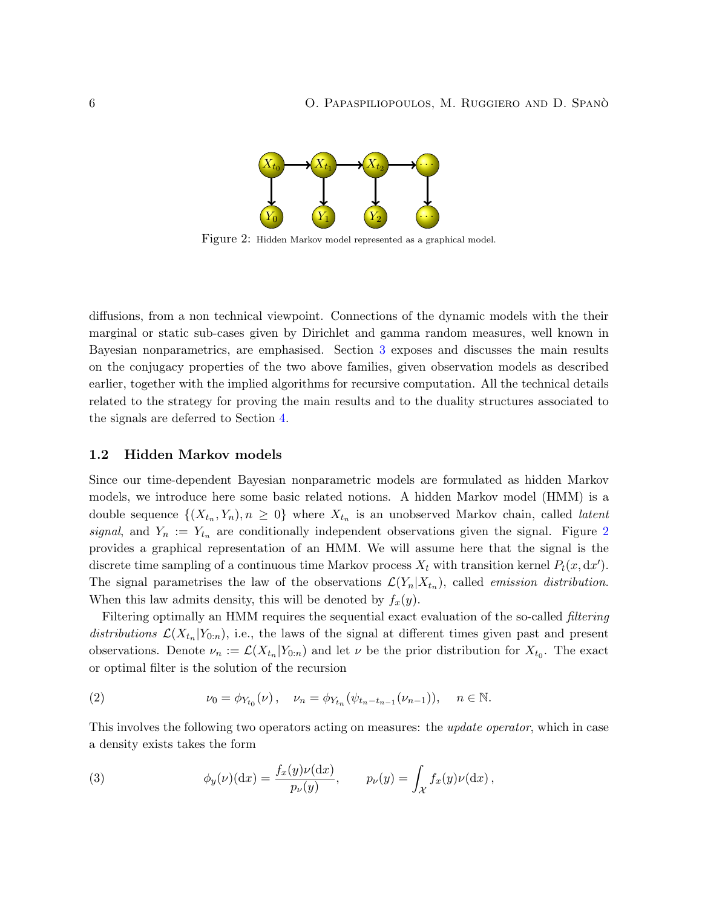

<span id="page-5-1"></span>Figure 2: Hidden Markov model represented as a graphical model.

diffusions, from a non technical viewpoint. Connections of the dynamic models with the their marginal or static sub-cases given by Dirichlet and gamma random measures, well known in Bayesian nonparametrics, are emphasised. Section [3](#page-17-0) exposes and discusses the main results on the conjugacy properties of the two above families, given observation models as described earlier, together with the implied algorithms for recursive computation. All the technical details related to the strategy for proving the main results and to the duality structures associated to the signals are deferred to Section [4.](#page-24-0)

#### <span id="page-5-0"></span>1.2 Hidden Markov models

Since our time-dependent Bayesian nonparametric models are formulated as hidden Markov models, we introduce here some basic related notions. A hidden Markov model (HMM) is a double sequence  $\{(X_{t_n}, Y_n), n \geq 0\}$  where  $X_{t_n}$  is an unobserved Markov chain, called *latent* signal, and  $Y_n := Y_{t_n}$  are conditionally independent observations given the signal. Figure [2](#page-5-1) provides a graphical representation of an HMM. We will assume here that the signal is the discrete time sampling of a continuous time Markov process  $X_t$  with transition kernel  $P_t(x, dx')$ . The signal parametrises the law of the observations  $\mathcal{L}(Y_n | X_{t_n})$ , called *emission distribution*. When this law admits density, this will be denoted by  $f_x(y)$ .

Filtering optimally an HMM requires the sequential exact evaluation of the so-called *filtering* distributions  $\mathcal{L}(X_{t_n}|Y_{0:n})$ , i.e., the laws of the signal at different times given past and present observations. Denote  $\nu_n := \mathcal{L}(X_{t_n}|Y_{0:n})$  and let  $\nu$  be the prior distribution for  $X_{t_0}$ . The exact or optimal filter is the solution of the recursion

<span id="page-5-2"></span>(2) 
$$
\nu_0 = \phi_{Y_{t_0}}(\nu), \quad \nu_n = \phi_{Y_{t_n}}(\psi_{t_n - t_{n-1}}(\nu_{n-1})), \quad n \in \mathbb{N}.
$$

This involves the following two operators acting on measures: the *update operator*, which in case a density exists takes the form

<span id="page-5-3"></span>(3) 
$$
\phi_y(\nu)(dx) = \frac{f_x(y)\nu(dx)}{p_\nu(y)}, \qquad p_\nu(y) = \int_{\mathcal{X}} f_x(y)\nu(dx),
$$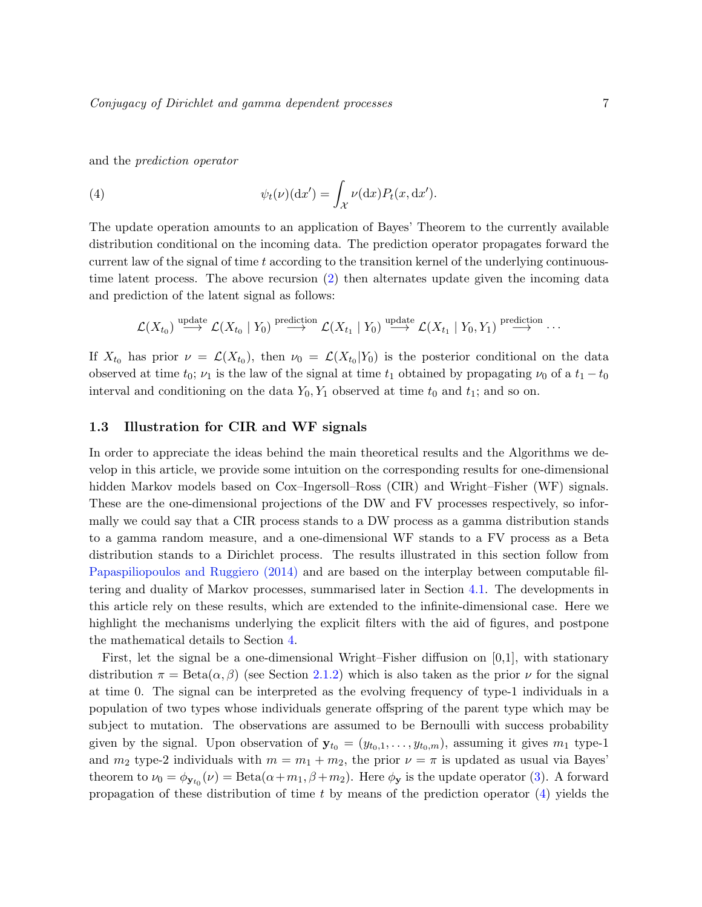and the prediction operator

<span id="page-6-1"></span>(4) 
$$
\psi_t(\nu)(dx') = \int_{\mathcal{X}} \nu(dx) P_t(x, dx').
$$

The update operation amounts to an application of Bayes' Theorem to the currently available distribution conditional on the incoming data. The prediction operator propagates forward the current law of the signal of time  $t$  according to the transition kernel of the underlying continuoustime latent process. The above recursion [\(2\)](#page-5-2) then alternates update given the incoming data and prediction of the latent signal as follows:

$$
\mathcal{L}(X_{t_0}) \stackrel{\text{update}}{\longrightarrow} \mathcal{L}(X_{t_0} \mid Y_0) \stackrel{\text{prediction}}{\longrightarrow} \mathcal{L}(X_{t_1} \mid Y_0) \stackrel{\text{update}}{\longrightarrow} \mathcal{L}(X_{t_1} \mid Y_0, Y_1) \stackrel{\text{prediction}}{\longrightarrow} \cdots
$$

If  $X_{t_0}$  has prior  $\nu = \mathcal{L}(X_{t_0})$ , then  $\nu_0 = \mathcal{L}(X_{t_0}|Y_0)$  is the posterior conditional on the data observed at time  $t_0$ ;  $\nu_1$  is the law of the signal at time  $t_1$  obtained by propagating  $\nu_0$  of a  $t_1 - t_0$ interval and conditioning on the data  $Y_0, Y_1$  observed at time  $t_0$  and  $t_1$ ; and so on.

#### <span id="page-6-0"></span>1.3 Illustration for CIR and WF signals

In order to appreciate the ideas behind the main theoretical results and the Algorithms we develop in this article, we provide some intuition on the corresponding results for one-dimensional hidden Markov models based on Cox–Ingersoll–Ross (CIR) and Wright–Fisher (WF) signals. These are the one-dimensional projections of the DW and FV processes respectively, so informally we could say that a CIR process stands to a DW process as a gamma distribution stands to a gamma random measure, and a one-dimensional WF stands to a FV process as a Beta distribution stands to a Dirichlet process. The results illustrated in this section follow from [Papaspiliopoulos and Ruggiero](#page-39-7) [\(2014\)](#page-39-7) and are based on the interplay between computable filtering and duality of Markov processes, summarised later in Section [4.1.](#page-24-1) The developments in this article rely on these results, which are extended to the infinite-dimensional case. Here we highlight the mechanisms underlying the explicit filters with the aid of figures, and postpone the mathematical details to Section [4.](#page-24-0)

First, let the signal be a one-dimensional Wright–Fisher diffusion on [0,1], with stationary distribution  $\pi = \text{Beta}(\alpha, \beta)$  (see Section [2.1.2\)](#page-13-0) which is also taken as the prior  $\nu$  for the signal at time 0. The signal can be interpreted as the evolving frequency of type-1 individuals in a population of two types whose individuals generate offspring of the parent type which may be subject to mutation. The observations are assumed to be Bernoulli with success probability given by the signal. Upon observation of  $y_{t_0} = (y_{t_0,1}, \ldots, y_{t_0,m})$ , assuming it gives  $m_1$  type-1 and  $m_2$  type-2 individuals with  $m = m_1 + m_2$ , the prior  $\nu = \pi$  is updated as usual via Bayes' theorem to  $\nu_0 = \phi_{\mathbf{y}_{t_0}}(\nu) = \text{Beta}(\alpha + m_1, \beta + m_2)$ . Here  $\phi_{\mathbf{y}}$  is the update operator [\(3\)](#page-5-3). A forward propagation of these distribution of time t by means of the prediction operator  $(4)$  yields the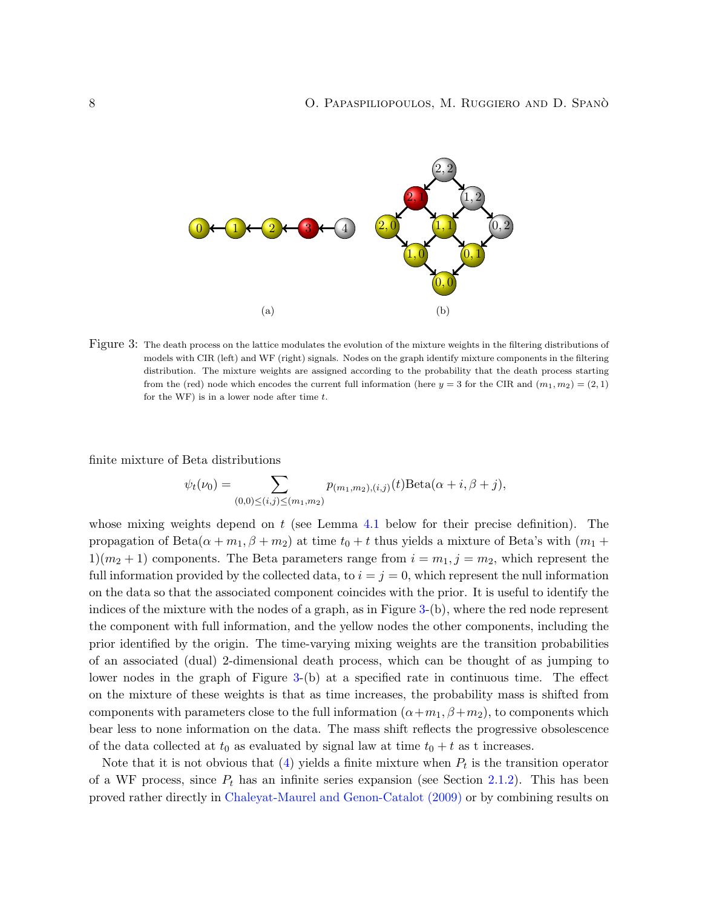<span id="page-7-0"></span>

Figure 3: The death process on the lattice modulates the evolution of the mixture weights in the filtering distributions of models with CIR (left) and WF (right) signals. Nodes on the graph identify mixture components in the filtering distribution. The mixture weights are assigned according to the probability that the death process starting from the (red) node which encodes the current full information (here  $y = 3$  for the CIR and  $(m_1, m_2) = (2, 1)$ for the WF) is in a lower node after time  $t$ .

finite mixture of Beta distributions

$$
\psi_t(\nu_0) = \sum_{(0,0)\leq (i,j)\leq (m_1,m_2)} p_{(m_1,m_2),(i,j)}(t) \text{Beta}(\alpha+i,\beta+j),
$$

whose mixing weights depend on  $t$  (see Lemma [4.1](#page-27-0) below for their precise definition). The propagation of Beta $(\alpha + m_1, \beta + m_2)$  at time  $t_0 + t$  thus yields a mixture of Beta's with  $(m_1 +$  $1(m_2+1)$  components. The Beta parameters range from  $i = m_1, j = m_2$ , which represent the full information provided by the collected data, to  $i = j = 0$ , which represent the null information on the data so that the associated component coincides with the prior. It is useful to identify the indices of the mixture with the nodes of a graph, as in Figure [3-](#page-7-0)(b), where the red node represent the component with full information, and the yellow nodes the other components, including the prior identified by the origin. The time-varying mixing weights are the transition probabilities of an associated (dual) 2-dimensional death process, which can be thought of as jumping to lower nodes in the graph of Figure [3-](#page-7-0)(b) at a specified rate in continuous time. The effect on the mixture of these weights is that as time increases, the probability mass is shifted from components with parameters close to the full information  $(\alpha+m_1, \beta+m_2)$ , to components which bear less to none information on the data. The mass shift reflects the progressive obsolescence of the data collected at  $t_0$  as evaluated by signal law at time  $t_0 + t$  as t increases.

Note that it is not obvious that  $(4)$  yields a finite mixture when  $P_t$  is the transition operator of a WF process, since  $P_t$  has an infinite series expansion (see Section [2.1.2\)](#page-13-0). This has been proved rather directly in [Chaleyat-Maurel and Genon-Catalot](#page-38-5) [\(2009\)](#page-38-5) or by combining results on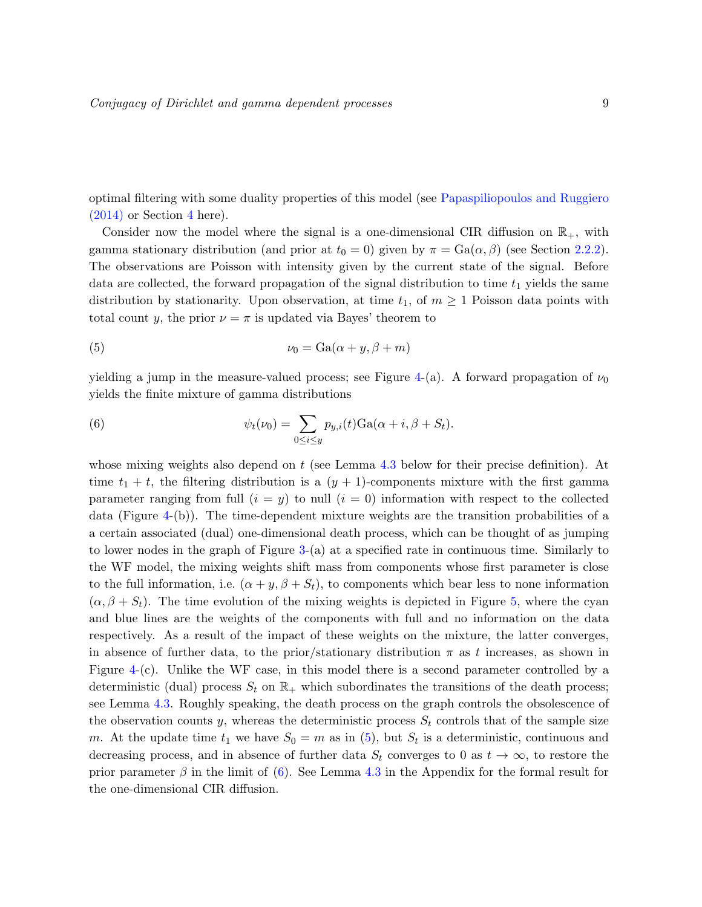optimal filtering with some duality properties of this model (see [Papaspiliopoulos and Ruggiero](#page-39-7)  $(2014)$  or Section [4](#page-24-0) here).

Consider now the model where the signal is a one-dimensional CIR diffusion on  $\mathbb{R}_+$ , with gamma stationary distribution (and prior at  $t_0 = 0$ ) given by  $\pi = \text{Ga}(\alpha, \beta)$  (see Section [2.2.2\)](#page-16-0). The observations are Poisson with intensity given by the current state of the signal. Before data are collected, the forward propagation of the signal distribution to time  $t_1$  yields the same distribution by stationarity. Upon observation, at time  $t_1$ , of  $m \geq 1$  Poisson data points with total count y, the prior  $\nu = \pi$  is updated via Bayes' theorem to

<span id="page-8-0"></span>(5) 
$$
\nu_0 = \text{Ga}(\alpha + y, \beta + m)
$$

yielding a jump in the measure-valued process; see Figure [4-](#page-9-0)(a). A forward propagation of  $\nu_0$ yields the finite mixture of gamma distributions

<span id="page-8-1"></span>(6) 
$$
\psi_t(\nu_0) = \sum_{0 \leq i \leq y} p_{y,i}(t) \text{Ga}(\alpha + i, \beta + S_t).
$$

whose mixing weights also depend on  $t$  (see Lemma [4.3](#page-30-1) below for their precise definition). At time  $t_1 + t$ , the filtering distribution is a  $(y + 1)$ -components mixture with the first gamma parameter ranging from full  $(i = y)$  to null  $(i = 0)$  information with respect to the collected data (Figure [4-](#page-9-0)(b)). The time-dependent mixture weights are the transition probabilities of a a certain associated (dual) one-dimensional death process, which can be thought of as jumping to lower nodes in the graph of Figure [3-](#page-7-0)(a) at a specified rate in continuous time. Similarly to the WF model, the mixing weights shift mass from components whose first parameter is close to the full information, i.e.  $(\alpha + y, \beta + S_t)$ , to components which bear less to none information  $(\alpha, \beta + S_t)$ . The time evolution of the mixing weights is depicted in Figure [5,](#page-10-0) where the cyan and blue lines are the weights of the components with full and no information on the data respectively. As a result of the impact of these weights on the mixture, the latter converges, in absence of further data, to the prior/stationary distribution  $\pi$  as t increases, as shown in Figure [4-](#page-9-0)(c). Unlike the WF case, in this model there is a second parameter controlled by a deterministic (dual) process  $S_t$  on  $\mathbb{R}_+$  which subordinates the transitions of the death process; see Lemma [4.3.](#page-30-1) Roughly speaking, the death process on the graph controls the obsolescence of the observation counts y, whereas the deterministic process  $S_t$  controls that of the sample size m. At the update time  $t_1$  we have  $S_0 = m$  as in [\(5\)](#page-8-0), but  $S_t$  is a deterministic, continuous and decreasing process, and in absence of further data  $S_t$  converges to 0 as  $t \to \infty$ , to restore the prior parameter  $\beta$  in the limit of [\(6\)](#page-8-1). See Lemma [4.3](#page-30-1) in the Appendix for the formal result for the one-dimensional CIR diffusion.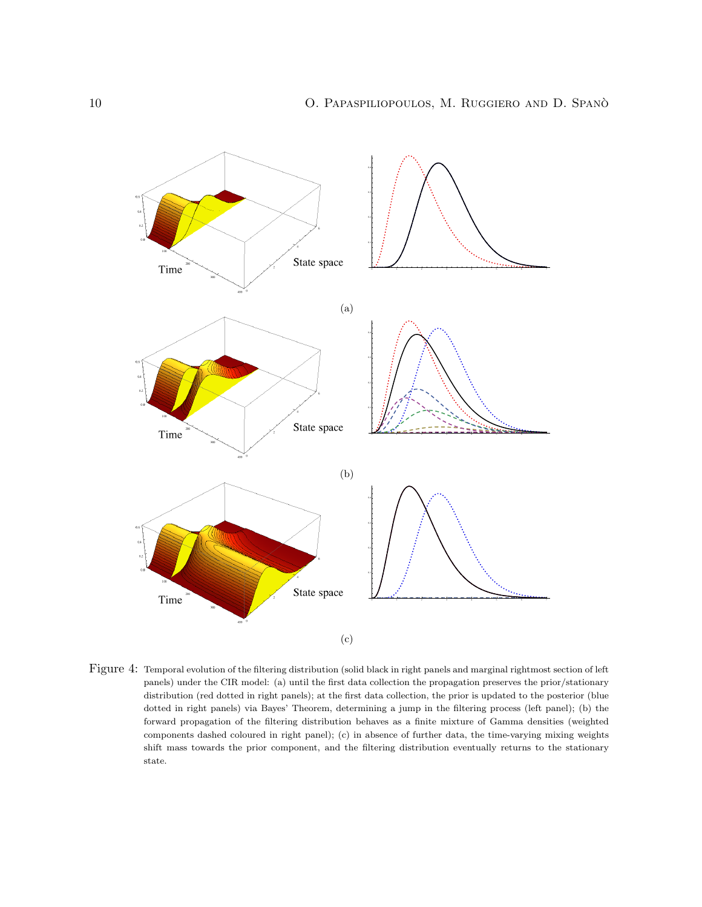<span id="page-9-0"></span>

Figure 4: Temporal evolution of the filtering distribution (solid black in right panels and marginal rightmost section of left panels) under the CIR model: (a) until the first data collection the propagation preserves the prior/stationary distribution (red dotted in right panels); at the first data collection, the prior is updated to the posterior (blue dotted in right panels) via Bayes' Theorem, determining a jump in the filtering process (left panel); (b) the forward propagation of the filtering distribution behaves as a finite mixture of Gamma densities (weighted components dashed coloured in right panel); (c) in absence of further data, the time-varying mixing weights shift mass towards the prior component, and the filtering distribution eventually returns to the stationary state.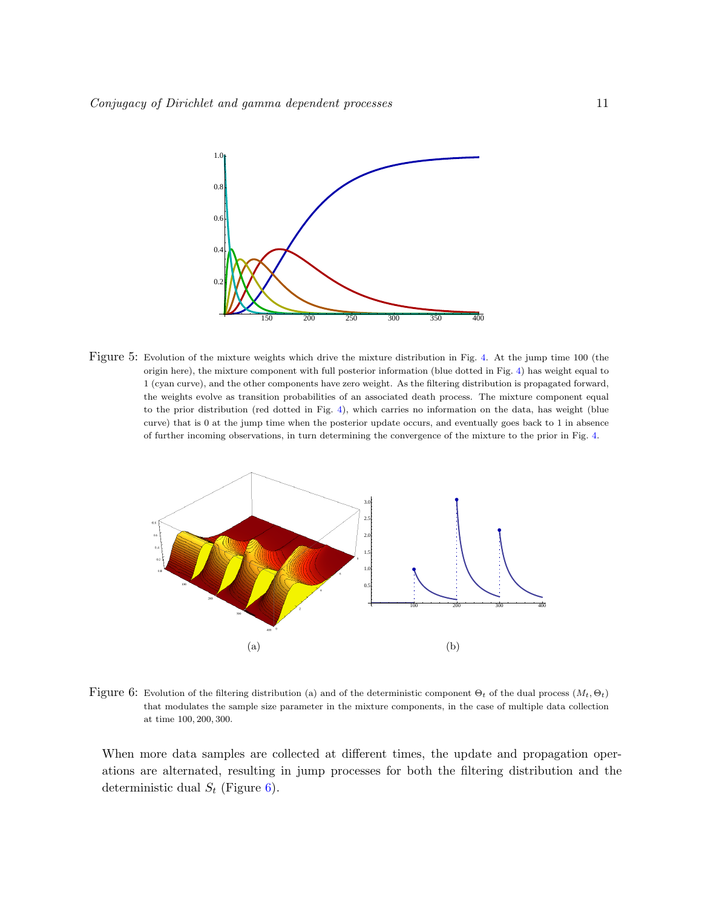<span id="page-10-0"></span>

Figure 5: Evolution of the mixture weights which drive the mixture distribution in Fig. [4.](#page-9-0) At the jump time 100 (the origin here), the mixture component with full posterior information (blue dotted in Fig. [4\)](#page-9-0) has weight equal to 1 (cyan curve), and the other components have zero weight. As the filtering distribution is propagated forward, the weights evolve as transition probabilities of an associated death process. The mixture component equal to the prior distribution (red dotted in Fig. [4\)](#page-9-0), which carries no information on the data, has weight (blue curve) that is 0 at the jump time when the posterior update occurs, and eventually goes back to 1 in absence of further incoming observations, in turn determining the convergence of the mixture to the prior in Fig. [4.](#page-9-0)

<span id="page-10-1"></span>

Figure 6: Evolution of the filtering distribution (a) and of the deterministic component  $\Theta_t$  of the dual process  $(M_t, \Theta_t)$ that modulates the sample size parameter in the mixture components, in the case of multiple data collection at time 100, 200, 300.

When more data samples are collected at different times, the update and propagation operations are alternated, resulting in jump processes for both the filtering distribution and the deterministic dual  $S_t$  (Figure [6\)](#page-10-1).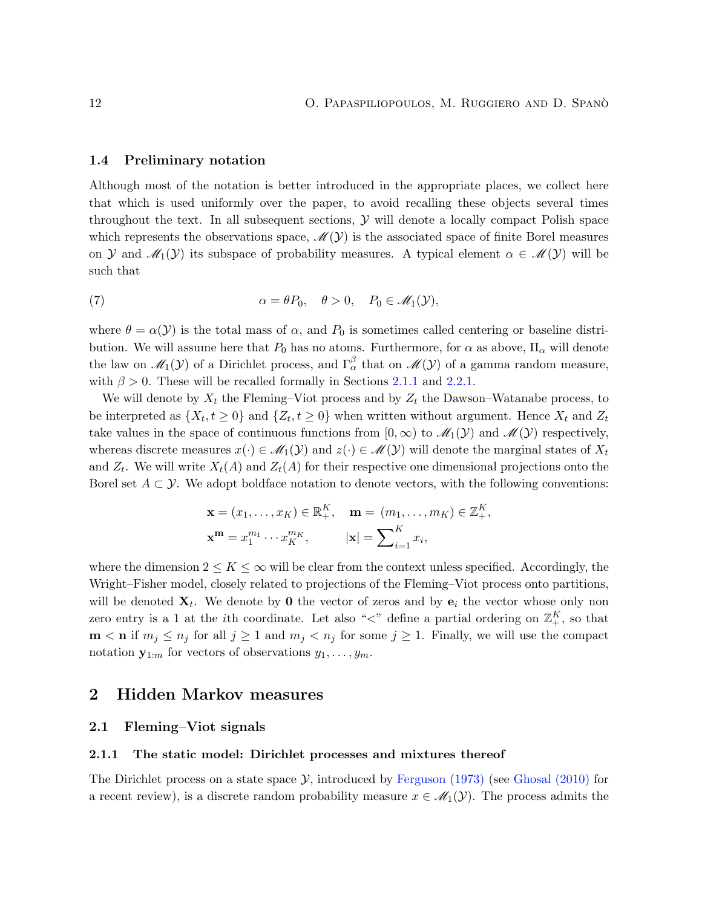#### <span id="page-11-0"></span>1.4 Preliminary notation

Although most of the notation is better introduced in the appropriate places, we collect here that which is used uniformly over the paper, to avoid recalling these objects several times throughout the text. In all subsequent sections,  $\mathcal Y$  will denote a locally compact Polish space which represents the observations space,  $\mathscr{M}(\mathcal{Y})$  is the associated space of finite Borel measures on Y and  $\mathcal{M}_1(\mathcal{Y})$  its subspace of probability measures. A typical element  $\alpha \in \mathcal{M}(\mathcal{Y})$  will be such that

<span id="page-11-4"></span>(7) 
$$
\alpha = \theta P_0, \quad \theta > 0, \quad P_0 \in \mathcal{M}_1(\mathcal{Y}),
$$

where  $\theta = \alpha(\mathcal{Y})$  is the total mass of  $\alpha$ , and  $P_0$  is sometimes called centering or baseline distribution. We will assume here that  $P_0$  has no atoms. Furthermore, for  $\alpha$  as above,  $\Pi_{\alpha}$  will denote the law on  $\mathscr{M}_1(\mathcal{Y})$  of a Dirichlet process, and  $\Gamma_\alpha^\beta$  that on  $\mathscr{M}(\mathcal{Y})$  of a gamma random measure, with  $\beta > 0$ . These will be recalled formally in Sections [2.1.1](#page-11-3) and [2.2.1.](#page-15-1)

We will denote by  $X_t$  the Fleming–Viot process and by  $Z_t$  the Dawson–Watanabe process, to be interpreted as  $\{X_t, t \geq 0\}$  and  $\{Z_t, t \geq 0\}$  when written without argument. Hence  $X_t$  and  $Z_t$ take values in the space of continuous functions from  $[0,\infty)$  to  $\mathscr{M}_1(\mathcal{Y})$  and  $\mathscr{M}(\mathcal{Y})$  respectively, whereas discrete measures  $x(\cdot) \in \mathcal{M}_1(\mathcal{Y})$  and  $z(\cdot) \in \mathcal{M}(\mathcal{Y})$  will denote the marginal states of  $X_t$ and  $Z_t$ . We will write  $X_t(A)$  and  $Z_t(A)$  for their respective one dimensional projections onto the Borel set  $A \subset \mathcal{Y}$ . We adopt boldface notation to denote vectors, with the following conventions:

$$
\mathbf{x} = (x_1, \dots, x_K) \in \mathbb{R}_+^K, \quad \mathbf{m} = (m_1, \dots, m_K) \in \mathbb{Z}_+^K,
$$

$$
\mathbf{x}^m = x_1^{m_1} \cdots x_K^{m_K}, \qquad |\mathbf{x}| = \sum_{i=1}^K x_i,
$$

where the dimension  $2 \leq K \leq \infty$  will be clear from the context unless specified. Accordingly, the Wright–Fisher model, closely related to projections of the Fleming–Viot process onto partitions, will be denoted  $\mathbf{X}_t$ . We denote by 0 the vector of zeros and by  $\mathbf{e}_i$  the vector whose only non zero entry is a 1 at the *i*th coordinate. Let also " $\lt$ " define a partial ordering on  $\mathbb{Z}_+^K$ , so that  $\mathbf{m} < \mathbf{n}$  if  $m_j \leq n_j$  for all  $j \geq 1$  and  $m_j < n_j$  for some  $j \geq 1$ . Finally, we will use the compact notation  $\mathbf{y}_{1:m}$  for vectors of observations  $y_1, \ldots, y_m$ .

## <span id="page-11-1"></span>2 Hidden Markov measures

#### <span id="page-11-2"></span>2.1 Fleming–Viot signals

#### <span id="page-11-3"></span>2.1.1 The static model: Dirichlet processes and mixtures thereof

The Dirichlet process on a state space  $\mathcal{Y}$ , introduced by [Ferguson](#page-38-0) [\(1973\)](#page-38-0) (see [Ghosal](#page-38-6) [\(2010\)](#page-38-6) for a recent review), is a discrete random probability measure  $x \in \mathcal{M}_1(\mathcal{Y})$ . The process admits the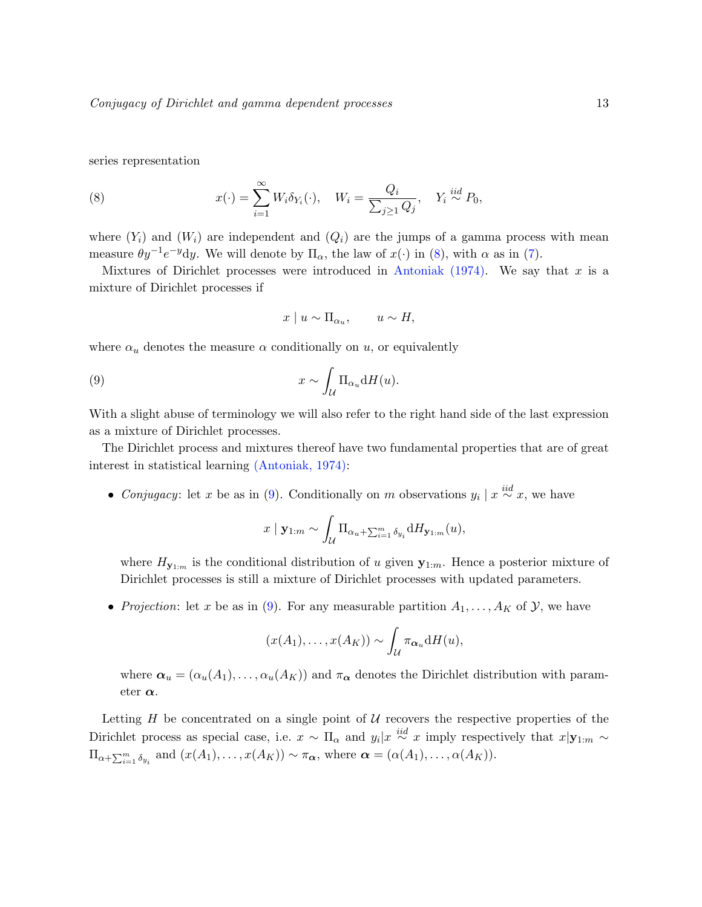series representation

<span id="page-12-0"></span>(8) 
$$
x(\cdot) = \sum_{i=1}^{\infty} W_i \delta_{Y_i}(\cdot), \quad W_i = \frac{Q_i}{\sum_{j\geq 1} Q_j}, \quad Y_i \stackrel{iid}{\sim} P_0,
$$

where  $(Y_i)$  and  $(W_i)$  are independent and  $(Q_i)$  are the jumps of a gamma process with mean measure  $\theta y^{-1}e^{-y}dy$ . We will denote by  $\Pi_{\alpha}$ , the law of  $x(\cdot)$  in [\(8\)](#page-12-0), with  $\alpha$  as in [\(7\)](#page-11-4).

Mixtures of Dirichlet processes were introduced in [Antoniak](#page-37-6)  $(1974)$ . We say that x is a mixture of Dirichlet processes if

<span id="page-12-1"></span>
$$
x \mid u \sim \Pi_{\alpha_u}, \qquad u \sim H,
$$

where  $\alpha_u$  denotes the measure  $\alpha$  conditionally on u, or equivalently

(9) 
$$
x \sim \int_{\mathcal{U}} \Pi_{\alpha_u} dH(u).
$$

With a slight abuse of terminology we will also refer to the right hand side of the last expression as a mixture of Dirichlet processes.

The Dirichlet process and mixtures thereof have two fundamental properties that are of great interest in statistical learning [\(Antoniak,](#page-37-6) [1974\)](#page-37-6):

• Conjugacy: let x be as in [\(9\)](#page-12-1). Conditionally on m observations  $y_i | x \stackrel{iid}{\sim} x$ , we have

$$
x \mid \mathbf{y}_{1:m} \sim \int_{\mathcal{U}} \Pi_{\alpha_u + \sum_{i=1}^m \delta_{y_i}} dH_{\mathbf{y}_{1:m}}(u),
$$

where  $H_{\mathbf{y}_{1:m}}$  is the conditional distribution of u given  $\mathbf{y}_{1:m}$ . Hence a posterior mixture of Dirichlet processes is still a mixture of Dirichlet processes with updated parameters.

• Projection: let x be as in [\(9\)](#page-12-1). For any measurable partition  $A_1, \ldots, A_K$  of  $\mathcal{Y}$ , we have

$$
(x(A_1),\ldots,x(A_K)) \sim \int_{\mathcal{U}} \pi_{\alpha_u} dH(u),
$$

where  $\alpha_u = (\alpha_u(A_1), \dots, \alpha_u(A_K))$  and  $\pi_{\alpha}$  denotes the Dirichlet distribution with parameter  $\alpha$ .

Letting  $H$  be concentrated on a single point of  $U$  recovers the respective properties of the Dirichlet process as special case, i.e.  $x \sim \Pi_{\alpha}$  and  $y_i|x \stackrel{iid}{\sim} x$  imply respectively that  $x|y_{1:m} \sim$  $\Pi_{\alpha+\sum_{i=1}^m \delta_{y_i}}$  and  $(x(A_1),...,x(A_K)) \sim \pi_{\alpha}$ , where  $\alpha = (\alpha(A_1),..., \alpha(A_K)).$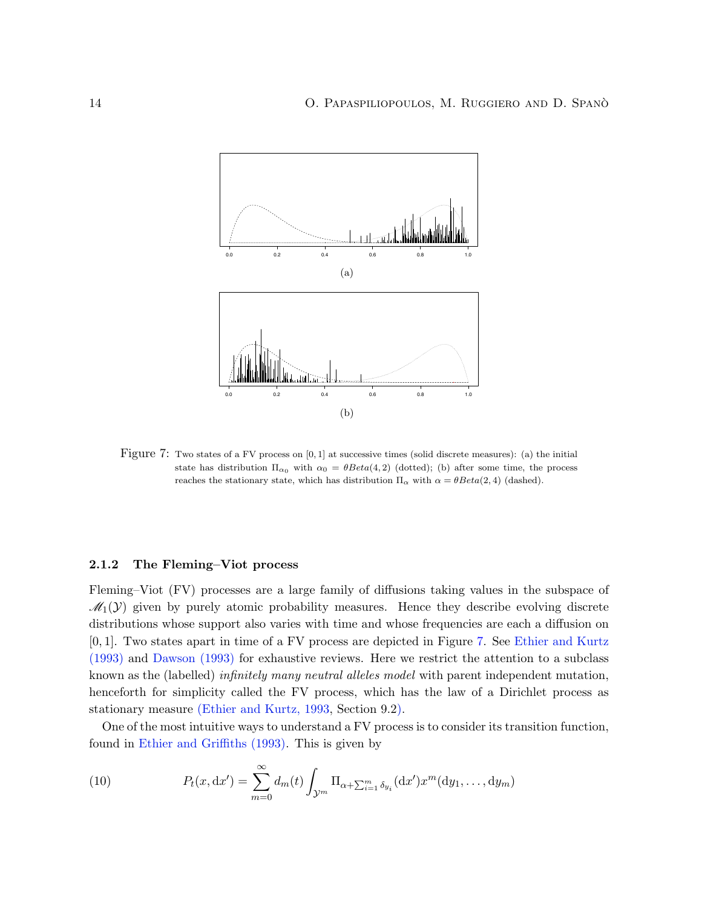<span id="page-13-1"></span>

Figure 7: Two states of a FV process on [0, 1] at successive times (solid discrete measures): (a) the initial state has distribution  $\Pi_{\alpha_0}$  with  $\alpha_0 = \theta Beta(4, 2)$  (dotted); (b) after some time, the process reaches the stationary state, which has distribution  $\Pi_{\alpha}$  with  $\alpha = \theta Beta(2, 4)$  (dashed).

#### <span id="page-13-0"></span>2.1.2 The Fleming–Viot process

Fleming–Viot (FV) processes are a large family of diffusions taking values in the subspace of  $\mathcal{M}_1(\mathcal{Y})$  given by purely atomic probability measures. Hence they describe evolving discrete distributions whose support also varies with time and whose frequencies are each a diffusion on [0, 1]. Two states apart in time of a FV process are depicted in Figure [7.](#page-13-1) See [Ethier and Kurtz](#page-38-7) [\(1993\)](#page-38-7) and [Dawson](#page-38-8) [\(1993\)](#page-38-8) for exhaustive reviews. Here we restrict the attention to a subclass known as the (labelled) *infinitely many neutral alleles model* with parent independent mutation, henceforth for simplicity called the FV process, which has the law of a Dirichlet process as stationary measure [\(Ethier and Kurtz,](#page-38-7) [1993,](#page-38-7) Section 9.2).

One of the most intuitive ways to understand a FV process is to consider its transition function, found in [Ethier and Griffiths](#page-38-9) [\(1993\)](#page-38-9). This is given by

<span id="page-13-2"></span>(10) 
$$
P_t(x, dx') = \sum_{m=0}^{\infty} d_m(t) \int_{\mathcal{Y}^m} \Pi_{\alpha + \sum_{i=1}^m \delta_{y_i}}(dx') x^m(dy_1, ..., dy_m)
$$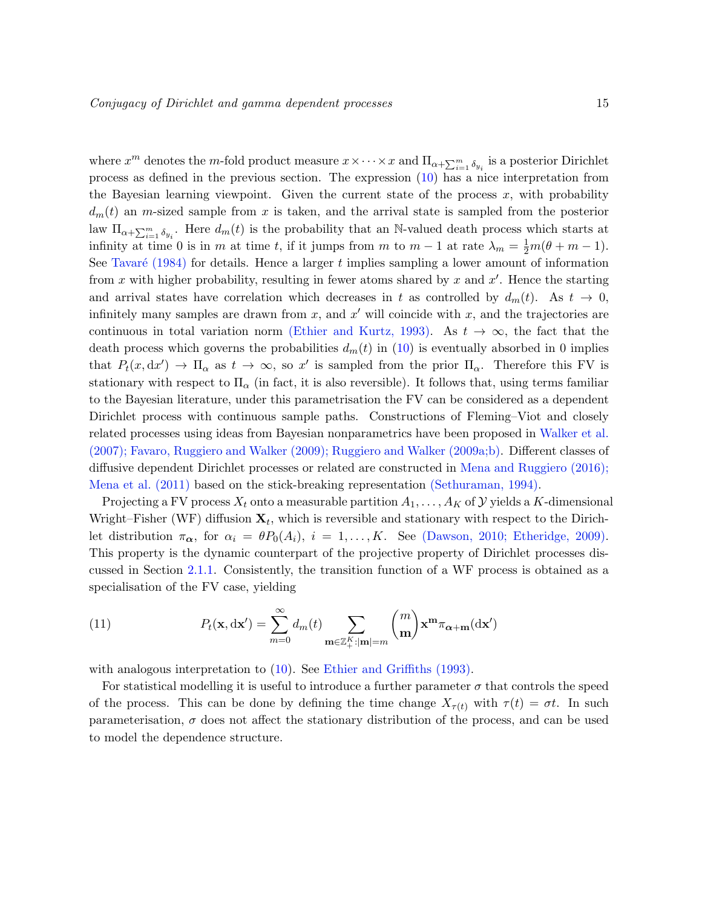where  $x^m$  denotes the m-fold product measure  $x \times \cdots \times x$  and  $\Pi_{\alpha+\sum_{i=1}^m \delta_{y_i}}$  is a posterior Dirichlet process as defined in the previous section. The expression [\(10\)](#page-13-2) has a nice interpretation from the Bayesian learning viewpoint. Given the current state of the process  $x$ , with probability  $d_m(t)$  an m-sized sample from x is taken, and the arrival state is sampled from the posterior law  $\Pi_{\alpha+\sum_{i=1}^m \delta_{y_i}}$ . Here  $d_m(t)$  is the probability that an N-valued death process which starts at infinity at time 0 is in m at time t, if it jumps from m to  $m-1$  at rate  $\lambda_m = \frac{1}{2}m(\theta + m - 1)$ . See Tavaré [\(1984\)](#page-40-5) for details. Hence a larger t implies sampling a lower amount of information from x with higher probability, resulting in fewer atoms shared by x and  $x'$ . Hence the starting and arrival states have correlation which decreases in t as controlled by  $d_m(t)$ . As  $t \to 0$ , infinitely many samples are drawn from x, and  $x'$  will coincide with x, and the trajectories are continuous in total variation norm [\(Ethier and Kurtz,](#page-38-7) [1993\)](#page-38-7). As  $t \to \infty$ , the fact that the death process which governs the probabilities  $d_m(t)$  in [\(10\)](#page-13-2) is eventually absorbed in 0 implies that  $P_t(x, dx') \to \Pi_\alpha$  as  $t \to \infty$ , so x' is sampled from the prior  $\Pi_\alpha$ . Therefore this FV is stationary with respect to  $\Pi_{\alpha}$  (in fact, it is also reversible). It follows that, using terms familiar to the Bayesian literature, under this parametrisation the FV can be considered as a dependent Dirichlet process with continuous sample paths. Constructions of Fleming–Viot and closely related processes using ideas from Bayesian nonparametrics have been proposed in [Walker et al.](#page-40-4) [\(2007\)](#page-40-4); [Favaro, Ruggiero and Walker](#page-38-10) [\(2009\)](#page-38-10); [Ruggiero and Walker](#page-39-8) [\(2009a;](#page-39-8)[b\)](#page-39-9). Different classes of diffusive dependent Dirichlet processes or related are constructed in [Mena and Ruggiero](#page-39-4) [\(2016\)](#page-39-4); [Mena et al.](#page-39-10) [\(2011\)](#page-39-10) based on the stick-breaking representation [\(Sethuraman,](#page-40-0) [1994\)](#page-40-0).

Projecting a FV process  $X_t$  onto a measurable partition  $A_1, \ldots, A_K$  of  $\mathcal Y$  yields a K-dimensional Wright–Fisher (WF) diffusion  $\mathbf{X}_t$ , which is reversible and stationary with respect to the Dirichlet distribution  $\pi_{\alpha}$ , for  $\alpha_i = \theta P_0(A_i)$ ,  $i = 1, ..., K$ . See [\(Dawson,](#page-38-11) [2010;](#page-38-11) [Etheridge,](#page-38-12) [2009\)](#page-38-12). This property is the dynamic counterpart of the projective property of Dirichlet processes discussed in Section [2.1.1.](#page-11-3) Consistently, the transition function of a WF process is obtained as a specialisation of the FV case, yielding

(11) 
$$
P_t(\mathbf{x}, d\mathbf{x}') = \sum_{m=0}^{\infty} d_m(t) \sum_{\mathbf{m} \in \mathbb{Z}_+^K : |\mathbf{m}| = m} {m \choose \mathbf{m}} \mathbf{x}^{\mathbf{m}} \pi_{\alpha + \mathbf{m}}(d\mathbf{x}')
$$

with analogous interpretation to [\(10\)](#page-13-2). See [Ethier and Griffiths](#page-38-9) [\(1993\)](#page-38-9).

For statistical modelling it is useful to introduce a further parameter  $\sigma$  that controls the speed of the process. This can be done by defining the time change  $X_{\tau(t)}$  with  $\tau(t) = \sigma t$ . In such parameterisation,  $\sigma$  does not affect the stationary distribution of the process, and can be used to model the dependence structure.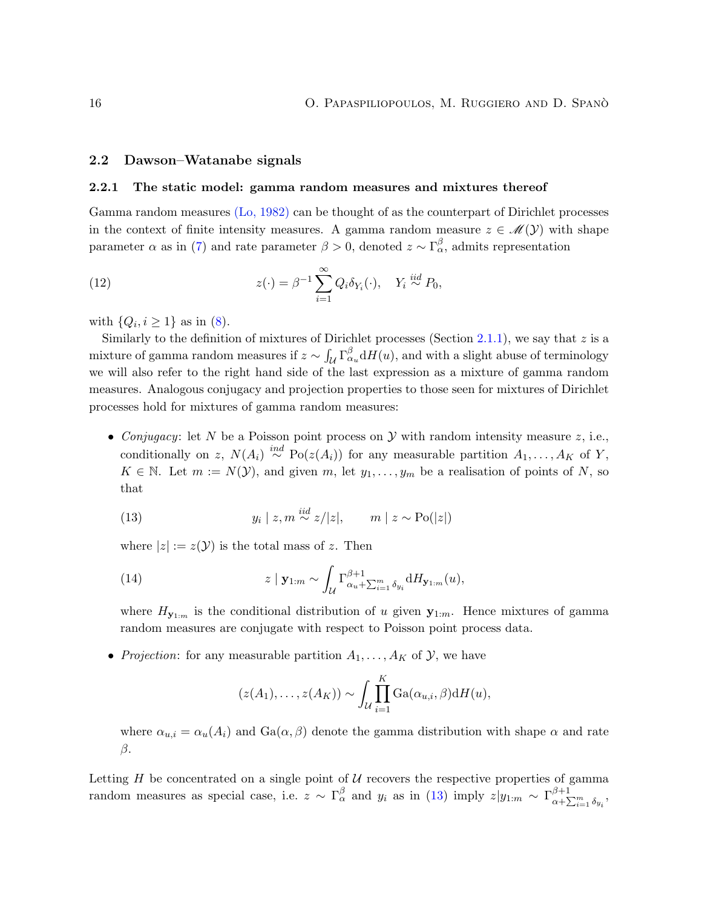#### <span id="page-15-0"></span>2.2 Dawson–Watanabe signals

#### <span id="page-15-1"></span>2.2.1 The static model: gamma random measures and mixtures thereof

Gamma random measures [\(Lo,](#page-39-6) [1982\)](#page-39-6) can be thought of as the counterpart of Dirichlet processes in the context of finite intensity measures. A gamma random measure  $z \in \mathcal{M}(\mathcal{Y})$  with shape parameter  $\alpha$  as in [\(7\)](#page-11-4) and rate parameter  $\beta > 0$ , denoted  $z \sim \Gamma_{\alpha}^{\beta}$ , admits representation

<span id="page-15-3"></span>(12) 
$$
z(\cdot) = \beta^{-1} \sum_{i=1}^{\infty} Q_i \delta_{Y_i}(\cdot), \quad Y_i \stackrel{iid}{\sim} P_0,
$$

with  $\{Q_i, i \geq 1\}$  as in [\(8\)](#page-12-0).

Similarly to the definition of mixtures of Dirichlet processes (Section [2.1.1\)](#page-11-3), we say that  $z$  is a mixture of gamma random measures if  $z \sim \int_{\mathcal{U}} \Gamma_{\alpha}^{\beta} dH(u)$ , and with a slight abuse of terminology we will also refer to the right hand side of the last expression as a mixture of gamma random measures. Analogous conjugacy and projection properties to those seen for mixtures of Dirichlet processes hold for mixtures of gamma random measures:

• Conjugacy: let N be a Poisson point process on  $\mathcal Y$  with random intensity measure z, i.e., conditionally on z,  $N(A_i) \stackrel{ind}{\sim} Po(z(A_i))$  for any measurable partition  $A_1, \ldots, A_K$  of Y,  $K \in \mathbb{N}$ . Let  $m := N(\mathcal{Y})$ , and given  $m$ , let  $y_1, \ldots, y_m$  be a realisation of points of N, so that

<span id="page-15-2"></span>(13) 
$$
y_i \mid z, m \stackrel{iid}{\sim} z/|z|, \qquad m \mid z \sim \text{Po}(|z|)
$$

where  $|z| := z(\mathcal{Y})$  is the total mass of z. Then

(14) 
$$
z \mid \mathbf{y}_{1:m} \sim \int_{\mathcal{U}} \Gamma_{\alpha_u + \sum_{i=1}^m \delta_{y_i}}^{\beta+1} dH_{\mathbf{y}_{1:m}}(u),
$$

where  $H_{\mathbf{v}_{1:m}}$  is the conditional distribution of u given  $\mathbf{y}_{1:m}$ . Hence mixtures of gamma random measures are conjugate with respect to Poisson point process data.

• Projection: for any measurable partition  $A_1, \ldots, A_K$  of  $\mathcal{Y}$ , we have

<span id="page-15-4"></span>
$$
(z(A_1),...,z(A_K)) \sim \int_{\mathcal{U}} \prod_{i=1}^K \text{Ga}(\alpha_{u,i}, \beta) dH(u),
$$

where  $\alpha_{u,i} = \alpha_u(A_i)$  and  $Ga(\alpha, \beta)$  denote the gamma distribution with shape  $\alpha$  and rate β.

Letting  $H$  be concentrated on a single point of  $U$  recovers the respective properties of gamma random measures as special case, i.e.  $z \sim \Gamma_\alpha^\beta$  and  $y_i$  as in [\(13\)](#page-15-2) imply  $z|y_{1:m} \sim \Gamma_{\alpha+\Sigma}^{\beta+1}$  $\alpha + \sum_{i=1}^m \delta_{y_i}$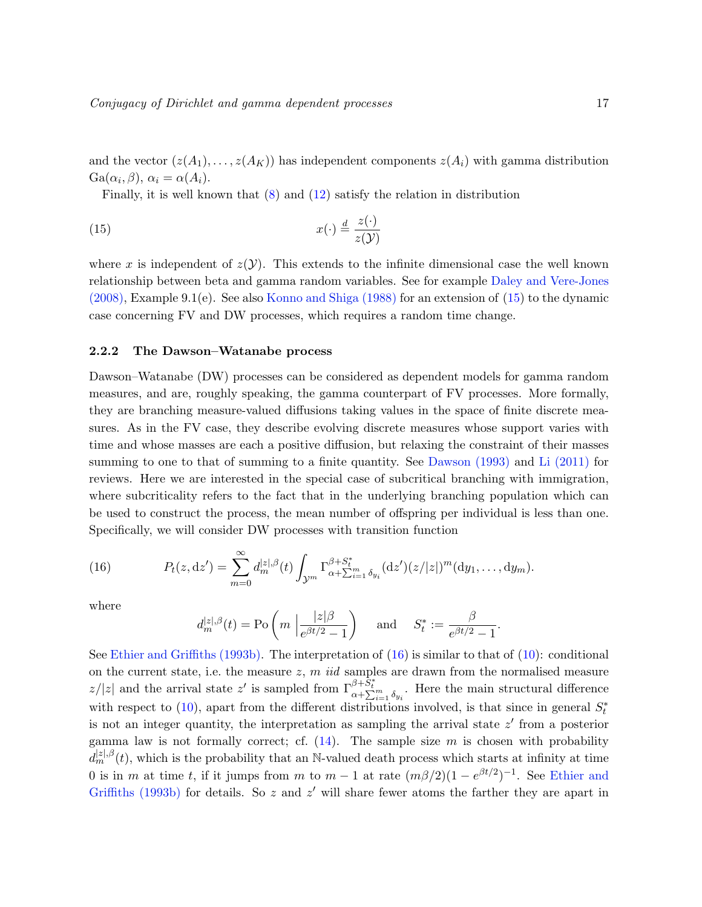and the vector  $(z(A_1), \ldots, z(A_K))$  has independent components  $z(A_i)$  with gamma distribution  $Ga(\alpha_i, \beta), \alpha_i = \alpha(A_i).$ 

<span id="page-16-1"></span>Finally, it is well known that [\(8\)](#page-12-0) and [\(12\)](#page-15-3) satisfy the relation in distribution

(15) 
$$
x(\cdot) \stackrel{d}{=} \frac{z(\cdot)}{z(\mathcal{Y})}
$$

where x is independent of  $z(Y)$ . This extends to the infinite dimensional case the well known relationship between beta and gamma random variables. See for example [Daley and Vere-Jones](#page-38-13) [\(2008\)](#page-38-13), Example 9.1(e). See also [Konno and Shiga](#page-39-11) [\(1988\)](#page-39-11) for an extension of [\(15\)](#page-16-1) to the dynamic case concerning FV and DW processes, which requires a random time change.

#### <span id="page-16-0"></span>2.2.2 The Dawson–Watanabe process

Dawson–Watanabe (DW) processes can be considered as dependent models for gamma random measures, and are, roughly speaking, the gamma counterpart of FV processes. More formally, they are branching measure-valued diffusions taking values in the space of finite discrete measures. As in the FV case, they describe evolving discrete measures whose support varies with time and whose masses are each a positive diffusion, but relaxing the constraint of their masses summing to one to that of summing to a finite quantity. See [Dawson](#page-38-8) [\(1993\)](#page-38-8) and [Li](#page-39-12) [\(2011\)](#page-39-12) for reviews. Here we are interested in the special case of subcritical branching with immigration, where subcriticality refers to the fact that in the underlying branching population which can be used to construct the process, the mean number of offspring per individual is less than one. Specifically, we will consider DW processes with transition function

(16) 
$$
P_t(z, dz') = \sum_{m=0}^{\infty} d_m^{|z|, \beta}(t) \int_{\mathcal{Y}^m} \Gamma_{\alpha + \sum_{i=1}^{\beta + S_t^*}}^{\beta + S_t^*} (dz')(z/|z|)^m (dy_1, \dots, dy_m).
$$

where

<span id="page-16-2"></span>
$$
d_m^{|z|, \beta}(t) = \text{Po}\left(m \mid \frac{|z|\beta}{e^{\beta t/2} - 1}\right)
$$
 and  $S_t^* := \frac{\beta}{e^{\beta t/2} - 1}$ .

See [Ethier and Griffiths](#page-38-14) [\(1993b\)](#page-38-14). The interpretation of [\(16\)](#page-16-2) is similar to that of [\(10\)](#page-13-2): conditional on the current state, i.e. the measure  $z, m$  *iid* samples are drawn from the normalised measure  $|z/|z|$  and the arrival state  $z'$  is sampled from  $\Gamma^{\beta+\tilde{S}^*}_{\alpha+\sum_{i=1}^m \delta_{y_i}}$ . Here the main structural difference with respect to  $(10)$ , apart from the different distributions involved, is that since in general  $S_t^*$ is not an integer quantity, the interpretation as sampling the arrival state  $z'$  from a posterior gamma law is not formally correct; cf.  $(14)$ . The sample size m is chosen with probability  $d_m^{[z],\beta}(t)$ , which is the probability that an N-valued death process which starts at infinity at time 0 is in m at time t, if it jumps from m to  $m-1$  at rate  $(m\beta/2)(1-e^{\beta t/2})^{-1}$ . See [Ethier and](#page-38-14) [Griffiths](#page-38-14) [\(1993b\)](#page-38-14) for details. So  $z$  and  $z'$  will share fewer atoms the farther they are apart in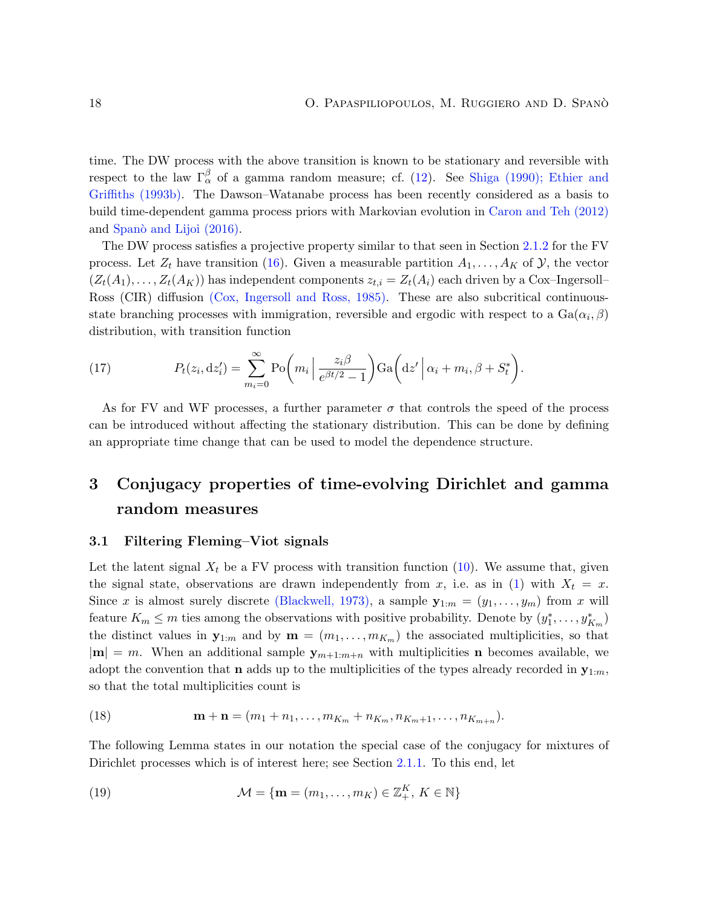time. The DW process with the above transition is known to be stationary and reversible with respect to the law  $\Gamma_\alpha^\beta$  of a gamma random measure; cf. [\(12\)](#page-15-3). See [Shiga](#page-40-6) [\(1990\)](#page-40-6); [Ethier and](#page-38-14) [Griffiths](#page-38-14) [\(1993b\)](#page-38-14). The Dawson–Watanabe process has been recently considered as a basis to build time-dependent gamma process priors with Markovian evolution in [Caron and Teh](#page-37-2) [\(2012\)](#page-37-2) and Spanò and Lijoi [\(2016\)](#page-40-7).

The DW process satisfies a projective property similar to that seen in Section [2.1.2](#page-13-0) for the FV process. Let  $Z_t$  have transition [\(16\)](#page-16-2). Given a measurable partition  $A_1, \ldots, A_K$  of  $\mathcal{Y}$ , the vector  $(Z_t(A_1), \ldots, Z_t(A_K))$  has independent components  $z_{t,i} = Z_t(A_i)$  each driven by a Cox–Ingersoll– Ross (CIR) diffusion [\(Cox, Ingersoll and Ross,](#page-37-7) [1985\)](#page-37-7). These are also subcritical continuousstate branching processes with immigration, reversible and ergodic with respect to a  $Ga(\alpha_i, \beta)$ distribution, with transition function

(17) 
$$
P_t(z_i, dz'_i) = \sum_{m_i=0}^{\infty} \text{Po}\bigg(m_i \left| \frac{z_i \beta}{e^{\beta t/2} - 1} \right) \text{Ga}\bigg(\text{d}z' \left| \alpha_i + m_i, \beta + S_t^* \right).
$$

As for FV and WF processes, a further parameter  $\sigma$  that controls the speed of the process can be introduced without affecting the stationary distribution. This can be done by defining an appropriate time change that can be used to model the dependence structure.

## <span id="page-17-0"></span>3 Conjugacy properties of time-evolving Dirichlet and gamma random measures

### <span id="page-17-1"></span>3.1 Filtering Fleming–Viot signals

Let the latent signal  $X_t$  be a FV process with transition function [\(10\)](#page-13-2). We assume that, given the signal state, observations are drawn independently from x, i.e. as in [\(1\)](#page-3-0) with  $X_t = x$ . Since x is almost surely discrete [\(Blackwell,](#page-37-8) [1973\)](#page-37-8), a sample  $\mathbf{y}_{1:m} = (y_1, \ldots, y_m)$  from x will feature  $K_m \leq m$  ties among the observations with positive probability. Denote by  $(y_1^*, \ldots, y_{K_m}^*)$ the distinct values in  $\mathbf{y}_{1:m}$  and by  $\mathbf{m} = (m_1, \ldots, m_{K_m})$  the associated multiplicities, so that  $|m| = m$ . When an additional sample  $y_{m+1:m+n}$  with multiplicities **n** becomes available, we adopt the convention that **n** adds up to the multiplicities of the types already recorded in  $\mathbf{y}_{1:m}$ . so that the total multiplicities count is

<span id="page-17-3"></span>(18) 
$$
\mathbf{m} + \mathbf{n} = (m_1 + n_1, \dots, m_{K_m} + n_{K_m}, n_{K_m+1}, \dots, n_{K_{m+n}}).
$$

The following Lemma states in our notation the special case of the conjugacy for mixtures of Dirichlet processes which is of interest here; see Section [2.1.1.](#page-11-3) To this end, let

<span id="page-17-2"></span>(19) 
$$
\mathcal{M} = \{ \mathbf{m} = (m_1, \dots, m_K) \in \mathbb{Z}_+^K, K \in \mathbb{N} \}
$$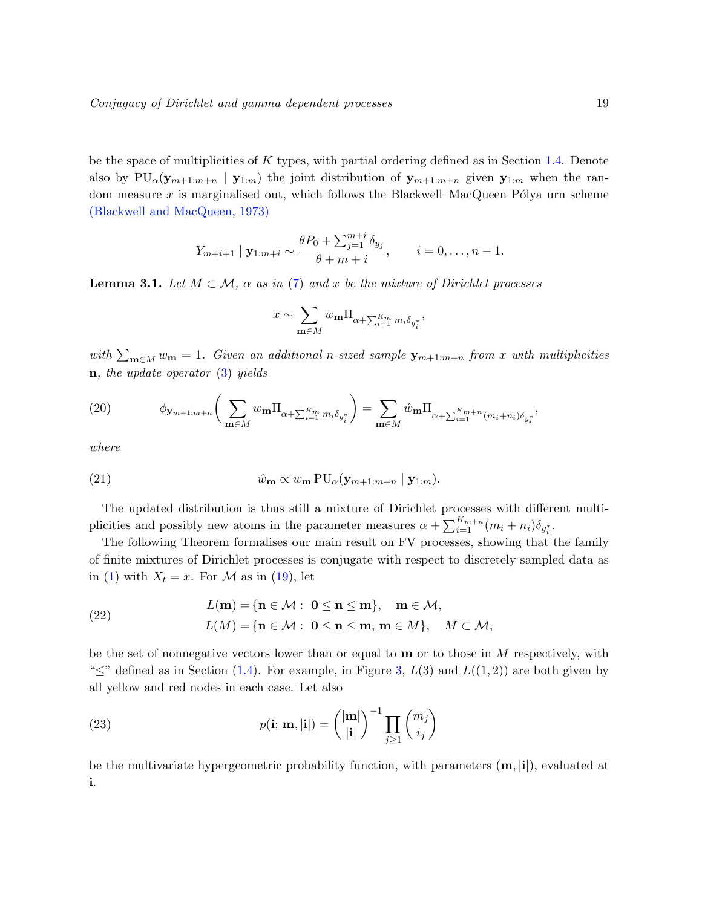be the space of multiplicities of K types, with partial ordering defined as in Section [1.4.](#page-11-0) Denote also by  $PU_{\alpha}(y_{m+1:m+n} | y_{1:m})$  the joint distribution of  $y_{m+1:m+n}$  given  $y_{1:m}$  when the random measure  $x$  is marginalised out, which follows the Blackwell–MacQueen Pólya urn scheme [\(Blackwell and MacQueen,](#page-37-9) [1973\)](#page-37-9)

$$
Y_{m+i+1} | \mathbf{y}_{1:m+i} \sim \frac{\theta P_0 + \sum_{j=1}^{m+i} \delta_{y_j}}{\theta + m + i}, \qquad i = 0, \dots, n-1.
$$

<span id="page-18-2"></span>**Lemma 3.1.** Let  $M \subset \mathcal{M}$ ,  $\alpha$  as in [\(7\)](#page-11-4) and x be the mixture of Dirichlet processes

<span id="page-18-3"></span>
$$
x \sim \sum_{\mathbf{m}\in M} w_{\mathbf{m}} \Pi_{\alpha + \sum_{i=1}^{K_m} m_i \delta_{y_i^*}},
$$

with  $\sum_{\mathbf{m}\in M} w_{\mathbf{m}} = 1$ . Given an additional n-sized sample  $\mathbf{y}_{m+1:m+n}$  from x with multiplicities  $n, the update operator (3) yields$  $n, the update operator (3) yields$  $n, the update operator (3) yields$ 

(20) 
$$
\phi_{\mathbf{y}_{m+1:m+n}} \bigg( \sum_{\mathbf{m} \in M} w_{\mathbf{m}} \Pi_{\alpha + \sum_{i=1}^{K_m} m_i \delta_{y_i^*}} \bigg) = \sum_{\mathbf{m} \in M} \hat{w}_{\mathbf{m}} \Pi_{\alpha + \sum_{i=1}^{K_m+n} (m_i + n_i) \delta_{y_i^*}},
$$

where

(21) 
$$
\hat{w}_{\mathbf{m}} \propto w_{\mathbf{m}} \operatorname{PU}_{\alpha}(\mathbf{y}_{m+1:m+n} \mid \mathbf{y}_{1:m}).
$$

The updated distribution is thus still a mixture of Dirichlet processes with different multiplicities and possibly new atoms in the parameter measures  $\alpha + \sum_{i=1}^{K_{m+n}} (m_i + n_i) \delta_{y_i^*}$ .

The following Theorem formalises our main result on FV processes, showing that the family of finite mixtures of Dirichlet processes is conjugate with respect to discretely sampled data as in [\(1\)](#page-3-0) with  $X_t = x$ . For M as in [\(19\)](#page-17-2), let

<span id="page-18-0"></span>(22) 
$$
L(\mathbf{m}) = \{ \mathbf{n} \in \mathcal{M} : \mathbf{0} \le \mathbf{n} \le \mathbf{m} \}, \quad \mathbf{m} \in \mathcal{M},
$$

$$
L(M) = \{ \mathbf{n} \in \mathcal{M} : \mathbf{0} \le \mathbf{n} \le \mathbf{m}, \mathbf{m} \in M \}, \quad M \subset \mathcal{M},
$$

be the set of nonnegative vectors lower than or equal to  $\bf{m}$  or to those in  $M$  respectively, with " $\leq$ " defined as in Section [\(1.4\)](#page-11-0). For example, in Figure [3,](#page-7-0)  $L(3)$  and  $L((1,2))$  are both given by all yellow and red nodes in each case. Let also

<span id="page-18-1"></span>(23) 
$$
p(\mathbf{i}; \mathbf{m}, |\mathbf{i}|) = \binom{|\mathbf{m}|}{|\mathbf{i}|}^{-1} \prod_{j \geq 1} \binom{m_j}{i_j}
$$

be the multivariate hypergeometric probability function, with parameters  $(m, i|i)$ , evaluated at i.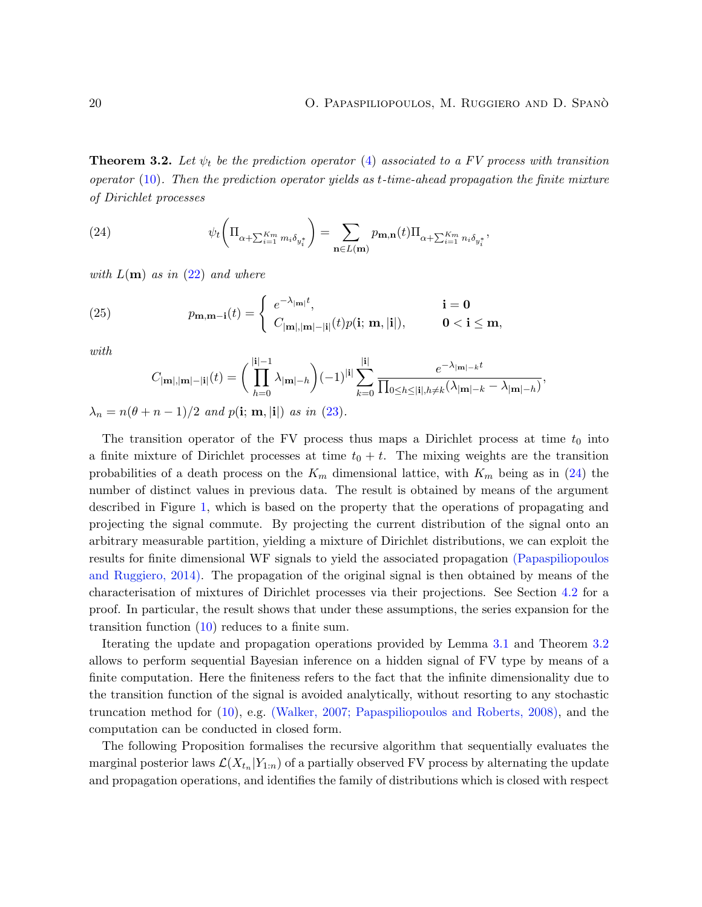<span id="page-19-0"></span>**Theorem 3.2.** Let  $\psi_t$  be the prediction operator [\(4\)](#page-6-1) associated to a FV process with transition operator  $(10)$ . Then the prediction operator yields as t-time-ahead propagation the finite mixture of Dirichlet processes

<span id="page-19-1"></span>(24) 
$$
\psi_t \left( \Pi_{\alpha + \sum_{i=1}^{K_m} m_i \delta_{y_i^*}} \right) = \sum_{\mathbf{n} \in L(\mathbf{m})} p_{\mathbf{m}, \mathbf{n}}(t) \Pi_{\alpha + \sum_{i=1}^{K_m} n_i \delta_{y_i^*}},
$$

with  $L(\mathbf{m})$  as in [\(22\)](#page-18-0) and where

(25) 
$$
p_{\mathbf{m}, \mathbf{m}-\mathbf{i}}(t) = \begin{cases} e^{-\lambda_{|\mathbf{m}|}t}, & \mathbf{i} = \mathbf{0} \\ C_{|\mathbf{m}|, |\mathbf{m}| - |\mathbf{i}|}(t)p(\mathbf{i}; \mathbf{m}, |\mathbf{i}|), & \mathbf{0} < \mathbf{i} \leq \mathbf{m}, \end{cases}
$$

with

<span id="page-19-2"></span>
$$
C_{|\mathbf{m}|,|\mathbf{m}|-|\mathbf{i}|}(t) = \bigg(\prod_{h=0}^{|\mathbf{i}|-1} \lambda_{|\mathbf{m}|-h}\bigg)(-1)^{|\mathbf{i}|} \sum_{k=0}^{|\mathbf{i}|} \frac{e^{-\lambda_{|\mathbf{m}|-k}t}}{\prod_{0 \le h \le |\mathbf{i}|, h \ne k} (\lambda_{|\mathbf{m}|-k} - \lambda_{|\mathbf{m}|-h})},
$$

 $\lambda_n = n(\theta + n - 1)/2$  and  $p(i; \mathbf{m}, |\mathbf{i}|)$  as in [\(23\)](#page-18-1).

The transition operator of the FV process thus maps a Dirichlet process at time  $t_0$  into a finite mixture of Dirichlet processes at time  $t_0 + t$ . The mixing weights are the transition probabilities of a death process on the  $K_m$  dimensional lattice, with  $K_m$  being as in [\(24\)](#page-19-1) the number of distinct values in previous data. The result is obtained by means of the argument described in Figure [1,](#page-4-0) which is based on the property that the operations of propagating and projecting the signal commute. By projecting the current distribution of the signal onto an arbitrary measurable partition, yielding a mixture of Dirichlet distributions, we can exploit the results for finite dimensional WF signals to yield the associated propagation [\(Papaspiliopoulos](#page-39-7) [and Ruggiero,](#page-39-7) [2014\)](#page-39-7). The propagation of the original signal is then obtained by means of the characterisation of mixtures of Dirichlet processes via their projections. See Section [4.2](#page-26-0) for a proof. In particular, the result shows that under these assumptions, the series expansion for the transition function [\(10\)](#page-13-2) reduces to a finite sum.

Iterating the update and propagation operations provided by Lemma [3.1](#page-18-2) and Theorem [3.2](#page-19-0) allows to perform sequential Bayesian inference on a hidden signal of FV type by means of a finite computation. Here the finiteness refers to the fact that the infinite dimensionality due to the transition function of the signal is avoided analytically, without resorting to any stochastic truncation method for [\(10\)](#page-13-2), e.g. [\(Walker,](#page-40-8) [2007;](#page-40-8) [Papaspiliopoulos and Roberts,](#page-39-13) [2008\)](#page-39-13), and the computation can be conducted in closed form.

The following Proposition formalises the recursive algorithm that sequentially evaluates the marginal posterior laws  $\mathcal{L}(X_{t_n}|Y_{1:n})$  of a partially observed FV process by alternating the update and propagation operations, and identifies the family of distributions which is closed with respect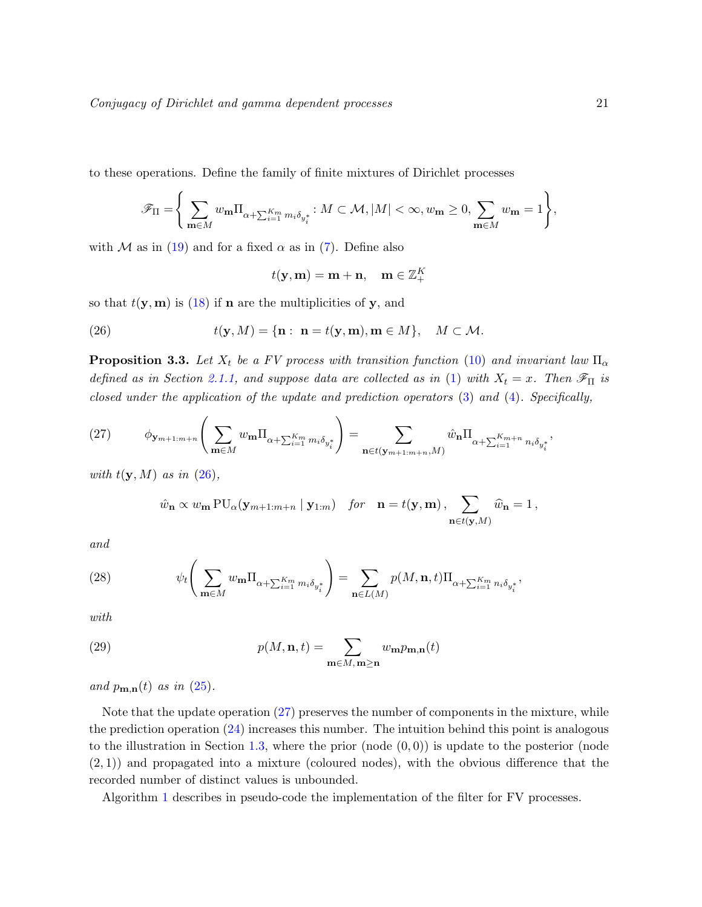to these operations. Define the family of finite mixtures of Dirichlet processes

$$
\mathscr{F}_{\Pi} = \Bigg\{\sum_{\mathbf{m} \in M} w_{\mathbf{m}} \Pi_{\alpha + \sum_{i=1}^{K_m} m_i \delta_{y_i^*}} \colon M \subset \mathcal{M}, |M| < \infty, w_{\mathbf{m}} \ge 0, \sum_{\mathbf{m} \in M} w_{\mathbf{m}} = 1 \Bigg\},\
$$

with M as in [\(19\)](#page-17-2) and for a fixed  $\alpha$  as in [\(7\)](#page-11-4). Define also

<span id="page-20-1"></span>
$$
t(\mathbf{y}, \mathbf{m}) = \mathbf{m} + \mathbf{n}, \quad \mathbf{m} \in \mathbb{Z}_+^K
$$

so that  $t(\mathbf{y}, \mathbf{m})$  is [\(18\)](#page-17-3) if **n** are the multiplicities of **y**, and

(26) 
$$
t(\mathbf{y},M) = {\mathbf{n} : \mathbf{n} = t(\mathbf{y},\mathbf{m}), \mathbf{m} \in M}, \quad M \subset \mathcal{M}.
$$

<span id="page-20-0"></span>**Proposition 3.3.** Let  $X_t$  be a FV process with transition function [\(10\)](#page-13-2) and invariant law  $\Pi_{\alpha}$ defined as in Section [2.1.1,](#page-11-3) and suppose data are collected as in [\(1\)](#page-3-0) with  $X_t = x$ . Then  $\mathscr{F}_{\Pi}$  is closed under the application of the update and prediction operators [\(3\)](#page-5-3) and [\(4\)](#page-6-1). Specifically,

<span id="page-20-2"></span>(27) 
$$
\phi_{\mathbf{y}_{m+1:m+n}}\left(\sum_{\mathbf{m}\in M} w_{\mathbf{m}} \Pi_{\alpha+\sum_{i=1}^{K_m} m_i \delta_{y_i^*}}\right) = \sum_{\mathbf{n}\in t(\mathbf{y}_{m+1:m+n},M)} \hat{w}_{\mathbf{n}} \Pi_{\alpha+\sum_{i=1}^{K_m+n} n_i \delta_{y_i^*}},
$$

with  $t(y, M)$  as in  $(26)$ ,

<span id="page-20-4"></span>
$$
\hat{w}_{\mathbf{n}} \propto w_{\mathbf{m}} \operatorname{PU}_{\alpha}(\mathbf{y}_{m+1:m+n} \mid \mathbf{y}_{1:m}) \quad \text{for} \quad \mathbf{n} = t(\mathbf{y}, \mathbf{m}), \sum_{\mathbf{n} \in t(\mathbf{y}, M)} \hat{w}_{\mathbf{n}} = 1,
$$

and

(28) 
$$
\psi_t\left(\sum_{\mathbf{m}\in M} w_{\mathbf{m}} \Pi_{\alpha+\sum_{i=1}^{K_m} m_i \delta_{y_i^*}}\right) = \sum_{\mathbf{n}\in L(M)} p(M, \mathbf{n}, t) \Pi_{\alpha+\sum_{i=1}^{K_m} n_i \delta_{y_i^*}},
$$

with

<span id="page-20-3"></span>(29) 
$$
p(M, \mathbf{n}, t) = \sum_{\mathbf{m} \in M, \mathbf{m} \ge \mathbf{n}} w_{\mathbf{m}} p_{\mathbf{m}, \mathbf{n}}(t)
$$

and  $p_{\mathbf{m},\mathbf{n}}(t)$  as in [\(25\)](#page-19-2).

Note that the update operation [\(27\)](#page-20-2) preserves the number of components in the mixture, while the prediction operation [\(24\)](#page-19-1) increases this number. The intuition behind this point is analogous to the illustration in Section [1.3,](#page-6-0) where the prior (node  $(0, 0)$ ) is update to the posterior (node  $(2, 1)$ ) and propagated into a mixture (coloured nodes), with the obvious difference that the recorded number of distinct values is unbounded.

Algorithm [1](#page-21-1) describes in pseudo-code the implementation of the filter for FV processes.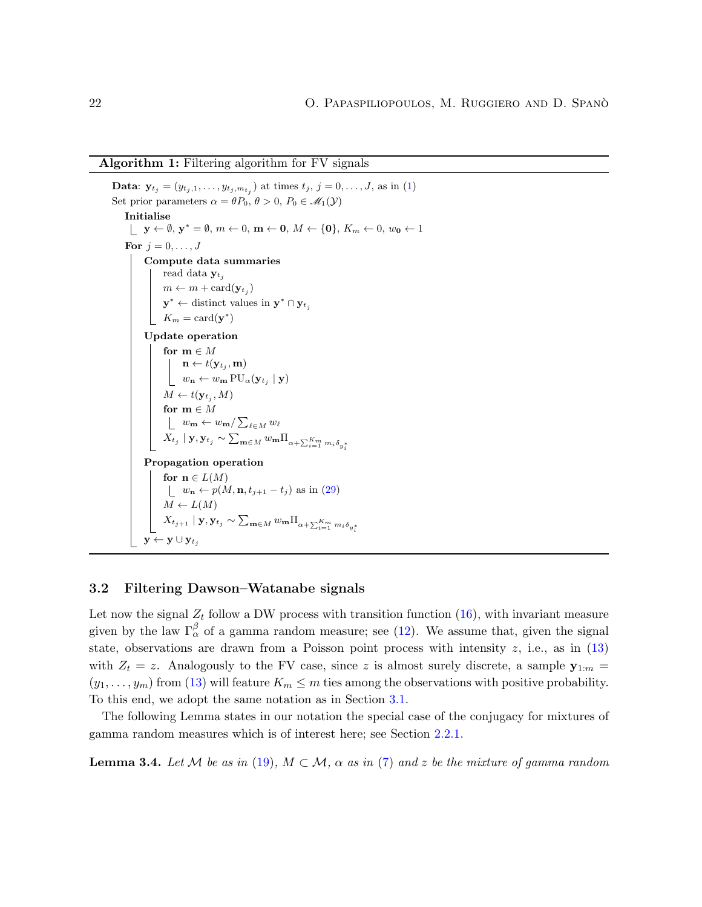#### Algorithm 1: Filtering algorithm for FV signals

```
Data: \mathbf{y}_{t_j} = (y_{t_j,1}, \ldots, y_{t_j, m_{t_j}}) at times t_j, j = 0, \ldots, J (1)
Set prior parameters \alpha = \theta P_0, \theta > 0, P_0 \in \mathcal{M}_1(\mathcal{Y})Initialise
               \mathbf{y} \leftarrow \emptyset, \mathbf{y}^* = \emptyset, m \leftarrow 0, \mathbf{m} \leftarrow \mathbf{0}, M \leftarrow \{\mathbf{0}\}, K_m \leftarrow 0, w_{\mathbf{0}} \leftarrow 1For j = 0, \ldots, JCompute data summaries
                      read data y_{t_j}m \leftarrow m + \text{card}(\mathbf{y}_{t_j})\mathbf{y}^* \leftarrow distinct values in \mathbf{y}^* \cap \mathbf{y}_{t_j}K_m = \text{card}(\mathbf{y}^*)Update operation
                      for m \in M\mathbf{n} \leftarrow t(\mathbf{y}_{t_j}, \mathbf{m})w_{\mathbf{n}} \leftarrow w_{\mathbf{m}} \operatorname{PU}_{\alpha}(\mathbf{y}_{t_j} \mid \mathbf{y})M \leftarrow t(\mathbf{y}_{t_j}, M)for m \in Mw_{\mathbf{m}} \leftarrow w_{\mathbf{m}} / \sum_{\ell \in M} w_{\ell}X_{t_j}\mid\mathbf{y},\mathbf{y}_{t_j}\sim\sum_{\mathbf{m}\in M}w_{\mathbf{m}}\Pi_{\alpha+\sum_{i=1}^{K_m}m_i\delta_{y_i^*}}Propagation operation
                       for n \in L(M)w_{\mathbf{n}} \leftarrow p(M, \mathbf{n}, t_{j+1} - t_j) (29)
                        M \leftarrow L(M)X_{t_{j+1}} \mid \mathbf{y}, \mathbf{y}_{t_j} \sim \sum_{\mathbf{m} \in M} w_{\mathbf{m}} \Pi_{\alpha + \sum_{i=1}^{K_m} m_i \delta_{y_i^*}}\mathbf{y} \leftarrow \mathbf{y} \cup \mathbf{y}_t
```
#### <span id="page-21-1"></span><span id="page-21-0"></span>3.2 Filtering Dawson–Watanabe signals

Let now the signal  $Z_t$  follow a DW process with transition function  $(16)$ , with invariant measure given by the law  $\Gamma_\alpha^\beta$  of a gamma random measure; see [\(12\)](#page-15-3). We assume that, given the signal state, observations are drawn from a Poisson point process with intensity  $z$ , i.e., as in  $(13)$ with  $Z_t = z$ . Analogously to the FV case, since z is almost surely discrete, a sample  $y_{1:m} =$  $(y_1, \ldots, y_m)$  from [\(13\)](#page-15-2) will feature  $K_m \leq m$  ties among the observations with positive probability. To this end, we adopt the same notation as in Section [3.1.](#page-17-1)

The following Lemma states in our notation the special case of the conjugacy for mixtures of gamma random measures which is of interest here; see Section [2.2.1.](#page-15-1)

<span id="page-21-2"></span>**Lemma 3.4.** Let M be as in [\(19\)](#page-17-2),  $M \subset M$ ,  $\alpha$  as in [\(7\)](#page-11-4) and z be the mixture of gamma random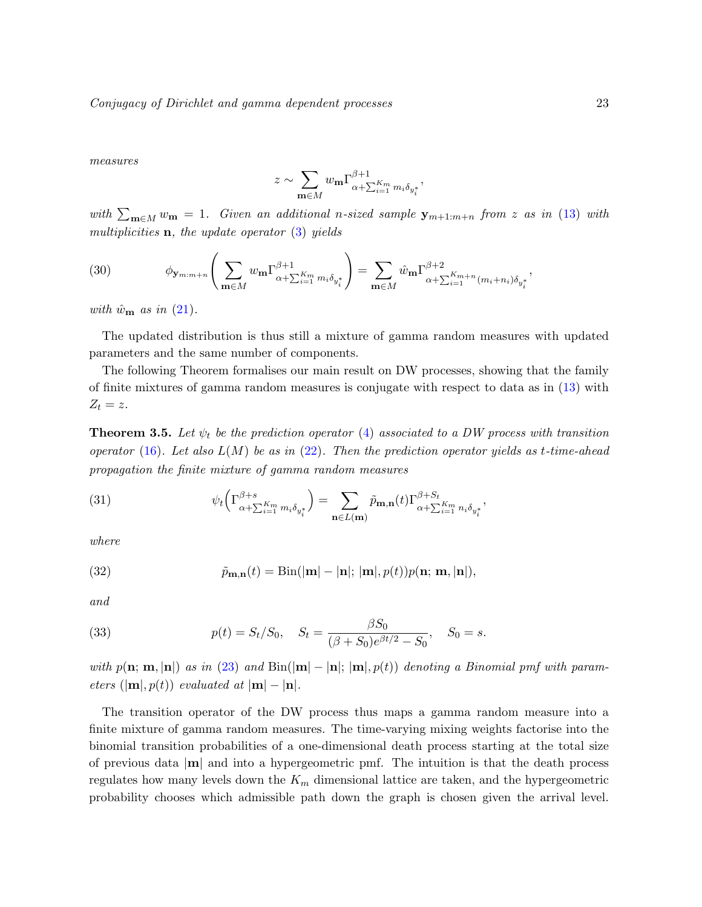Conjugacy of Dirichlet and gamma dependent processes 23

measures

$$
z \sim \sum_{\mathbf{m}\in M} w_{\mathbf{m}} \Gamma_{\alpha+\sum_{i=1}^{K_m} m_i \delta_{y_i^*}}^{\beta+1},
$$

with  $\sum_{\mathbf{m}\in M} w_{\mathbf{m}} = 1$ . Given an additional n-sized sample  $\mathbf{y}_{m+1:m+n}$  from z as in [\(13\)](#page-15-2) with multiplicities  $\mathbf{n}$ , the update operator [\(3\)](#page-5-3) yields

(30) 
$$
\phi_{\mathbf{y}_{m:m+n}}\left(\sum_{\mathbf{m}\in M} w_{\mathbf{m}} \Gamma^{\beta+1}_{\alpha+\sum_{i=1}^{K_m} m_i \delta_{y_i^*}}\right) = \sum_{\mathbf{m}\in M} \hat{w}_{\mathbf{m}} \Gamma^{\beta+2}_{\alpha+\sum_{i=1}^{K_m+n} (m_i+n_i) \delta_{y_i^*}},
$$

with  $\hat{w}_{\mathbf{m}}$  as in [\(21\)](#page-18-3).

The updated distribution is thus still a mixture of gamma random measures with updated parameters and the same number of components.

The following Theorem formalises our main result on DW processes, showing that the family of finite mixtures of gamma random measures is conjugate with respect to data as in [\(13\)](#page-15-2) with  $Z_t = z$ .

<span id="page-22-0"></span>**Theorem 3.5.** Let  $\psi_t$  be the prediction operator [\(4\)](#page-6-1) associated to a DW process with transition operator [\(16\)](#page-16-2). Let also  $L(M)$  be as in [\(22\)](#page-18-0). Then the prediction operator yields as t-time-ahead propagation the finite mixture of gamma random measures

<span id="page-22-1"></span>(31) 
$$
\psi_t\left(\Gamma^{\beta+s}_{\alpha+\sum_{i=1}^{K_m}m_i\delta_{y_i^*}}\right) = \sum_{\mathbf{n}\in L(\mathbf{m})}\tilde{p}_{\mathbf{m},\mathbf{n}}(t)\Gamma^{\beta+S_t}_{\alpha+\sum_{i=1}^{K_m}n_i\delta_{y_i^*}},
$$

where

<span id="page-22-3"></span>(32) 
$$
\tilde{p}_{\mathbf{m},\mathbf{n}}(t) = \text{Bin}(|\mathbf{m}| - |\mathbf{n}|; |\mathbf{m}|, p(t))p(\mathbf{n}; \mathbf{m}, |\mathbf{n}|),
$$

and

<span id="page-22-2"></span>(33) 
$$
p(t) = S_t/S_0, \quad S_t = \frac{\beta S_0}{(\beta + S_0)e^{\beta t/2} - S_0}, \quad S_0 = s.
$$

with  $p(n; m, |n|)$  as in [\(23\)](#page-18-1) and  $Bin(|m| - |n|; |m|, p(t))$  denoting a Binomial pmf with parameters  $(|\mathbf{m}|, p(t))$  evaluated at  $|\mathbf{m}| - |\mathbf{n}|$ .

The transition operator of the DW process thus maps a gamma random measure into a finite mixture of gamma random measures. The time-varying mixing weights factorise into the binomial transition probabilities of a one-dimensional death process starting at the total size of previous data  $|m|$  and into a hypergeometric pmf. The intuition is that the death process regulates how many levels down the  $K_m$  dimensional lattice are taken, and the hypergeometric probability chooses which admissible path down the graph is chosen given the arrival level.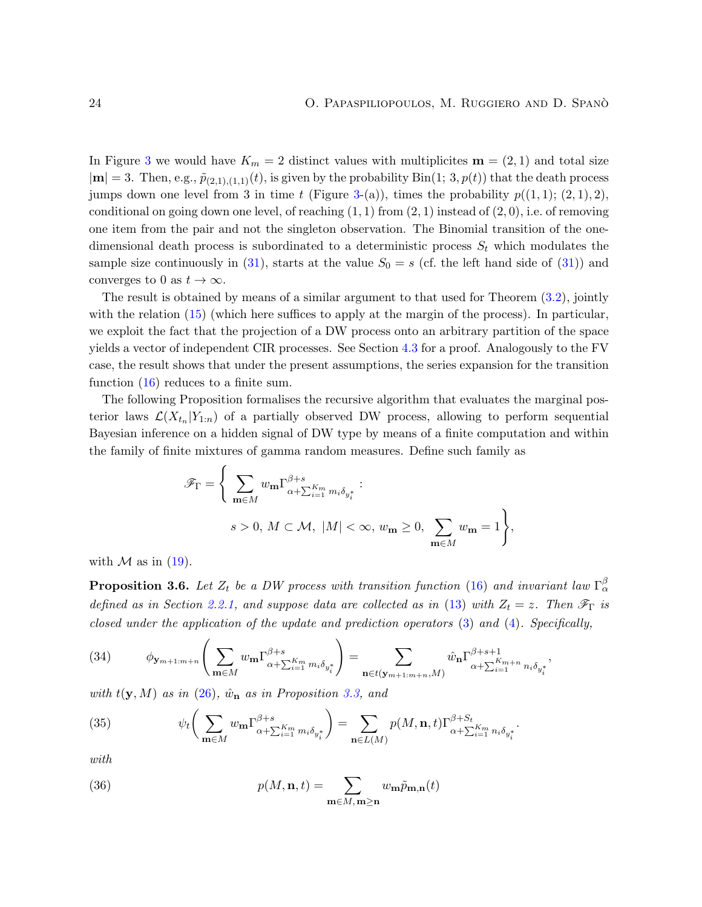In Figure [3](#page-7-0) we would have  $K_m = 2$  distinct values with multiplicites  $\mathbf{m} = (2, 1)$  and total size  $|m| = 3$ . Then, e.g.,  $\tilde{p}_{(2,1),(1,1)}(t)$ , is given by the probability  $\text{Bin}(1; 3, p(t))$  that the death process jumps down one level from 3 in time t (Figure [3-](#page-7-0)(a)), times the probability  $p((1,1); (2,1), 2)$ , conditional on going down one level, of reaching  $(1, 1)$  from  $(2, 1)$  instead of  $(2, 0)$ , i.e. of removing one item from the pair and not the singleton observation. The Binomial transition of the onedimensional death process is subordinated to a deterministic process  $S_t$  which modulates the sample size continuously in [\(31\)](#page-22-1), starts at the value  $S_0 = s$  (cf. the left hand side of (31)) and converges to 0 as  $t \to \infty$ .

The result is obtained by means of a similar argument to that used for Theorem [\(3.2\)](#page-19-0), jointly with the relation [\(15\)](#page-16-1) (which here suffices to apply at the margin of the process). In particular, we exploit the fact that the projection of a DW process onto an arbitrary partition of the space yields a vector of independent CIR processes. See Section [4.3](#page-30-0) for a proof. Analogously to the FV case, the result shows that under the present assumptions, the series expansion for the transition function [\(16\)](#page-16-2) reduces to a finite sum.

The following Proposition formalises the recursive algorithm that evaluates the marginal posterior laws  $\mathcal{L}(X_{t_n}|Y_{1:n})$  of a partially observed DW process, allowing to perform sequential Bayesian inference on a hidden signal of DW type by means of a finite computation and within the family of finite mixtures of gamma random measures. Define such family as

$$
\mathscr{F}_{\Gamma} = \left\{ \sum_{\mathbf{m} \in M} w_{\mathbf{m}} \Gamma^{\beta+s}_{\alpha + \sum_{i=1}^{K_m} m_i \delta_{y_i^*}} : \right. \left. s > 0, M \subset \mathcal{M}, |M| < \infty, w_{\mathbf{m}} \ge 0, \sum_{\mathbf{m} \in M} w_{\mathbf{m}} = 1 \right\},
$$

with  $\mathcal M$  as in [\(19\)](#page-17-2).

<span id="page-23-0"></span>**Proposition 3.6.** Let  $Z_t$  be a DW process with transition function [\(16\)](#page-16-2) and invariant law  $\Gamma_\alpha^\beta$ defined as in Section [2.2.1,](#page-15-1) and suppose data are collected as in [\(13\)](#page-15-2) with  $Z_t = z$ . Then  $\mathscr{F}_{\Gamma}$  is closed under the application of the update and prediction operators [\(3\)](#page-5-3) and [\(4\)](#page-6-1). Specifically,

<span id="page-23-2"></span>(34) 
$$
\phi_{\mathbf{y}_{m+1:m+n}}\left(\sum_{\mathbf{m}\in M} w_{\mathbf{m}} \Gamma_{\alpha+\sum_{i=1}^{K_m} m_i \delta_{y_i^*}}^{\beta+s}\right) = \sum_{\mathbf{n}\in t(\mathbf{y}_{m+1:m+n},M)} \hat{w}_{\mathbf{n}} \Gamma_{\alpha+\sum_{i=1}^{K_m+n} n_i \delta_{y_i^*}}^{\beta+s+1},
$$

with  $t(y, M)$  as in  $(26)$ ,  $\hat{w}_n$  as in Proposition [3.3,](#page-20-0) and

(35) 
$$
\psi_t\bigg(\sum_{\mathbf{m}\in M} w_{\mathbf{m}} \Gamma^{\beta+s}_{\alpha+\sum_{i=1}^{K_m} m_i \delta_{y_i^*}}\bigg) = \sum_{\mathbf{n}\in L(M)} p(M, \mathbf{n}, t) \Gamma^{\beta+S_t}_{\alpha+\sum_{i=1}^{K_m} n_i \delta_{y_i^*}}.
$$

with

<span id="page-23-1"></span>(36) 
$$
p(M, \mathbf{n}, t) = \sum_{\mathbf{m} \in M, \mathbf{m} \ge \mathbf{n}} w_{\mathbf{m}} \tilde{p}_{\mathbf{m}, \mathbf{n}}(t)
$$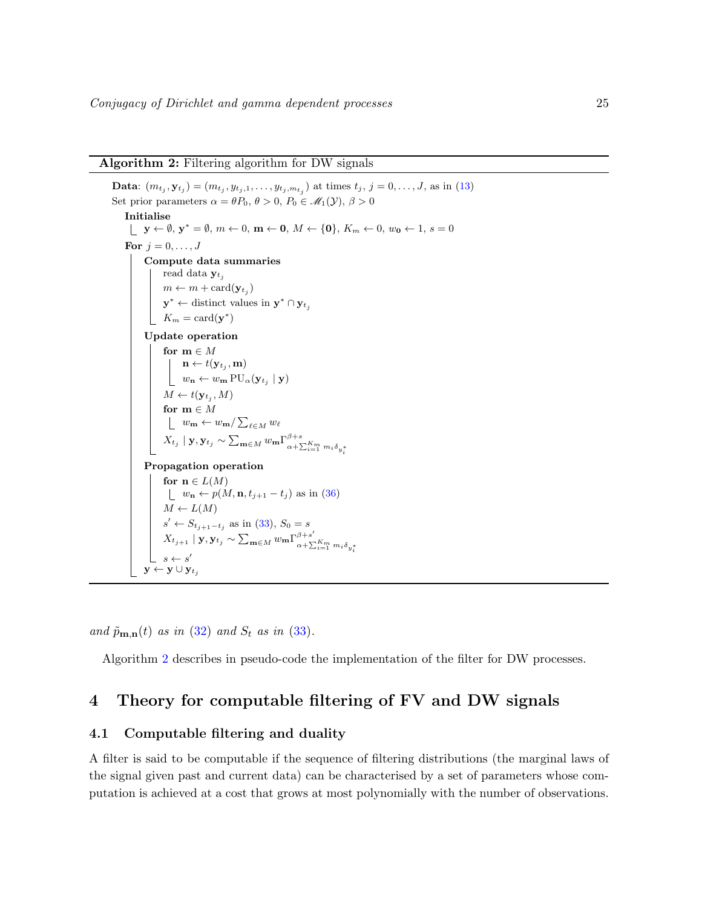#### Algorithm 2: Filtering algorithm for DW signals

**Data**:  $(m_{t_j}, \mathbf{y}_{t_j}) = (m_{t_j}, y_{t_j,1}, \dots, y_{t_j, m_{t_j}})$  at times  $t_j$ ,  $j = 0, \dots, J$ , as in [\(13\)](#page-15-2) Set prior parameters  $\alpha = \theta P_0$ ,  $\theta > 0$ ,  $P_0 \in \mathcal{M}_1(\mathcal{Y}), \beta > 0$ Initialise  $\mathbf{y} \leftarrow \emptyset, \mathbf{y}^* = \emptyset, m \leftarrow 0, \mathbf{m} \leftarrow \mathbf{0}, M \leftarrow \{\mathbf{0}\}, K_m \leftarrow 0, w_0 \leftarrow 1, s = 0$ For  $j = 0, \ldots, J$ Compute data summaries read data  $y_{t_j}$  $m \leftarrow m + \text{card}(\mathbf{y}_{t_j})$  $\mathbf{y}^* \leftarrow$  distinct values in  $\mathbf{y}^* \cap \mathbf{y}_{t_j}$  $K_m = \text{card}(\mathbf{y}^*)$ Update operation for  $m \in M$  $\mathbf{n} \leftarrow t(\mathbf{y}_{t_j}, \mathbf{m})$  $w_{\mathbf{n}} \leftarrow w_{\mathbf{m}} \operatorname{PU}_{\alpha}(\mathbf{y}_{t_j} \mid \mathbf{y})$  $M \leftarrow t(\mathbf{y}_{t_j}, M)$ for  $m \in M$  $w_{\mathbf{m}} \leftarrow w_{\mathbf{m}} / \sum_{\ell \in M} w_{\ell}$  $X_{t_j}\mid \mathbf{y}, \mathbf{y}_{t_j} \sim \sum_{\mathbf{m}\in M} w_{\mathbf{m}} \Gamma_{\alpha+\mathbf{S}}^{\beta+s}$  $\alpha + \sum_{i=1}^{K_m} m_i \delta_{y_i^*}$ Propagation operation for  $n \in L(M)$  $w_{\mathbf{n}} \leftarrow p(M, \mathbf{n}, t_{j+1} - t_j)$  as in [\(36\)](#page-23-1)  $M \leftarrow L(M)$  $s' \leftarrow S_{t_{j+1}-t_j}$  as in [\(33\)](#page-22-2),  $S_0 = s$  $X_{t_{j+1}} \mid \mathbf{y}, \mathbf{y}_{t_j} \sim \sum_{\mathbf{m} \in M} w_{\mathbf{m}} \Gamma_{\alpha+\nabla}^{\beta+s'}$  $a_1 a_2 a_3 a_4 b_5 a_5 a_7 a_8 a_9 a_9 a_1 a_1 a_2 a_1 a_2 a_3 a_4 a_5 a_7 a_8 a_1 a_2 a_3 a_4 a_1 a_2 a_3 a_4 a_1 a_2 a_3 a_1 a_2 a_3 a_1 a_2 a_3 a_1 a_2 a_3 a_1 a_2 a_3 a_1 a_2 a_3 a_1 a_2 a_2 a_3 a_1 a_2 a_2 a_3 a_1 a_2 a_2 a_3 a_1 a_2 a_2 a_3 a_1 a_2 a_2 a_3 a_1 a_2 a_2 a_3 a_1 a_2 a_2 a$  $y \leftarrow y \cup y_t$ 

<span id="page-24-2"></span>and  $\tilde{p}_{\mathbf{m},\mathbf{n}}(t)$  as in [\(32\)](#page-22-3) and  $S_t$  as in [\(33\)](#page-22-2).

Algorithm [2](#page-24-2) describes in pseudo-code the implementation of the filter for DW processes.

## <span id="page-24-0"></span>4 Theory for computable filtering of FV and DW signals

#### <span id="page-24-1"></span>4.1 Computable filtering and duality

A filter is said to be computable if the sequence of filtering distributions (the marginal laws of the signal given past and current data) can be characterised by a set of parameters whose computation is achieved at a cost that grows at most polynomially with the number of observations.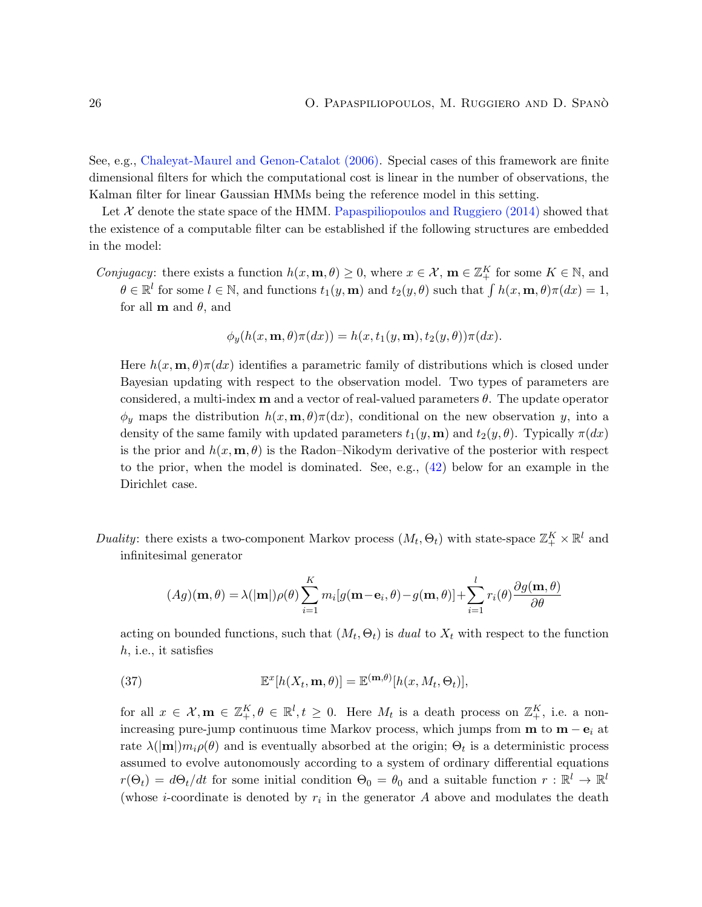See, e.g., [Chaleyat-Maurel and Genon-Catalot](#page-38-15) [\(2006\)](#page-38-15). Special cases of this framework are finite dimensional filters for which the computational cost is linear in the number of observations, the Kalman filter for linear Gaussian HMMs being the reference model in this setting.

Let  $\mathcal X$  denote the state space of the HMM. [Papaspiliopoulos and Ruggiero](#page-39-7) [\(2014\)](#page-39-7) showed that the existence of a computable filter can be established if the following structures are embedded in the model:

Conjugacy: there exists a function  $h(x, \mathbf{m}, \theta) \geq 0$ , where  $x \in \mathcal{X}$ ,  $\mathbf{m} \in \mathbb{Z}_+^K$  for some  $K \in \mathbb{N}$ , and  $\theta \in \mathbb{R}^l$  for some  $l \in \mathbb{N}$ , and functions  $t_1(y, \mathbf{m})$  and  $t_2(y, \theta)$  such that  $\int h(x, \mathbf{m}, \theta) \pi(dx) = 1$ , for all **m** and  $\theta$ , and

$$
\phi_y(h(x, \mathbf{m}, \theta)\pi(dx)) = h(x, t_1(y, \mathbf{m}), t_2(y, \theta))\pi(dx).
$$

Here  $h(x, \mathbf{m}, \theta) \pi(dx)$  identifies a parametric family of distributions which is closed under Bayesian updating with respect to the observation model. Two types of parameters are considered, a multi-index **m** and a vector of real-valued parameters  $\theta$ . The update operator  $\phi_y$  maps the distribution  $h(x, \mathbf{m}, \theta) \pi(\mathrm{d}x)$ , conditional on the new observation y, into a density of the same family with updated parameters  $t_1(y, \mathbf{m})$  and  $t_2(y, \theta)$ . Typically  $\pi(dx)$ is the prior and  $h(x, \mathbf{m}, \theta)$  is the Radon–Nikodym derivative of the posterior with respect to the prior, when the model is dominated. See, e.g.,  $(42)$  below for an example in the Dirichlet case.

Duality: there exists a two-component Markov process  $(M_t, \Theta_t)$  with state-space  $\mathbb{Z}_+^K \times \mathbb{R}^l$  and infinitesimal generator

$$
(Ag)(\mathbf{m}, \theta) = \lambda(|\mathbf{m}|)\rho(\theta)\sum_{i=1}^{K} m_i[g(\mathbf{m}-\mathbf{e}_i, \theta) - g(\mathbf{m}, \theta)] + \sum_{i=1}^{l} r_i(\theta)\frac{\partial g(\mathbf{m}, \theta)}{\partial \theta}
$$

acting on bounded functions, such that  $(M_t, \Theta_t)$  is dual to  $X_t$  with respect to the function h, i.e., it satisfies

<span id="page-25-0"></span>(37) 
$$
\mathbb{E}^{x}[h(X_t, \mathbf{m}, \theta)] = \mathbb{E}^{(\mathbf{m}, \theta)}[h(x, M_t, \Theta_t)],
$$

for all  $x \in \mathcal{X}, \mathbf{m} \in \mathbb{Z}_{+}^{K}, \theta \in \mathbb{R}^{l}, t \geq 0$ . Here  $M_{t}$  is a death process on  $\mathbb{Z}_{+}^{K}$ , i.e. a nonincreasing pure-jump continuous time Markov process, which jumps from  $\mathbf{m}$  to  $\mathbf{m} - \mathbf{e}_i$  at rate  $\lambda(|\mathbf{m}|)m_i\rho(\theta)$  and is eventually absorbed at the origin;  $\Theta_t$  is a deterministic process assumed to evolve autonomously according to a system of ordinary differential equations  $r(\Theta_t) = d\Theta_t/dt$  for some initial condition  $\Theta_0 = \theta_0$  and a suitable function  $r : \mathbb{R}^l \to \mathbb{R}^l$ (whose *i*-coordinate is denoted by  $r_i$  in the generator A above and modulates the death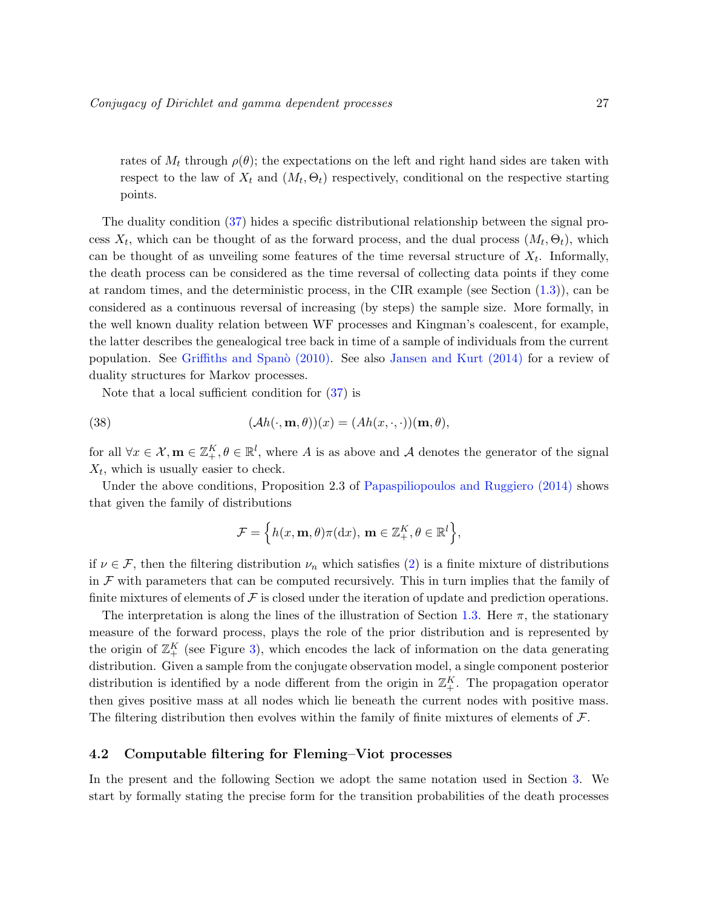rates of  $M_t$  through  $\rho(\theta)$ ; the expectations on the left and right hand sides are taken with respect to the law of  $X_t$  and  $(M_t, \Theta_t)$  respectively, conditional on the respective starting points.

The duality condition [\(37\)](#page-25-0) hides a specific distributional relationship between the signal process  $X_t$ , which can be thought of as the forward process, and the dual process  $(M_t, \Theta_t)$ , which can be thought of as unveiling some features of the time reversal structure of  $X_t$ . Informally, the death process can be considered as the time reversal of collecting data points if they come at random times, and the deterministic process, in the CIR example (see Section [\(1.3\)](#page-6-0)), can be considered as a continuous reversal of increasing (by steps) the sample size. More formally, in the well known duality relation between WF processes and Kingman's coalescent, for example, the latter describes the genealogical tree back in time of a sample of individuals from the current population. See Griffiths and Span $\delta$  [\(2010\)](#page-39-14). See also [Jansen and Kurt](#page-39-15) [\(2014\)](#page-39-15) for a review of duality structures for Markov processes.

Note that a local sufficient condition for [\(37\)](#page-25-0) is

(38) 
$$
(\mathcal{A}h(\cdot,\mathbf{m},\theta))(x) = (Ah(x,\cdot,\cdot))( \mathbf{m},\theta),
$$

for all  $\forall x \in \mathcal{X}, \mathbf{m} \in \mathbb{Z}_{+}^{K}, \theta \in \mathbb{R}^{l}$ , where A is as above and A denotes the generator of the signal  $X_t$ , which is usually easier to check.

Under the above conditions, Proposition 2.3 of [Papaspiliopoulos and Ruggiero](#page-39-7) [\(2014\)](#page-39-7) shows that given the family of distributions

<span id="page-26-1"></span>
$$
\mathcal{F} = \left\{ h(x, \mathbf{m}, \theta) \pi(\mathrm{d}x), \, \mathbf{m} \in \mathbb{Z}_{+}^{K}, \theta \in \mathbb{R}^{l} \right\},\
$$

if  $\nu \in \mathcal{F}$ , then the filtering distribution  $\nu_n$  which satisfies [\(2\)](#page-5-2) is a finite mixture of distributions in  $\mathcal F$  with parameters that can be computed recursively. This in turn implies that the family of finite mixtures of elements of  $\mathcal F$  is closed under the iteration of update and prediction operations.

The interpretation is along the lines of the illustration of Section [1.3.](#page-6-0) Here  $\pi$ , the stationary measure of the forward process, plays the role of the prior distribution and is represented by the origin of  $\mathbb{Z}_+^K$  (see Figure [3\)](#page-7-0), which encodes the lack of information on the data generating distribution. Given a sample from the conjugate observation model, a single component posterior distribution is identified by a node different from the origin in  $\mathbb{Z}_+^K$ . The propagation operator then gives positive mass at all nodes which lie beneath the current nodes with positive mass. The filtering distribution then evolves within the family of finite mixtures of elements of  $\mathcal{F}$ .

#### <span id="page-26-0"></span>4.2 Computable filtering for Fleming–Viot processes

In the present and the following Section we adopt the same notation used in Section [3.](#page-17-0) We start by formally stating the precise form for the transition probabilities of the death processes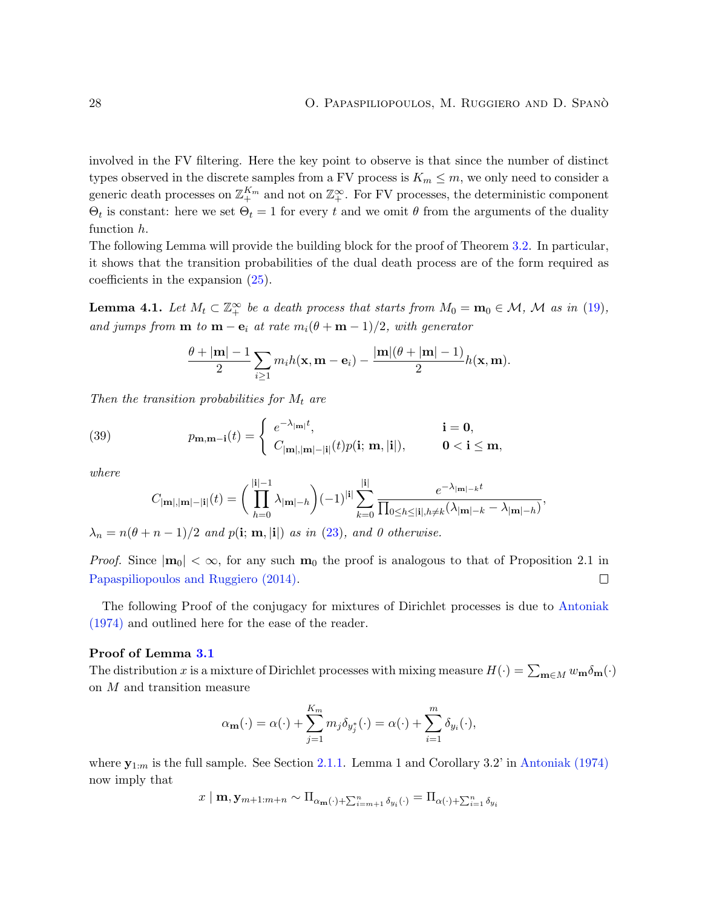involved in the FV filtering. Here the key point to observe is that since the number of distinct types observed in the discrete samples from a FV process is  $K_m \leq m$ , we only need to consider a generic death processes on  $\mathbb{Z}_{+}^{K_m}$  and not on  $\mathbb{Z}_{+}^{\infty}$ . For FV processes, the deterministic component  $\Theta_t$  is constant: here we set  $\Theta_t = 1$  for every t and we omit  $\theta$  from the arguments of the duality function h.

The following Lemma will provide the building block for the proof of Theorem [3.2.](#page-19-0) In particular, it shows that the transition probabilities of the dual death process are of the form required as coefficients in the expansion [\(25\)](#page-19-2).

<span id="page-27-0"></span>**Lemma 4.1.** Let  $M_t \subset \mathbb{Z}_+^{\infty}$  be a death process that starts from  $M_0 = \mathbf{m}_0 \in \mathcal{M}$ , M as in [\(19\)](#page-17-2), and jumps from  $\mathbf{m}$  to  $\mathbf{m} - \mathbf{e}_i$  at rate  $m_i(\theta + \mathbf{m} - 1)/2$ , with generator

$$
\frac{\theta+|\mathbf{m}|-1}{2}\sum_{i\geq 1}m_i h(\mathbf{x},\mathbf{m}-\mathbf{e}_i)-\frac{|\mathbf{m}|(\theta+|\mathbf{m}|-1)}{2}h(\mathbf{x},\mathbf{m}).
$$

Then the transition probabilities for  $M_t$  are

(39) 
$$
p_{\mathbf{m}, \mathbf{m}-\mathbf{i}}(t) = \begin{cases} e^{-\lambda_{|\mathbf{m}|}t}, & \mathbf{i} = \mathbf{0}, \\ C_{|\mathbf{m}|, |\mathbf{m}| - |\mathbf{i}|}(t)p(\mathbf{i}; \mathbf{m}, |\mathbf{i}|), & \mathbf{0} < \mathbf{i} \le \mathbf{m}, \end{cases}
$$

where

<span id="page-27-1"></span>
$$
C_{|\mathbf{m}|,|\mathbf{m}|-|\mathbf{i}|}(t) = \bigg(\prod_{h=0}^{|\mathbf{i}|-1} \lambda_{|\mathbf{m}|-h}\bigg)(-1)^{|\mathbf{i}|} \sum_{k=0}^{|\mathbf{i}|} \frac{e^{-\lambda_{|\mathbf{m}|-k}t}}{\prod_{0 \le h \le |\mathbf{i}|, h \ne k} (\lambda_{|\mathbf{m}|-k} - \lambda_{|\mathbf{m}|-h})},
$$

 $\lambda_n = n(\theta + n - 1)/2$  and  $p(i; m, |i|)$  as in [\(23\)](#page-18-1), and 0 otherwise.

*Proof.* Since  $|\mathbf{m}_0| < \infty$ , for any such  $\mathbf{m}_0$  the proof is analogous to that of Proposition 2.1 in [Papaspiliopoulos and Ruggiero](#page-39-7) [\(2014\)](#page-39-7).  $\Box$ 

The following Proof of the conjugacy for mixtures of Dirichlet processes is due to [Antoniak](#page-37-6) [\(1974\)](#page-37-6) and outlined here for the ease of the reader.

#### Proof of Lemma [3.1](#page-18-2)

The distribution x is a mixture of Dirichlet processes with mixing measure  $H(\cdot) = \sum_{\mathbf{m}\in M} w_{\mathbf{m}} \delta_{\mathbf{m}}(\cdot)$ on M and transition measure

$$
\alpha_{\mathbf{m}}(\cdot) = \alpha(\cdot) + \sum_{j=1}^{K_m} m_j \delta_{y_j^*}(\cdot) = \alpha(\cdot) + \sum_{i=1}^m \delta_{y_i}(\cdot),
$$

where  $y_{1:m}$  is the full sample. See Section [2.1.1.](#page-11-3) Lemma 1 and Corollary 3.2' in [Antoniak](#page-37-6) [\(1974\)](#page-37-6) now imply that

$$
x \mid \mathbf{m}, \mathbf{y}_{m+1:m+n} \sim \Pi_{\alpha_{\mathbf{m}}(\cdot) + \sum_{i=m+1}^{n} \delta_{y_i}(\cdot)} = \Pi_{\alpha(\cdot) + \sum_{i=1}^{n} \delta_{y_i}}
$$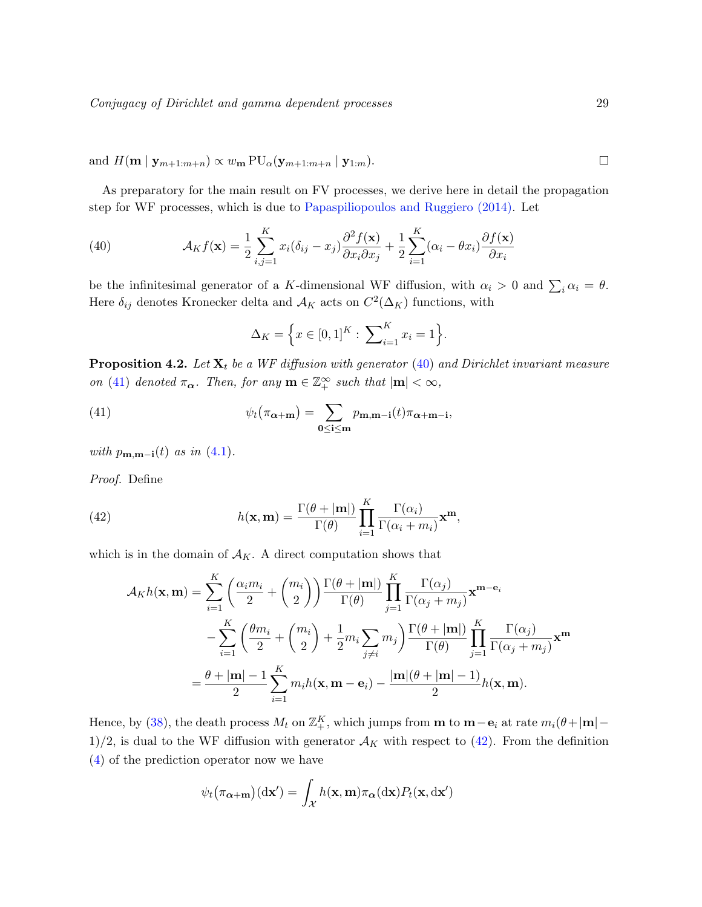and  $H(\mathbf{m} \mid \mathbf{y}_{m+1:m+n}) \propto w_{\mathbf{m}} \operatorname{PU}_{\alpha}(\mathbf{y}_{m+1:m+n} \mid \mathbf{y}_{1:m}).$ 

As preparatory for the main result on FV processes, we derive here in detail the propagation step for WF processes, which is due to [Papaspiliopoulos and Ruggiero](#page-39-7) [\(2014\)](#page-39-7). Let

<span id="page-28-1"></span>(40) 
$$
\mathcal{A}_K f(\mathbf{x}) = \frac{1}{2} \sum_{i,j=1}^K x_i (\delta_{ij} - x_j) \frac{\partial^2 f(\mathbf{x})}{\partial x_i \partial x_j} + \frac{1}{2} \sum_{i=1}^K (\alpha_i - \theta x_i) \frac{\partial f(\mathbf{x})}{\partial x_i}
$$

be the infinitesimal generator of a K-dimensional WF diffusion, with  $\alpha_i > 0$  and  $\sum_i \alpha_i = \theta$ . Here  $\delta_{ij}$  denotes Kronecker delta and  $\mathcal{A}_K$  acts on  $C^2(\Delta_K)$  functions, with

<span id="page-28-2"></span>
$$
\Delta_K = \Big\{ x \in [0,1]^K : \sum_{i=1}^K x_i = 1 \Big\}.
$$

<span id="page-28-3"></span>**Proposition 4.2.** Let  $\mathbf{X}_t$  be a WF diffusion with generator [\(40\)](#page-28-1) and Dirichlet invariant measure on [\(41\)](#page-28-2) denoted  $\pi_{\alpha}$ . Then, for any  $\mathbf{m} \in \mathbb{Z}_+^{\infty}$  such that  $|\mathbf{m}| < \infty$ ,

(41) 
$$
\psi_t(\pi_{\alpha+m}) = \sum_{0 \le i \le m} p_{m,m-i}(t) \pi_{\alpha+m-i},
$$

with  $p_{\mathbf{m},\mathbf{m}-\mathbf{i}}(t)$  as in  $(4.1)$ .

Proof. Define

(42) 
$$
h(\mathbf{x}, \mathbf{m}) = \frac{\Gamma(\theta + |\mathbf{m}|)}{\Gamma(\theta)} \prod_{i=1}^{K} \frac{\Gamma(\alpha_i)}{\Gamma(\alpha_i + m_i)} \mathbf{x}^{\mathbf{m}},
$$

which is in the domain of  $A_K$ . A direct computation shows that

<span id="page-28-4"></span><span id="page-28-0"></span>
$$
\mathcal{A}_{K}h(\mathbf{x}, \mathbf{m}) = \sum_{i=1}^{K} \left( \frac{\alpha_{i}m_{i}}{2} + {m_{i} \choose 2} \right) \frac{\Gamma(\theta + |\mathbf{m}|)}{\Gamma(\theta)} \prod_{j=1}^{K} \frac{\Gamma(\alpha_{j})}{\Gamma(\alpha_{j} + m_{j})} \mathbf{x}^{\mathbf{m} - \mathbf{e}_{i}}
$$

$$
- \sum_{i=1}^{K} \left( \frac{\theta m_{i}}{2} + {m_{i} \choose 2} + \frac{1}{2} m_{i} \sum_{j \neq i} m_{j} \right) \frac{\Gamma(\theta + |\mathbf{m}|)}{\Gamma(\theta)} \prod_{j=1}^{K} \frac{\Gamma(\alpha_{j})}{\Gamma(\alpha_{j} + m_{j})} \mathbf{x}^{\mathbf{m}}
$$

$$
= \frac{\theta + |\mathbf{m}| - 1}{2} \sum_{i=1}^{K} m_{i} h(\mathbf{x}, \mathbf{m} - \mathbf{e}_{i}) - \frac{|\mathbf{m}|(\theta + |\mathbf{m}| - 1)}{2} h(\mathbf{x}, \mathbf{m}).
$$

Hence, by [\(38\)](#page-26-1), the death process  $M_t$  on  $\mathbb{Z}_+^K$ , which jumps from **m** to **m**-**e**<sub>i</sub> at rate  $m_i(\theta+|\mathbf{m}|-$ 1)/2, is dual to the WF diffusion with generator  $\mathcal{A}_K$  with respect to [\(42\)](#page-28-0). From the definition [\(4\)](#page-6-1) of the prediction operator now we have

$$
\psi_t(\pi_{\mathbf{\alpha}+\mathbf{m}})(\mathrm{d}\mathbf{x}') = \int_{\mathcal{X}} h(\mathbf{x}, \mathbf{m}) \pi_{\mathbf{\alpha}}(\mathrm{d}\mathbf{x}) P_t(\mathbf{x}, \mathrm{d}\mathbf{x}')
$$

 $\Box$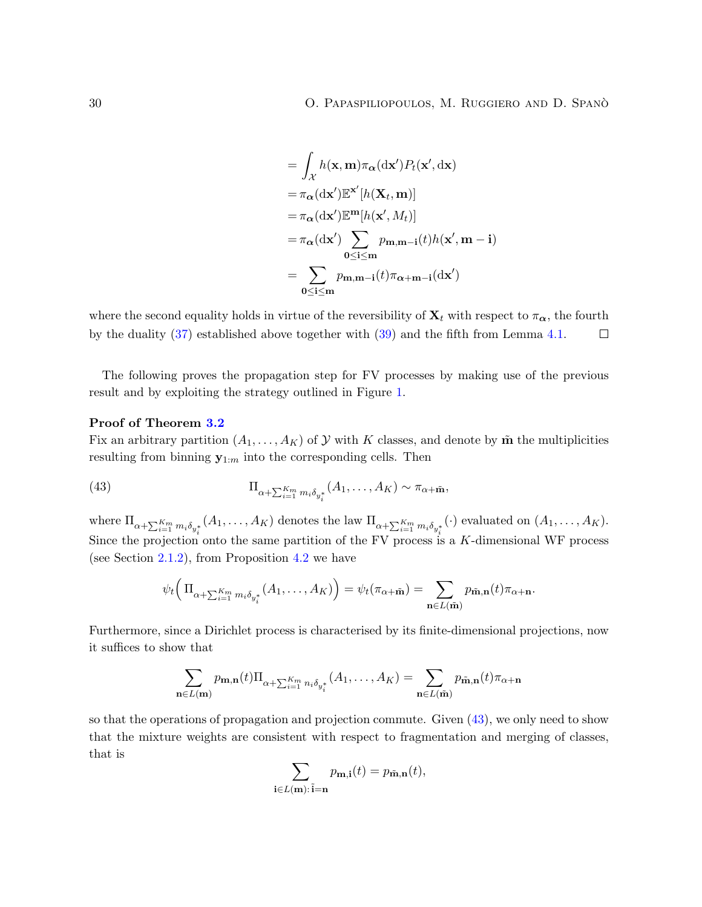$$
= \int_{\mathcal{X}} h(\mathbf{x}, \mathbf{m}) \pi_{\alpha}(\mathrm{d}\mathbf{x}') P_t(\mathbf{x}', \mathrm{d}\mathbf{x})
$$
  
\n
$$
= \pi_{\alpha}(\mathrm{d}\mathbf{x}') \mathbb{E}^{\mathbf{x}'}[h(\mathbf{X}_t, \mathbf{m})]
$$
  
\n
$$
= \pi_{\alpha}(\mathrm{d}\mathbf{x}') \mathbb{E}^{\mathbf{m}}[h(\mathbf{x}', M_t)]
$$
  
\n
$$
= \pi_{\alpha}(\mathrm{d}\mathbf{x}') \sum_{0 \le i \le m} p_{m,m-i}(t) h(\mathbf{x}', \mathbf{m} - i)
$$
  
\n
$$
= \sum_{0 \le i \le m} p_{m,m-i}(t) \pi_{\alpha+m-i}(\mathrm{d}\mathbf{x}')
$$

where the second equality holds in virtue of the reversibility of  $X_t$  with respect to  $\pi_{\alpha}$ , the fourth by the duality [\(37\)](#page-25-0) established above together with [\(39\)](#page-27-1) and the fifth from Lemma [4.1.](#page-27-0)  $\Box$ 

The following proves the propagation step for FV processes by making use of the previous result and by exploiting the strategy outlined in Figure [1.](#page-4-0)

#### Proof of Theorem [3.2](#page-19-0)

Fix an arbitrary partition  $(A_1, \ldots, A_K)$  of  $\mathcal Y$  with K classes, and denote by  $\tilde{\mathbf{m}}$  the multiplicities resulting from binning  $\mathbf{y}_{1:m}$  into the corresponding cells. Then

(43) 
$$
\Pi_{\alpha+\sum_{i=1}^{K_m}m_i\delta_{y_i^*}}(A_1,\ldots,A_K) \sim \pi_{\alpha+\tilde{\mathbf{m}}},
$$

where  $\Pi_{\alpha+\sum_{i=1}^{K_m}m_i\delta_{y_i^*}}(A_1,\ldots,A_K)$  denotes the law  $\Pi_{\alpha+\sum_{i=1}^{K_m}m_i\delta_{y_i^*}}(\cdot)$  evaluated on  $(A_1,\ldots,A_K)$ . Since the projection onto the same partition of the FV process is a K-dimensional WF process (see Section [2.1.2\)](#page-13-0), from Proposition [4.2](#page-28-3) we have

$$
\psi_t\Big(\Pi_{\alpha+\sum_{i=1}^{K_m}m_i\delta_{y_i^*}}(A_1,\ldots,A_K)\Big)=\psi_t(\pi_{\alpha+\tilde{\mathbf{m}}})=\sum_{\mathbf{n}\in L(\tilde{\mathbf{m}})}p_{\tilde{\mathbf{m}},\mathbf{n}}(t)\pi_{\alpha+\mathbf{n}}.
$$

Furthermore, since a Dirichlet process is characterised by its finite-dimensional projections, now it suffices to show that

$$
\sum_{\mathbf{n}\in L(\mathbf{m})} p_{\mathbf{m},\mathbf{n}}(t) \Pi_{\alpha+\sum_{i=1}^{K_m} n_i \delta_{y_i^*}}(A_1,\ldots,A_K) = \sum_{\mathbf{n}\in L(\tilde{\mathbf{m}})} p_{\tilde{\mathbf{m}},\mathbf{n}}(t) \pi_{\alpha+\mathbf{n}}
$$

so that the operations of propagation and projection commute. Given [\(43\)](#page-28-4), we only need to show that the mixture weights are consistent with respect to fragmentation and merging of classes, that is

<span id="page-29-0"></span>
$$
\sum_{\mathbf{i}\in L(\mathbf{m}):\,\tilde{\mathbf{i}}=\mathbf{n}}p_{\mathbf{m},\mathbf{i}}(t)=p_{\tilde{\mathbf{m}},\mathbf{n}}(t),
$$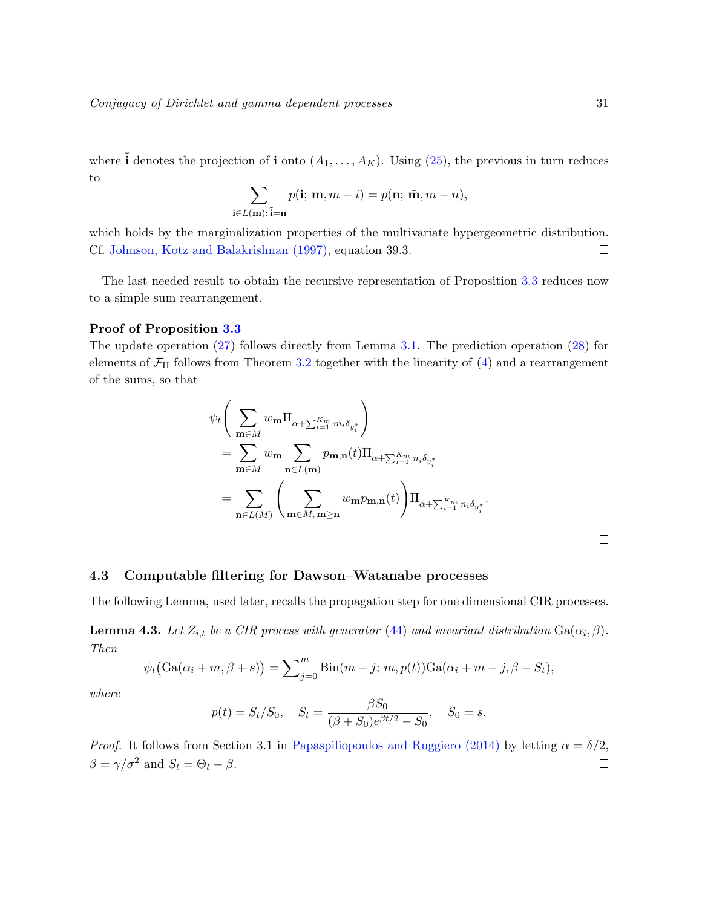where  $\tilde{\mathbf{i}}$  denotes the projection of  $\mathbf{i}$  onto  $(A_1, \ldots, A_K)$ . Using  $(25)$ , the previous in turn reduces to

$$
\sum_{\mathbf{i}\in L(\mathbf{m}):\ \mathbf{i}=\mathbf{n}}p(\mathbf{i};\ \mathbf{m},m-i)=p(\mathbf{n};\ \tilde{\mathbf{m}},m-n),
$$

which holds by the marginalization properties of the multivariate hypergeometric distribution. Cf. [Johnson, Kotz and Balakrishnan](#page-39-16) [\(1997\)](#page-39-16), equation 39.3.  $\Box$ 

The last needed result to obtain the recursive representation of Proposition [3.3](#page-20-0) reduces now to a simple sum rearrangement.

#### Proof of Proposition [3.3](#page-20-0)

The update operation [\(27\)](#page-20-2) follows directly from Lemma [3.1.](#page-18-2) The prediction operation [\(28\)](#page-20-4) for elements of  $\mathcal{F}_{\Pi}$  follows from Theorem [3.2](#page-19-0) together with the linearity of [\(4\)](#page-6-1) and a rearrangement of the sums, so that

$$
\psi_t \Bigg( \sum_{\mathbf{m} \in M} w_{\mathbf{m}} \Pi_{\alpha + \sum_{i=1}^{K_m} m_i \delta_{y_i^*}} \Bigg) \n= \sum_{\mathbf{m} \in M} w_{\mathbf{m}} \sum_{\mathbf{n} \in L(\mathbf{m})} p_{\mathbf{m}, \mathbf{n}}(t) \Pi_{\alpha + \sum_{i=1}^{K_m} n_i \delta_{y_i^*}} \n= \sum_{\mathbf{n} \in L(M)} \Bigg( \sum_{\mathbf{m} \in M, \mathbf{m} \ge \mathbf{n}} w_{\mathbf{m}} p_{\mathbf{m}, \mathbf{n}}(t) \Bigg) \Pi_{\alpha + \sum_{i=1}^{K_m} n_i \delta_{y_i^*}}.
$$

 $\Box$ 

#### <span id="page-30-0"></span>4.3 Computable filtering for Dawson–Watanabe processes

The following Lemma, used later, recalls the propagation step for one dimensional CIR processes.

<span id="page-30-1"></span>**Lemma 4.3.** Let  $Z_{i,t}$  be a CIR process with generator [\(44\)](#page-29-0) and invariant distribution  $Ga(\alpha_i, \beta)$ . Then

$$
\psi_t(\text{Ga}(\alpha_i+m,\beta+s))=\sum_{j=0}^m\text{Bin}(m-j;\,m,p(t))\text{Ga}(\alpha_i+m-j,\beta+S_t),
$$

where

$$
p(t) = S_t/S_0
$$
,  $S_t = \frac{\beta S_0}{(\beta + S_0)e^{\beta t/2} - S_0}$ ,  $S_0 = s$ .

*Proof.* It follows from Section 3.1 in [Papaspiliopoulos and Ruggiero](#page-39-7) [\(2014\)](#page-39-7) by letting  $\alpha = \delta/2$ ,  $\beta = \gamma/\sigma^2$  and  $S_t = \Theta_t - \beta$ .  $\Box$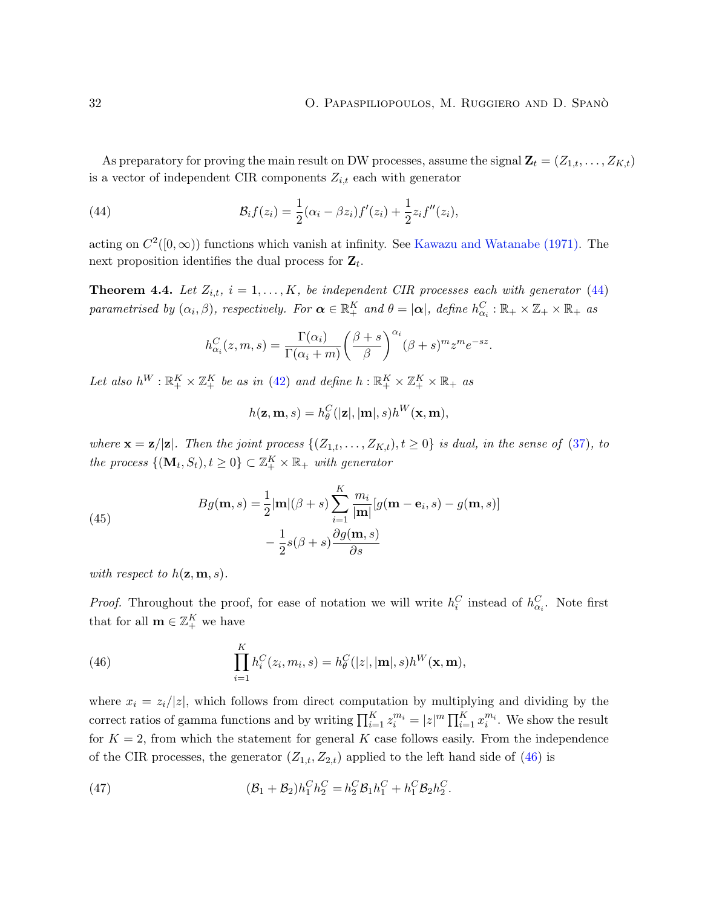.

As preparatory for proving the main result on DW processes, assume the signal  $\mathbf{Z}_t = (Z_{1,t}, \ldots, Z_{K,t})$ is a vector of independent CIR components  $Z_{i,t}$  each with generator

(44) 
$$
\mathcal{B}_i f(z_i) = \frac{1}{2} (\alpha_i - \beta z_i) f'(z_i) + \frac{1}{2} z_i f''(z_i),
$$

acting on  $C^2([0,\infty))$  functions which vanish at infinity. See [Kawazu and Watanabe](#page-39-17) [\(1971\)](#page-39-17). The next proposition identifies the dual process for  $\mathbf{Z}_t$ .

<span id="page-31-3"></span>**Theorem 4.4.** Let  $Z_{i,t}$ ,  $i = 1, ..., K$ , be independent CIR processes each with generator [\(44\)](#page-29-0) parametrised by  $(\alpha_i, \beta)$ , respectively. For  $\boldsymbol{\alpha} \in \mathbb{R}_+^K$  and  $\theta = |\boldsymbol{\alpha}|$ , define  $h_{\alpha_i}^C : \mathbb{R}_+ \times \mathbb{Z}_+ \times \mathbb{R}_+$  as

<span id="page-31-2"></span>
$$
h_{\alpha_i}^C(z,m,s) = \frac{\Gamma(\alpha_i)}{\Gamma(\alpha_i+m)} \left(\frac{\beta+s}{\beta}\right)^{\alpha_i} (\beta+s)^m z^m e^{-sz}
$$

Let also  $h^W : \mathbb{R}_+^K \times \mathbb{Z}_+^K$  be as in [\(42\)](#page-28-0) and define  $h : \mathbb{R}_+^K \times \mathbb{Z}_+^K \times \mathbb{R}_+$  as

$$
h(\mathbf{z}, \mathbf{m}, s) = h_{\theta}^C(|\mathbf{z}|, |\mathbf{m}|, s) h^W(\mathbf{x}, \mathbf{m}),
$$

where  $\mathbf{x} = \mathbf{z}/|\mathbf{z}|$ . Then the joint process  $\{(Z_{1,t},...,Z_{K,t}), t \ge 0\}$  is dual, in the sense of [\(37\)](#page-25-0), to the process  $\{(\mathbf{M}_t, S_t), t \geq 0\} \subset \mathbb{Z}_+^K \times \mathbb{R}_+$  with generator

(45)  

$$
Bg(\mathbf{m}, s) = \frac{1}{2} |\mathbf{m}| (\beta + s) \sum_{i=1}^{K} \frac{m_i}{|\mathbf{m}|} [g(\mathbf{m} - \mathbf{e}_i, s) - g(\mathbf{m}, s)] - \frac{1}{2} s(\beta + s) \frac{\partial g(\mathbf{m}, s)}{\partial s}
$$

with respect to  $h(\mathbf{z}, \mathbf{m}, s)$ .

*Proof.* Throughout the proof, for ease of notation we will write  $h_i^C$  instead of  $h_{\alpha_i}^C$ . Note first that for all  $\mathbf{m} \in \mathbb{Z}_+^K$  we have

<span id="page-31-0"></span>(46) 
$$
\prod_{i=1}^{K} h_i^C(z_i, m_i, s) = h_\theta^C(|z|, |\mathbf{m}|, s) h^W(\mathbf{x}, \mathbf{m}),
$$

where  $x_i = z_i/|z|$ , which follows from direct computation by multiplying and dividing by the correct ratios of gamma functions and by writing  $\prod_{i=1}^K z_i^{m_i} = |z|^m \prod_{i=1}^K x_i^{m_i}$ . We show the result for  $K = 2$ , from which the statement for general K case follows easily. From the independence of the CIR processes, the generator  $(Z_{1,t}, Z_{2,t})$  applied to the left hand side of [\(46\)](#page-31-0) is

<span id="page-31-1"></span>(47) 
$$
(\mathcal{B}_1 + \mathcal{B}_2)h_1^C h_2^C = h_2^C \mathcal{B}_1 h_1^C + h_1^C \mathcal{B}_2 h_2^C.
$$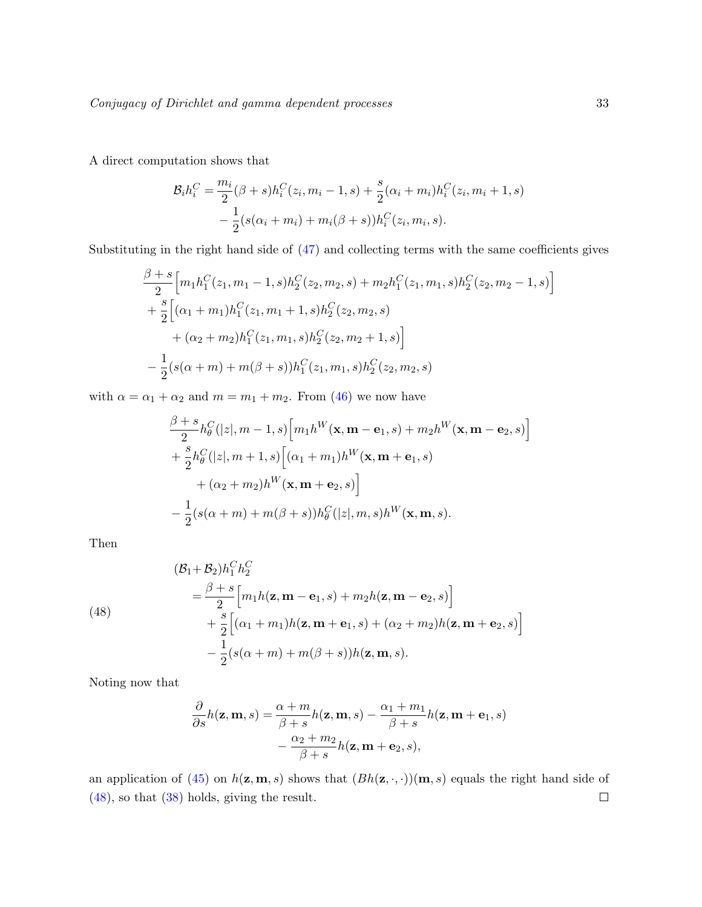A direct computation shows that

$$
\mathcal{B}_i h_i^C = \frac{m_i}{2} (\beta + s) h_i^C(z_i, m_i - 1, s) + \frac{s}{2} (\alpha_i + m_i) h_i^C(z_i, m_i + 1, s) \n- \frac{1}{2} (s(\alpha_i + m_i) + m_i(\beta + s)) h_i^C(z_i, m_i, s).
$$

Substituting in the right hand side of [\(47\)](#page-31-1) and collecting terms with the same coefficients gives

$$
\frac{\beta + s}{2} \Big[ m_1 h_1^C(z_1, m_1 - 1, s) h_2^C(z_2, m_2, s) + m_2 h_1^C(z_1, m_1, s) h_2^C(z_2, m_2 - 1, s) \Big] \n+ \frac{s}{2} \Big[ (\alpha_1 + m_1) h_1^C(z_1, m_1 + 1, s) h_2^C(z_2, m_2, s) \n+ (\alpha_2 + m_2) h_1^C(z_1, m_1, s) h_2^C(z_2, m_2 + 1, s) \Big] \n- \frac{1}{2} (s(\alpha + m) + m(\beta + s)) h_1^C(z_1, m_1, s) h_2^C(z_2, m_2, s)
$$

with  $\alpha = \alpha_1 + \alpha_2$  and  $m = m_1 + m_2$ . From [\(46\)](#page-31-0) we now have

$$
\frac{\beta + s}{2} h_{\theta}^C(|z|, m - 1, s) \Big[ m_1 h^W(\mathbf{x}, \mathbf{m} - \mathbf{e}_1, s) + m_2 h^W(\mathbf{x}, \mathbf{m} - \mathbf{e}_2, s) \Big] + \frac{s}{2} h_{\theta}^C(|z|, m + 1, s) \Big[ (\alpha_1 + m_1) h^W(\mathbf{x}, \mathbf{m} + \mathbf{e}_1, s) + (\alpha_2 + m_2) h^W(\mathbf{x}, \mathbf{m} + \mathbf{e}_2, s) \Big] -\frac{1}{2} (s(\alpha + m) + m(\beta + s)) h_{\theta}^C(|z|, m, s) h^W(\mathbf{x}, \mathbf{m}, s).
$$

Then

<span id="page-32-0"></span>(48)  
\n
$$
\begin{aligned}\n &\left(\mathcal{B}_1 + \mathcal{B}_2\right) h_1^C h_2^C \\
 &= \frac{\beta + s}{2} \Big[ m_1 h(\mathbf{z}, \mathbf{m} - \mathbf{e}_1, s) + m_2 h(\mathbf{z}, \mathbf{m} - \mathbf{e}_2, s) \Big] \\
 &\quad + \frac{s}{2} \Big[ (\alpha_1 + m_1) h(\mathbf{z}, \mathbf{m} + \mathbf{e}_1, s) + (\alpha_2 + m_2) h(\mathbf{z}, \mathbf{m} + \mathbf{e}_2, s) \Big] \\
 &\quad - \frac{1}{2} (s(\alpha + m) + m(\beta + s)) h(\mathbf{z}, \mathbf{m}, s).\n\end{aligned}
$$

Noting now that

$$
\frac{\partial}{\partial s}h(\mathbf{z}, \mathbf{m}, s) = \frac{\alpha + m}{\beta + s}h(\mathbf{z}, \mathbf{m}, s) - \frac{\alpha_1 + m_1}{\beta + s}h(\mathbf{z}, \mathbf{m} + \mathbf{e}_1, s) - \frac{\alpha_2 + m_2}{\beta + s}h(\mathbf{z}, \mathbf{m} + \mathbf{e}_2, s),
$$

an application of [\(45\)](#page-31-2) on  $h(\mathbf{z}, \mathbf{m}, s)$  shows that  $(Bh(\mathbf{z}, \cdot, \cdot))(\mathbf{m}, s)$  equals the right hand side of [\(48\)](#page-32-0), so that [\(38\)](#page-26-1) holds, giving the result. $\Box$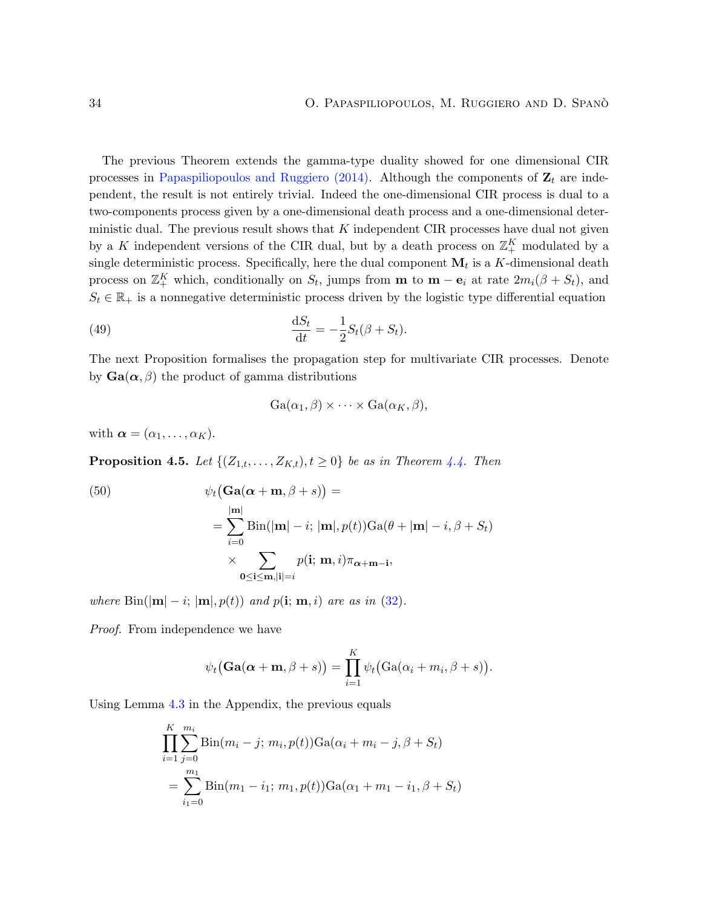The previous Theorem extends the gamma-type duality showed for one dimensional CIR processes in [Papaspiliopoulos and Ruggiero](#page-39-7) [\(2014\)](#page-39-7). Although the components of  $\mathbf{Z}_t$  are independent, the result is not entirely trivial. Indeed the one-dimensional CIR process is dual to a two-components process given by a one-dimensional death process and a one-dimensional deterministic dual. The previous result shows that  $K$  independent CIR processes have dual not given by a K independent versions of the CIR dual, but by a death process on  $\mathbb{Z}_+^K$  modulated by a single deterministic process. Specifically, here the dual component  $\mathbf{M}_t$  is a K-dimensional death process on  $\mathbb{Z}_{+}^{K}$  which, conditionally on  $S_{t}$ , jumps from **m** to **m** – **e**<sub>i</sub> at rate  $2m_{i}(\beta + S_{t})$ , and  $S_t \in \mathbb{R}_+$  is a nonnegative deterministic process driven by the logistic type differential equation

(49) 
$$
\frac{\mathrm{d}S_t}{\mathrm{d}t} = -\frac{1}{2}S_t(\beta + S_t).
$$

The next Proposition formalises the propagation step for multivariate CIR processes. Denote by  $Ga(\alpha, \beta)$  the product of gamma distributions

<span id="page-33-1"></span>
$$
Ga(\alpha_1, \beta) \times \cdots \times Ga(\alpha_K, \beta),
$$

with  $\boldsymbol{\alpha} = (\alpha_1, \ldots, \alpha_K)$ .

<span id="page-33-2"></span>**Proposition 4.5.** Let  $\{(Z_{1,t},...,Z_{K,t}), t \geq 0\}$  be as in Theorem [4.4.](#page-31-3) Then

<span id="page-33-0"></span>(50)  
\n
$$
\psi_t(\text{Ga}(\alpha + \textbf{m}, \beta + s)) =
$$
\n
$$
= \sum_{i=0}^{|\textbf{m}|} \text{Bin}(|\textbf{m}| - i; |\textbf{m}|, p(t)) \text{Ga}(\theta + |\textbf{m}| - i, \beta + S_t)
$$
\n
$$
\times \sum_{\textbf{0} \leq \textbf{i} \leq \textbf{m}, |\textbf{i}| = i} p(\textbf{i}; \textbf{m}, i) \pi_{\alpha + \textbf{m} - \textbf{i}},
$$

where  $\text{Bin}(|\mathbf{m}| - i; |\mathbf{m}|, p(t))$  and  $p(i; \mathbf{m}, i)$  are as in [\(32\)](#page-22-3).

Proof. From independence we have

$$
\psi_t(\mathbf{Ga}(\boldsymbol{\alpha}+\mathbf{m},\beta+s))=\prod_{i=1}^K\psi_t(\text{Ga}(\alpha_i+m_i,\beta+s)).
$$

Using Lemma [4.3](#page-30-1) in the Appendix, the previous equals

$$
\prod_{i=1}^{K} \sum_{j=0}^{m_i} \text{Bin}(m_i - j; m_i, p(t)) \text{Ga}(\alpha_i + m_i - j, \beta + S_t)
$$
  
= 
$$
\sum_{i_1=0}^{m_1} \text{Bin}(m_1 - i_1; m_1, p(t)) \text{Ga}(\alpha_1 + m_1 - i_1, \beta + S_t)
$$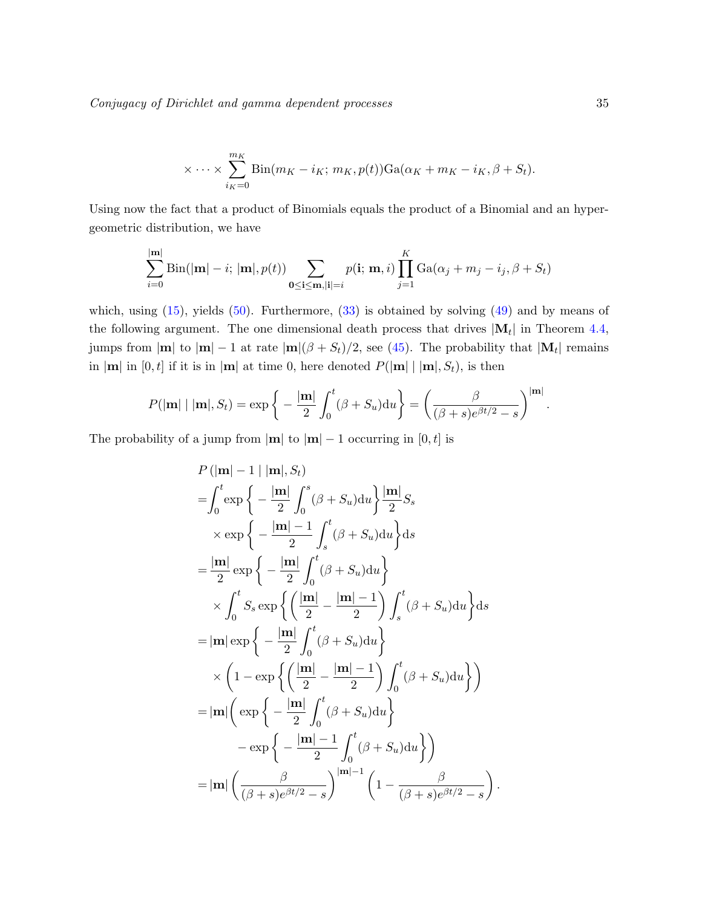Conjugacy of Dirichlet and gamma dependent processes 35

$$
\times \cdots \times \sum_{i_K=0}^{m_K} \text{Bin}(m_K - i_K; m_K, p(t)) \text{Ga}(\alpha_K + m_K - i_K, \beta + S_t).
$$

Using now the fact that a product of Binomials equals the product of a Binomial and an hypergeometric distribution, we have

$$
\sum_{i=0}^{|\mathbf{m}|} \text{Bin}(|\mathbf{m}|-i; |\mathbf{m}|, p(t)) \sum_{\mathbf{0} \leq \mathbf{i} \leq \mathbf{m}, |\mathbf{i}| = i} p(\mathbf{i}; \mathbf{m}, i) \prod_{j=1}^{K} \text{Ga}(\alpha_j + m_j - i_j, \beta + S_t)
$$

which, using  $(15)$ , yields  $(50)$ . Furthermore,  $(33)$  is obtained by solving  $(49)$  and by means of the following argument. The one dimensional death process that drives  $|\mathbf{M}_t|$  in Theorem [4.4,](#page-31-3) jumps from  $|\mathbf{m}|$  to  $|\mathbf{m}| - 1$  at rate  $|\mathbf{m}|(\beta + S_t)/2$ , see [\(45\)](#page-31-2). The probability that  $|\mathbf{M}_t|$  remains in  $|\mathbf{m}|$  in  $[0, t]$  if it is in  $|\mathbf{m}|$  at time 0, here denoted  $P(|\mathbf{m}| \mid |\mathbf{m}|, S_t)$ , is then

$$
P(|\mathbf{m}| \mid |\mathbf{m}|, S_t) = \exp\bigg\{-\frac{|\mathbf{m}|}{2}\int_0^t (\beta + S_u) \mathrm{d}u\bigg\} = \bigg(\frac{\beta}{(\beta + s)e^{\beta t/2} - s}\bigg)^{|\mathbf{m}|}.
$$

The probability of a jump from  $|\mathbf{m}|$  to  $|\mathbf{m}| - 1$  occurring in [0, t] is

$$
P(|\mathbf{m}| - 1 | |\mathbf{m}|, S_t)
$$
  
=  $\int_0^t \exp\left\{-\frac{|\mathbf{m}|}{2}\int_0^s (\beta + S_u) du\right\} \frac{|\mathbf{m}|}{2} S_s$   
 $\times \exp\left\{-\frac{|\mathbf{m}| - 1}{2}\int_s^t (\beta + S_u) du\right\} ds$   
=  $\frac{|\mathbf{m}|}{2} \exp\left\{-\frac{|\mathbf{m}|}{2}\int_0^t (\beta + S_u) du\right\}$   
 $\times \int_0^t S_s \exp\left\{\left(\frac{|\mathbf{m}|}{2} - \frac{|\mathbf{m}| - 1}{2}\right) \int_s^t (\beta + S_u) du\right\} ds$   
=  $|\mathbf{m}| \exp\left\{-\frac{|\mathbf{m}|}{2}\int_0^t (\beta + S_u) du\right\}$   
 $\times \left(1 - \exp\left\{\left(\frac{|\mathbf{m}|}{2} - \frac{|\mathbf{m}| - 1}{2}\right) \int_0^t (\beta + S_u) du\right\}\right)$   
=  $|\mathbf{m}| \left(\exp\left\{-\frac{|\mathbf{m}|}{2}\int_0^t (\beta + S_u) du\right\}$   
 $- \exp\left\{-\frac{|\mathbf{m}| - 1}{2}\int_0^t (\beta + S_u) du\right\}\right)$   
=  $|\mathbf{m}| \left(\frac{\beta}{(\beta + s)e^{\beta t/2} - s}\right)^{|\mathbf{m}| - 1} \left(1 - \frac{\beta}{(\beta + s)e^{\beta t/2} - s}\right)$ 

.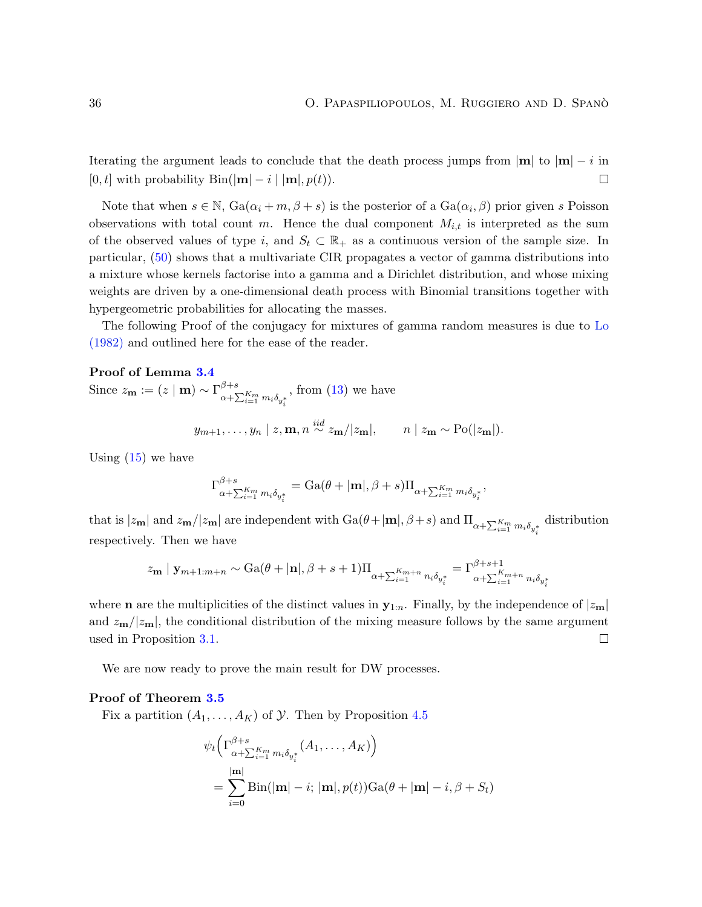Iterating the argument leads to conclude that the death process jumps from  $|m|$  to  $|m| - i$  in [0, t] with probability  $\text{Bin}(|\mathbf{m}| - i | \mathbf{m}|, p(t)).$  $\Box$ 

Note that when  $s \in \mathbb{N}$ ,  $Ga(\alpha_i + m, \beta + s)$  is the posterior of a  $Ga(\alpha_i, \beta)$  prior given s Poisson observations with total count m. Hence the dual component  $M_{i,t}$  is interpreted as the sum of the observed values of type i, and  $S_t \subset \mathbb{R}_+$  as a continuous version of the sample size. In particular, [\(50\)](#page-33-0) shows that a multivariate CIR propagates a vector of gamma distributions into a mixture whose kernels factorise into a gamma and a Dirichlet distribution, and whose mixing weights are driven by a one-dimensional death process with Binomial transitions together with hypergeometric probabilities for allocating the masses.

The following Proof of the conjugacy for mixtures of gamma random measures is due to [Lo](#page-39-6) [\(1982\)](#page-39-6) and outlined here for the ease of the reader.

#### Proof of Lemma [3.4](#page-21-2)

Since  $z_{\mathbf{m}} := (z \mid \mathbf{m}) \sim \Gamma_{\text{c} \to \infty}^{\beta + s}$  $\alpha + \sum_{i=1}^{K_m} m_i \delta_{y_i^*}$ , from  $(13)$  we have  $y_{m+1}, \ldots, y_n \mid z, \mathbf{m}, n \stackrel{iid}{\sim} z_{\mathbf{m}}/|z_{\mathbf{m}}|, \quad n \mid z_{\mathbf{m}} \sim Po(|z_{\mathbf{m}}|).$ 

Using  $(15)$  we have

$$
\Gamma_{\alpha+\sum_{i=1}^{K_m}m_i\delta_{y_i^*}}^{\beta+s} = \mathrm{Ga}(\theta+|\mathbf{m}|,\beta+s)\Pi_{\alpha+\sum_{i=1}^{K_m}m_i\delta_{y_i^*}},
$$

that is  $|z_{\mathbf{m}}|$  and  $z_{\mathbf{m}}/|z_{\mathbf{m}}|$  are independent with  $Ga(\theta+|\mathbf{m}|, \beta+s)$  and  $\Pi_{\alpha+\sum_{i=1}^{K_m} m_i \delta_{y_i^*}}$ distribution respectively. Then we have

$$
z_{\mathbf{m}} \mid \mathbf{y}_{m+1:m+n} \sim \text{Ga}(\theta + |\mathbf{n}|, \beta + s + 1) \prod_{\alpha + \sum_{i=1}^{K_{m+n}} n_i \delta_{y_i^*}} = \Gamma_{\alpha + \sum_{i=1}^{K_{m+n}} n_i \delta_{y_i^*}}
$$

where **n** are the multiplicities of the distinct values in  $\mathbf{y}_{1:n}$ . Finally, by the independence of  $|z_{m}|$ and  $z_{\mathbf{m}}/|z_{\mathbf{m}}|$ , the conditional distribution of the mixing measure follows by the same argument used in Proposition [3.1.](#page-18-2)  $\Box$ 

We are now ready to prove the main result for DW processes.

#### Proof of Theorem [3.5](#page-22-0)

Fix a partition  $(A_1, \ldots, A_K)$  of  $\mathcal Y$ . Then by Proposition [4.5](#page-33-2)

$$
\psi_t\left(\Gamma^{\beta+s}_{\alpha+\sum_{i=1}^{K_m}m_i\delta_{y_i^*}}(A_1,\ldots,A_K)\right)
$$
  
= 
$$
\sum_{i=0}^{|\mathbf{m}|} \text{Bin}(|\mathbf{m}|-i; |\mathbf{m}|, p(t)) \text{Ga}(\theta + |\mathbf{m}|-i, \beta + S_t)
$$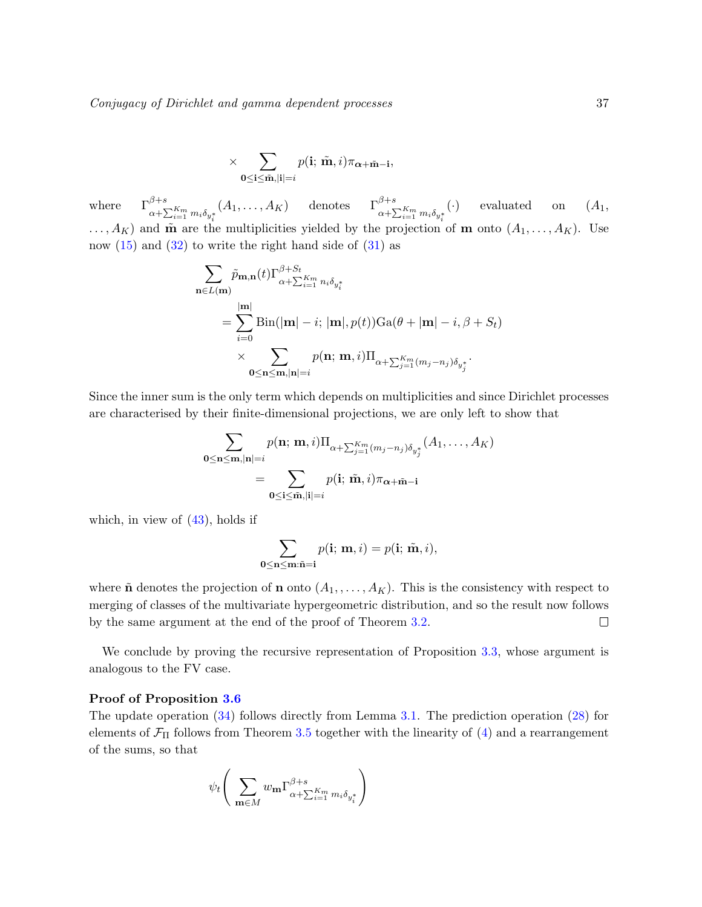$$
\times \sum_{\mathbf{0}\leq\mathbf{i}\leq\tilde{\mathbf{m}},|\mathbf{i}|=i}p(\mathbf{i};\ \tilde{\mathbf{m}},i)\pi_{\pmb{\alpha}+\tilde{\mathbf{m}}-\mathbf{i}},
$$

where  $\Gamma^{\beta+s}_{\alpha+\sum_{i=1}^{K_m}m_i\delta_{y_i^*}}$  $(A_1, \ldots, A_K)$  denotes  $\Gamma_{\alpha + \sum_{i=1}^{K_m} m_i \delta_{y_i^*}}^{\beta + s}$  $\left(\cdot\right)$  evaluated on  $\left(A_1, \right)$  $\dots, A_K$ ) and  $\tilde{\mathbf{m}}$  are the multiplicities yielded by the projection of **m** onto  $(A_1, \dots, A_K)$ . Use now  $(15)$  and  $(32)$  to write the right hand side of  $(31)$  as

$$
\sum_{\mathbf{n}\in L(\mathbf{m})} \tilde{p}_{\mathbf{m},\mathbf{n}}(t) \Gamma_{\alpha+\sum_{i=1}^{K_m} n_i \delta_{y_i^*}}^{\beta+\sum_{i=1}^{K_m} n_i \delta_{y_i^*}}
$$
\n
$$
= \sum_{i=0}^{|\mathbf{m}|} \text{Bin}(|\mathbf{m}|-i; |\mathbf{m}|, p(t)) \text{Ga}(\theta + |\mathbf{m}|-i, \beta + S_t)
$$
\n
$$
\times \sum_{\mathbf{0}\leq \mathbf{n}\leq \mathbf{m}, |\mathbf{n}|=i} p(\mathbf{n}; \mathbf{m}, i) \Pi_{\alpha+\sum_{j=1}^{K_m} (m_j - n_j) \delta_{y_j^*}}.
$$

Since the inner sum is the only term which depends on multiplicities and since Dirichlet processes are characterised by their finite-dimensional projections, we are only left to show that

$$
\sum_{\mathbf{0} \leq \mathbf{n} \leq \mathbf{m}, |\mathbf{n}| = i} p(\mathbf{n}; \mathbf{m}, i) \Pi_{\alpha + \sum_{j=1}^{K_m} (m_j - n_j) \delta_{y_j^*}} (A_1, \dots, A_K)
$$

$$
= \sum_{\mathbf{0} \leq \mathbf{i} \leq \tilde{\mathbf{m}}, |\mathbf{i}| = i} p(\mathbf{i}; \tilde{\mathbf{m}}, i) \pi_{\alpha + \tilde{\mathbf{m}} - \mathbf{i}}
$$

which, in view of  $(43)$ , holds if

$$
\sum_{\mathbf{0} \leq \mathbf{n} \leq \mathbf{m}: \tilde{\mathbf{n}} = \mathbf{i}} p(\mathbf{i}; \, \mathbf{m}, i) = p(\mathbf{i}; \, \tilde{\mathbf{m}}, i),
$$

where  $\tilde{\mathbf{n}}$  denotes the projection of  $\mathbf{n}$  onto  $(A_1, \ldots, A_K)$ . This is the consistency with respect to merging of classes of the multivariate hypergeometric distribution, and so the result now follows by the same argument at the end of the proof of Theorem [3.2.](#page-19-0)  $\Box$ 

We conclude by proving the recursive representation of Proposition [3.3,](#page-20-0) whose argument is analogous to the FV case.

#### Proof of Proposition [3.6](#page-23-0)

The update operation [\(34\)](#page-23-2) follows directly from Lemma [3.1.](#page-18-2) The prediction operation [\(28\)](#page-20-4) for elements of  $\mathcal{F}_{\Pi}$  follows from Theorem [3.5](#page-22-0) together with the linearity of [\(4\)](#page-6-1) and a rearrangement of the sums, so that

$$
\psi_t \Bigg(\sum_{\mathbf{m} \in M} w_{\mathbf{m}} \Gamma^{\beta+s}_{\alpha + \sum_{i=1}^{K_m} m_i \delta_{y_i^*}}\Bigg)
$$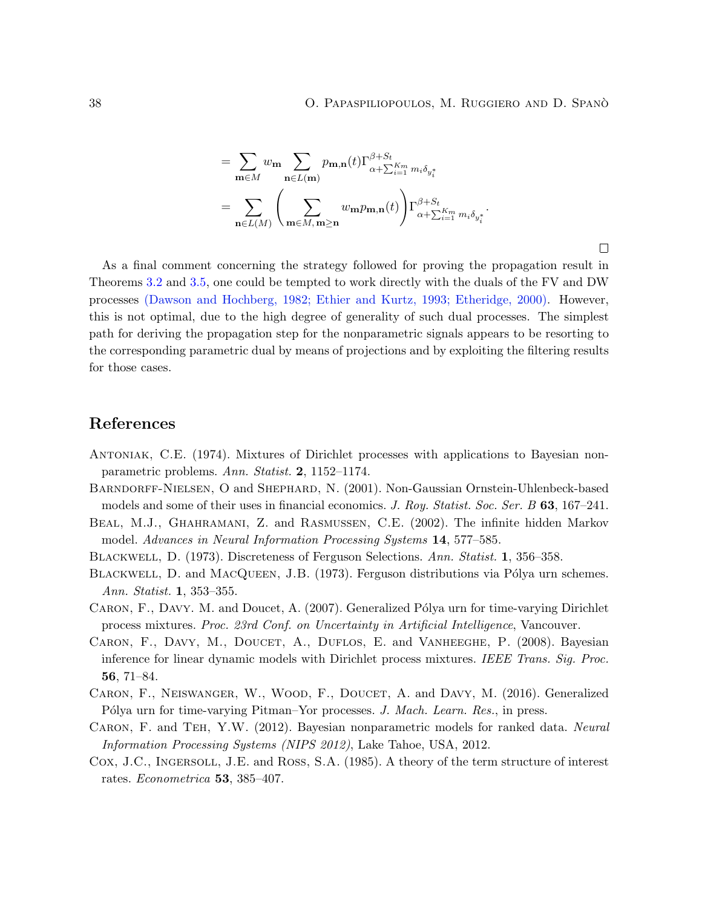$\Box$ 

$$
= \sum_{\mathbf{m}\in M} w_{\mathbf{m}} \sum_{\mathbf{n}\in L(\mathbf{m})} p_{\mathbf{m},\mathbf{n}}(t) \Gamma^{\beta+S_t}_{\alpha+\sum_{i=1}^{K_m} m_i \delta_{y_i^*}} = \sum_{\mathbf{n}\in L(M)} \left( \sum_{\mathbf{m}\in M, \mathbf{m}\geq \mathbf{n}} w_{\mathbf{m}} p_{\mathbf{m},\mathbf{n}}(t) \right) \Gamma^{\beta+S_t}_{\alpha+\sum_{i=1}^{K_m} m_i \delta_{y_i^*}}.
$$

As a final comment concerning the strategy followed for proving the propagation result in Theorems [3.2](#page-19-0) and [3.5,](#page-22-0) one could be tempted to work directly with the duals of the FV and DW processes [\(Dawson and Hochberg,](#page-38-16) [1982;](#page-38-16) [Ethier and Kurtz,](#page-38-7) [1993;](#page-38-7) [Etheridge,](#page-38-17) [2000\)](#page-38-17). However, this is not optimal, due to the high degree of generality of such dual processes. The simplest path for deriving the propagation step for the nonparametric signals appears to be resorting to the corresponding parametric dual by means of projections and by exploiting the filtering results for those cases.

## References

- <span id="page-37-6"></span>Antoniak, C.E. (1974). Mixtures of Dirichlet processes with applications to Bayesian nonparametric problems. Ann. Statist. 2, 1152–1174.
- <span id="page-37-5"></span>Barndorff-Nielsen, O and Shephard, N. (2001). Non-Gaussian Ornstein-Uhlenbeck-based models and some of their uses in financial economics. J. Roy. Statist. Soc. Ser. B 63, 167–241.
- <span id="page-37-4"></span>Beal, M.J., Ghahramani, Z. and Rasmussen, C.E. (2002). The infinite hidden Markov model. Advances in Neural Information Processing Systems 14, 577–585.
- <span id="page-37-8"></span>Blackwell, D. (1973). Discreteness of Ferguson Selections. Ann. Statist. 1, 356–358.
- <span id="page-37-9"></span>BLACKWELL, D. and MACQUEEN, J.B. (1973). Ferguson distributions via Pólya urn schemes. Ann. Statist. 1, 353-355.
- <span id="page-37-1"></span>CARON, F., DAVY. M. and Doucet, A. (2007). Generalized Pólya urn for time-varying Dirichlet process mixtures. Proc. 23rd Conf. on Uncertainty in Artificial Intelligence, Vancouver.
- <span id="page-37-0"></span>CARON, F., DAVY, M., DOUCET, A., DUFLOS, E. and VANHEEGHE, P. (2008). Bayesian inference for linear dynamic models with Dirichlet process mixtures. IEEE Trans. Sig. Proc. 56, 71–84.
- <span id="page-37-3"></span>Caron, F., Neiswanger, W., Wood, F., Doucet, A. and Davy, M. (2016). Generalized Pólya urn for time-varying Pitman–Yor processes. J. Mach. Learn. Res., in press.
- <span id="page-37-2"></span>CARON, F. and TEH, Y.W. (2012). Bayesian nonparametric models for ranked data. Neural Information Processing Systems (NIPS 2012), Lake Tahoe, USA, 2012.
- <span id="page-37-7"></span>Cox, J.C., INGERSOLL, J.E. and ROSS, S.A. (1985). A theory of the term structure of interest rates. Econometrica 53, 385–407.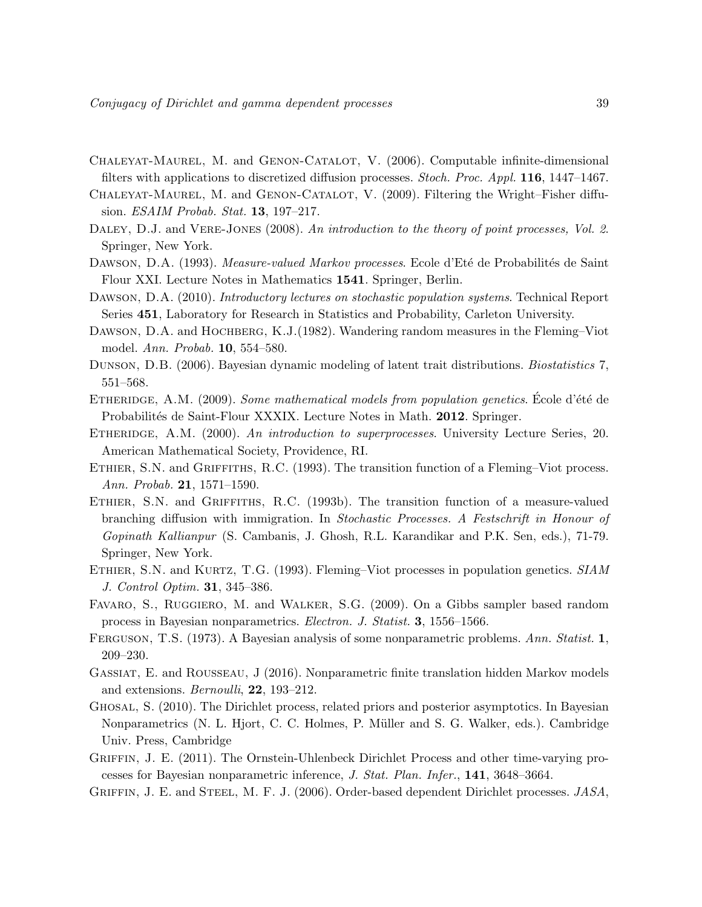- <span id="page-38-15"></span>Chaleyat-Maurel, M. and Genon-Catalot, V. (2006). Computable infinite-dimensional filters with applications to discretized diffusion processes. Stoch. Proc. Appl. 116, 1447–1467.
- <span id="page-38-5"></span>CHALEYAT-MAUREL, M. and GENON-CATALOT, V. (2009). Filtering the Wright–Fisher diffusion. ESAIM Probab. Stat. 13, 197–217.
- <span id="page-38-13"></span>DALEY, D.J. and VERE-JONES (2008). An introduction to the theory of point processes, Vol. 2. Springer, New York.
- <span id="page-38-8"></span>DAWSON, D.A. (1993). Measure-valued Markov processes. Ecole d'Eté de Probabilités de Saint Flour XXI. Lecture Notes in Mathematics 1541. Springer, Berlin.
- <span id="page-38-11"></span>DAWSON, D.A. (2010). Introductory lectures on stochastic population systems. Technical Report Series 451, Laboratory for Research in Statistics and Probability, Carleton University.
- <span id="page-38-16"></span>DAWSON, D.A. and HOCHBERG, K.J.(1982). Wandering random measures in the Fleming–Viot model. Ann. Probab. 10, 554–580.
- <span id="page-38-1"></span>DUNSON, D.B. (2006). Bayesian dynamic modeling of latent trait distributions. *Biostatistics* 7, 551–568.
- <span id="page-38-12"></span>ETHERIDGE, A.M. (2009). Some mathematical models from population genetics. Ecole d'été de Probabilités de Saint-Flour XXXIX. Lecture Notes in Math. 2012. Springer.
- <span id="page-38-17"></span>ETHERIDGE, A.M. (2000). An introduction to superprocesses. University Lecture Series, 20. American Mathematical Society, Providence, RI.
- <span id="page-38-9"></span>ETHIER, S.N. and GRIFFITHS, R.C. (1993). The transition function of a Fleming–Viot process. Ann. Probab. 21, 1571–1590.
- <span id="page-38-14"></span>ETHIER, S.N. and GRIFFITHS, R.C. (1993b). The transition function of a measure-valued branching diffusion with immigration. In Stochastic Processes. A Festschrift in Honour of Gopinath Kallianpur (S. Cambanis, J. Ghosh, R.L. Karandikar and P.K. Sen, eds.), 71-79. Springer, New York.
- <span id="page-38-7"></span>ETHIER, S.N. and KURTZ, T.G. (1993). Fleming–Viot processes in population genetics. SIAM J. Control Optim. 31, 345–386.
- <span id="page-38-10"></span>Favaro, S., Ruggiero, M. and Walker, S.G. (2009). On a Gibbs sampler based random process in Bayesian nonparametrics. Electron. J. Statist. 3, 1556–1566.
- <span id="page-38-0"></span>FERGUSON, T.S. (1973). A Bayesian analysis of some nonparametric problems. Ann. Statist. 1, 209–230.
- <span id="page-38-3"></span>Gassiat, E. and Rousseau, J (2016). Nonparametric finite translation hidden Markov models and extensions. Bernoulli, 22, 193–212.
- <span id="page-38-6"></span>Ghosal, S. (2010). The Dirichlet process, related priors and posterior asymptotics. In Bayesian Nonparametrics (N. L. Hjort, C. C. Holmes, P. Müller and S. G. Walker, eds.). Cambridge Univ. Press, Cambridge
- <span id="page-38-4"></span>GRIFFIN, J. E. (2011). The Ornstein-Uhlenbeck Dirichlet Process and other time-varying processes for Bayesian nonparametric inference, J. Stat. Plan. Infer., 141, 3648–3664.
- <span id="page-38-2"></span>GRIFFIN, J. E. and STEEL, M. F. J. (2006). Order-based dependent Dirichlet processes. JASA,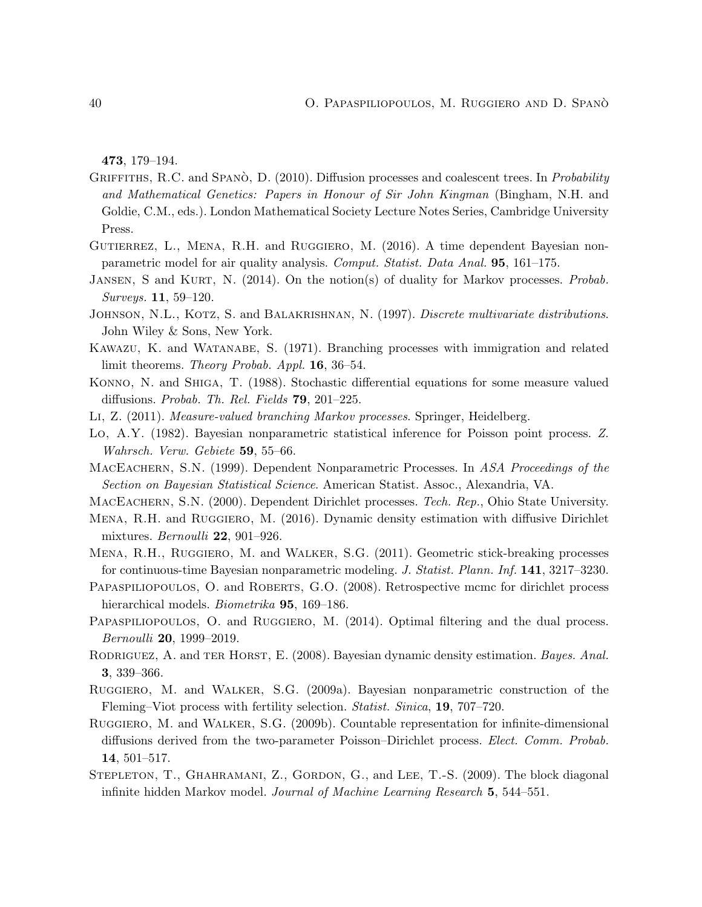473, 179–194.

- <span id="page-39-14"></span>GRIFFITHS, R.C. and SPANO, D.  $(2010)$ . Diffusion processes and coalescent trees. In Probability and Mathematical Genetics: Papers in Honour of Sir John Kingman (Bingham, N.H. and Goldie, C.M., eds.). London Mathematical Society Lecture Notes Series, Cambridge University Press.
- <span id="page-39-3"></span>GUTIERREZ, L., MENA, R.H. and RUGGIERO, M. (2016). A time dependent Bayesian nonparametric model for air quality analysis. Comput. Statist. Data Anal. 95, 161–175.
- <span id="page-39-15"></span>JANSEN, S and KURT, N. (2014). On the notion(s) of duality for Markov processes. Probab. Surveys. 11, 59–120.
- <span id="page-39-16"></span>JOHNSON, N.L., KOTZ, S. and BALAKRISHNAN, N. (1997). Discrete multivariate distributions. John Wiley & Sons, New York.
- <span id="page-39-17"></span>Kawazu, K. and Watanabe, S. (1971). Branching processes with immigration and related limit theorems. Theory Probab. Appl. 16, 36–54.
- <span id="page-39-11"></span>Konno, N. and Shiga, T. (1988). Stochastic differential equations for some measure valued diffusions. Probab. Th. Rel. Fields 79, 201–225.
- <span id="page-39-12"></span><span id="page-39-6"></span>Li, Z. (2011). Measure-valued branching Markov processes. Springer, Heidelberg.
- Lo, A.Y. (1982). Bayesian nonparametric statistical inference for Poisson point process. Z. Wahrsch. Verw. Gebiete 59, 55–66.
- <span id="page-39-0"></span>MACEACHERN, S.N. (1999). Dependent Nonparametric Processes. In ASA Proceedings of the Section on Bayesian Statistical Science. American Statist. Assoc., Alexandria, VA.
- <span id="page-39-1"></span>MACEACHERN, S.N. (2000). Dependent Dirichlet processes. Tech. Rep., Ohio State University.
- <span id="page-39-4"></span>MENA, R.H. and RUGGIERO, M. (2016). Dynamic density estimation with diffusive Dirichlet mixtures. Bernoulli 22, 901–926.
- <span id="page-39-10"></span>Mena, R.H., Ruggiero, M. and Walker, S.G. (2011). Geometric stick-breaking processes for continuous-time Bayesian nonparametric modeling. J. Statist. Plann. Inf. 141, 3217–3230.
- <span id="page-39-13"></span>PAPASPILIOPOULOS, O. and ROBERTS, G.O. (2008). Retrospective mcmc for dirichlet process hierarchical models. *Biometrika* **95**, 169–186.
- <span id="page-39-7"></span>PAPASPILIOPOULOS, O. and RUGGIERO, M. (2014). Optimal filtering and the dual process. Bernoulli 20, 1999–2019.
- <span id="page-39-2"></span>RODRIGUEZ, A. and TER HORST, E. (2008). Bayesian dynamic density estimation. Bayes. Anal. 3, 339–366.
- <span id="page-39-8"></span>Ruggiero, M. and Walker, S.G. (2009a). Bayesian nonparametric construction of the Fleming–Viot process with fertility selection. Statist. Sinica, 19, 707–720.
- <span id="page-39-9"></span>Ruggiero, M. and Walker, S.G. (2009b). Countable representation for infinite-dimensional diffusions derived from the two-parameter Poisson–Dirichlet process. Elect. Comm. Probab. 14, 501–517.
- <span id="page-39-5"></span>STEPLETON, T., GHAHRAMANI, Z., GORDON, G., and LEE, T.-S. (2009). The block diagonal infinite hidden Markov model. Journal of Machine Learning Research 5, 544–551.